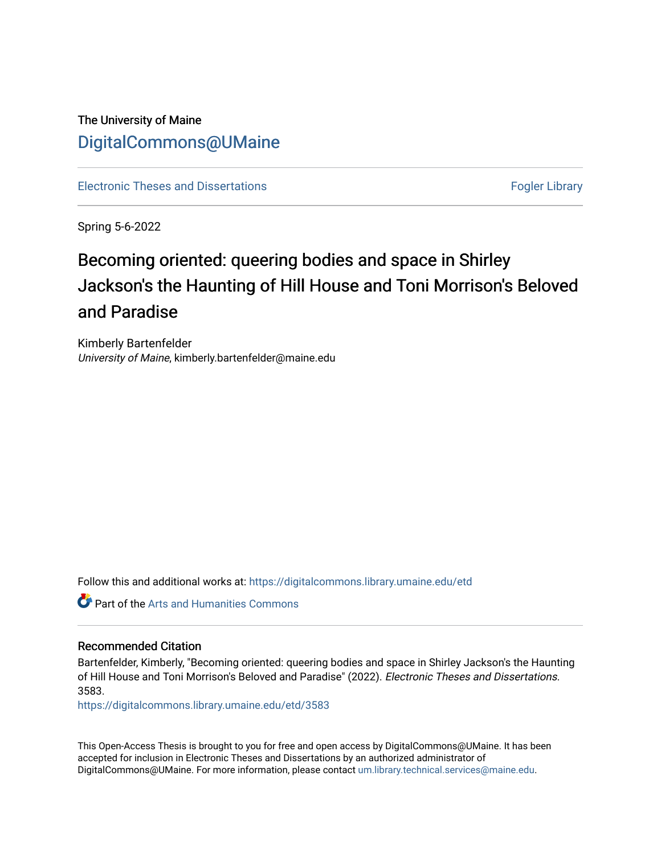## The University of Maine [DigitalCommons@UMaine](https://digitalcommons.library.umaine.edu/)

[Electronic Theses and Dissertations](https://digitalcommons.library.umaine.edu/etd) [Fogler Library](https://digitalcommons.library.umaine.edu/fogler) Fogler Library

Spring 5-6-2022

# Becoming oriented: queering bodies and space in Shirley Jackson's the Haunting of Hill House and Toni Morrison's Beloved and Paradise

Kimberly Bartenfelder University of Maine, kimberly.bartenfelder@maine.edu

Follow this and additional works at: [https://digitalcommons.library.umaine.edu/etd](https://digitalcommons.library.umaine.edu/etd?utm_source=digitalcommons.library.umaine.edu%2Fetd%2F3583&utm_medium=PDF&utm_campaign=PDFCoverPages) 

**Part of the Arts and Humanities Commons** 

### Recommended Citation

Bartenfelder, Kimberly, "Becoming oriented: queering bodies and space in Shirley Jackson's the Haunting of Hill House and Toni Morrison's Beloved and Paradise" (2022). Electronic Theses and Dissertations. 3583.

[https://digitalcommons.library.umaine.edu/etd/3583](https://digitalcommons.library.umaine.edu/etd/3583?utm_source=digitalcommons.library.umaine.edu%2Fetd%2F3583&utm_medium=PDF&utm_campaign=PDFCoverPages)

This Open-Access Thesis is brought to you for free and open access by DigitalCommons@UMaine. It has been accepted for inclusion in Electronic Theses and Dissertations by an authorized administrator of DigitalCommons@UMaine. For more information, please contact [um.library.technical.services@maine.edu](mailto:um.library.technical.services@maine.edu).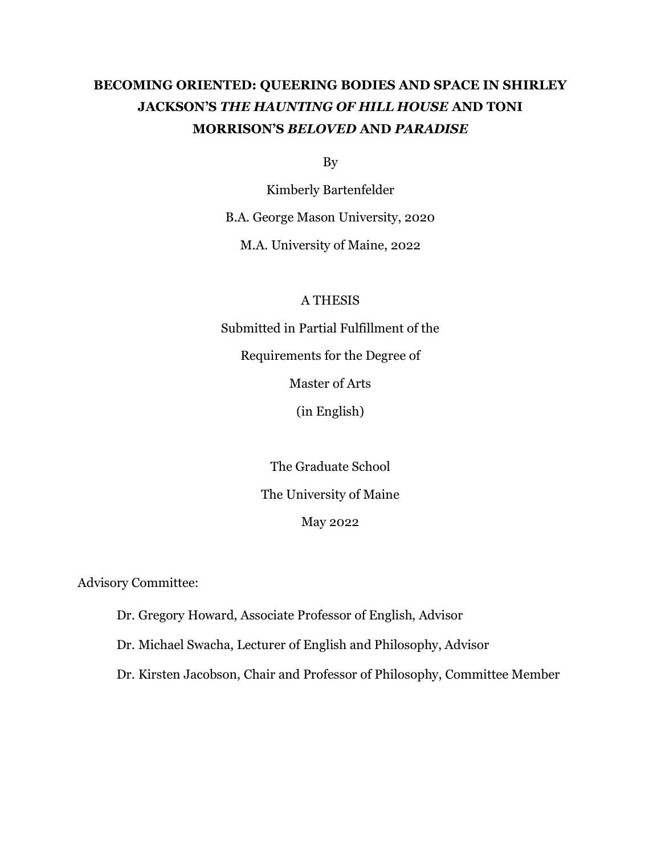## **BECOMING ORIENTED: QUEERING BODIES AND SPACE IN SHIRLEY JACKSON'S** *THE HAUNTING OF HILL HOUSE* **AND TONI MORRISON'S** *BELOVED* **AND** *PARADISE*

By

Kimberly Bartenfelder B.A. George Mason University, 2020 M.A. University of Maine, 2022

A THESIS

Submitted in Partial Fulfillment of the Requirements for the Degree of Master of Arts (in English)

> The Graduate School The University of Maine May 2022

Advisory Committee:

Dr. Gregory Howard, Associate Professor of English, Advisor

Dr. Michael Swacha, Lecturer of English and Philosophy, Advisor

Dr. Kirsten Jacobson, Chair and Professor of Philosophy, Committee Member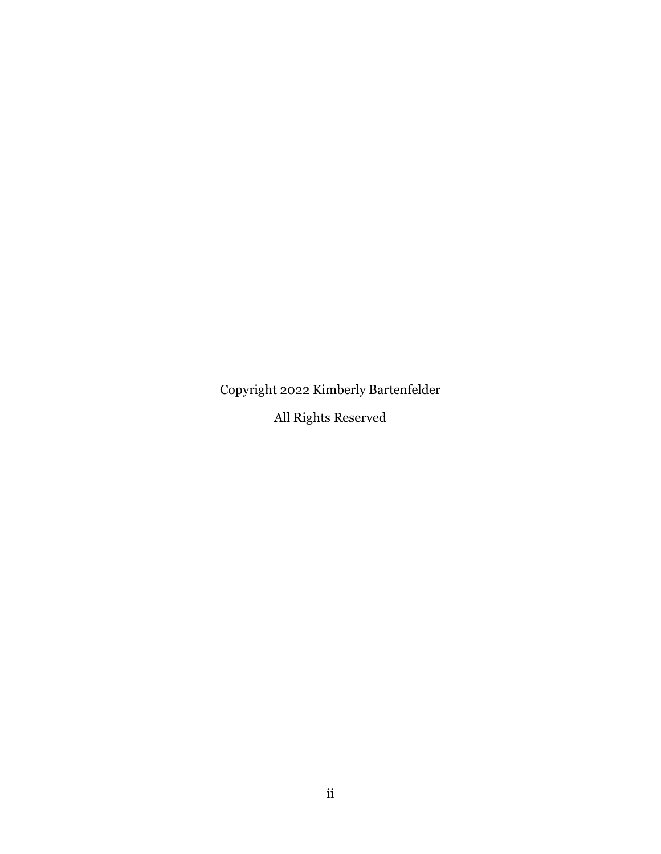Copyright 2022 Kimberly Bartenfelder

All Rights Reserved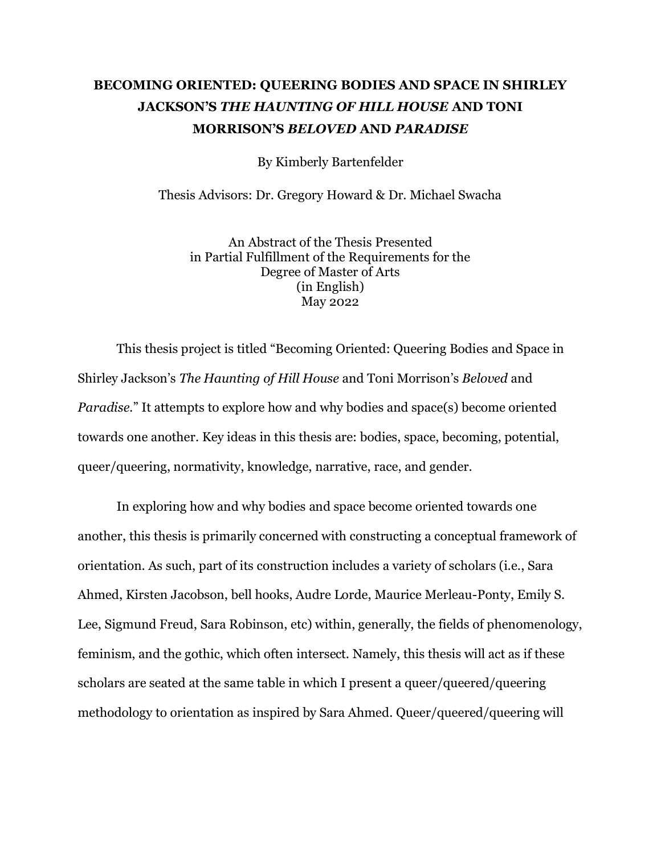## **BECOMING ORIENTED: QUEERING BODIES AND SPACE IN SHIRLEY JACKSON'S** *THE HAUNTING OF HILL HOUSE* **AND TONI MORRISON'S** *BELOVED* **AND** *PARADISE*

By Kimberly Bartenfelder

Thesis Advisors: Dr. Gregory Howard & Dr. Michael Swacha

An Abstract of the Thesis Presented in Partial Fulfillment of the Requirements for the Degree of Master of Arts (in English) May 2022

This thesis project is titled "Becoming Oriented: Queering Bodies and Space in Shirley Jackson's *The Haunting of Hill House* and Toni Morrison's *Beloved* and *Paradise.*" It attempts to explore how and why bodies and space(s) become oriented towards one another. Key ideas in this thesis are: bodies, space, becoming, potential, queer/queering, normativity, knowledge, narrative, race, and gender.

In exploring how and why bodies and space become oriented towards one another, this thesis is primarily concerned with constructing a conceptual framework of orientation. As such, part of its construction includes a variety of scholars (i.e., Sara Ahmed, Kirsten Jacobson, bell hooks, Audre Lorde, Maurice Merleau-Ponty, Emily S. Lee, Sigmund Freud, Sara Robinson, etc) within, generally, the fields of phenomenology, feminism, and the gothic, which often intersect. Namely, this thesis will act as if these scholars are seated at the same table in which I present a queer/queered/queering methodology to orientation as inspired by Sara Ahmed. Queer/queered/queering will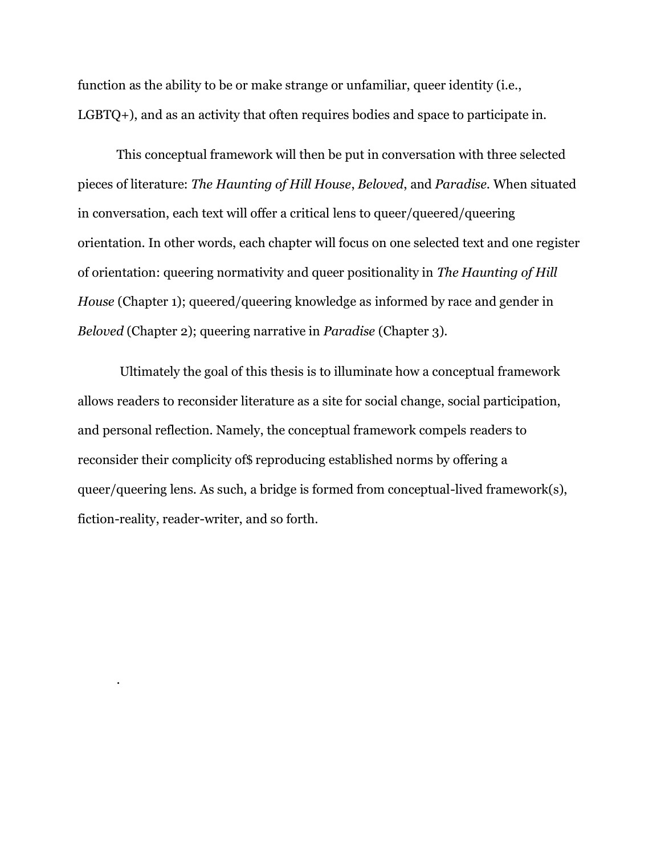function as the ability to be or make strange or unfamiliar, queer identity (i.e., LGBTQ+), and as an activity that often requires bodies and space to participate in.

This conceptual framework will then be put in conversation with three selected pieces of literature: *The Haunting of Hill House*, *Beloved*, and *Paradise*. When situated in conversation, each text will offer a critical lens to queer/queered/queering orientation. In other words, each chapter will focus on one selected text and one register of orientation: queering normativity and queer positionality in *The Haunting of Hill House* (Chapter 1); queered/queering knowledge as informed by race and gender in *Beloved* (Chapter 2); queering narrative in *Paradise* (Chapter 3).

Ultimately the goal of this thesis is to illuminate how a conceptual framework allows readers to reconsider literature as a site for social change, social participation, and personal reflection. Namely, the conceptual framework compels readers to reconsider their complicity of\$ reproducing established norms by offering a queer/queering lens. As such, a bridge is formed from conceptual-lived framework(s), fiction-reality, reader-writer, and so forth.

.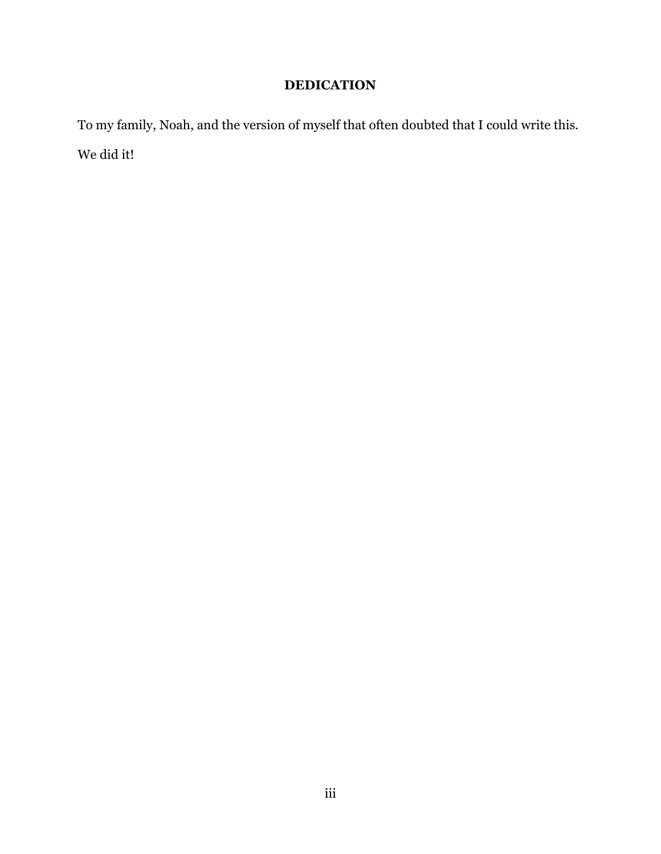## **DEDICATION**

To my family, Noah, and the version of myself that often doubted that I could write this. We did it!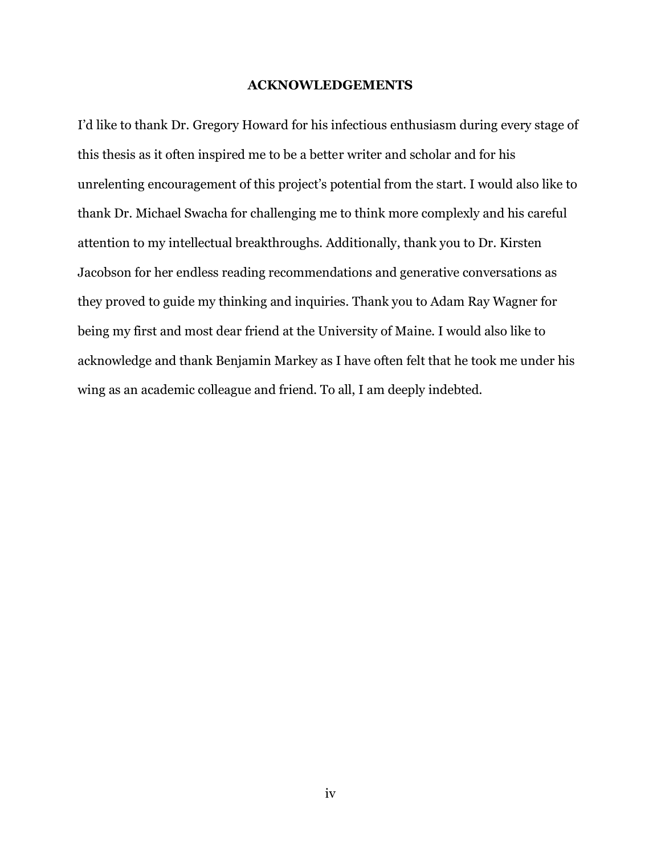#### **ACKNOWLEDGEMENTS**

I'd like to thank Dr. Gregory Howard for his infectious enthusiasm during every stage of this thesis as it often inspired me to be a better writer and scholar and for his unrelenting encouragement of this project's potential from the start. I would also like to thank Dr. Michael Swacha for challenging me to think more complexly and his careful attention to my intellectual breakthroughs. Additionally, thank you to Dr. Kirsten Jacobson for her endless reading recommendations and generative conversations as they proved to guide my thinking and inquiries. Thank you to Adam Ray Wagner for being my first and most dear friend at the University of Maine. I would also like to acknowledge and thank Benjamin Markey as I have often felt that he took me under his wing as an academic colleague and friend. To all, I am deeply indebted.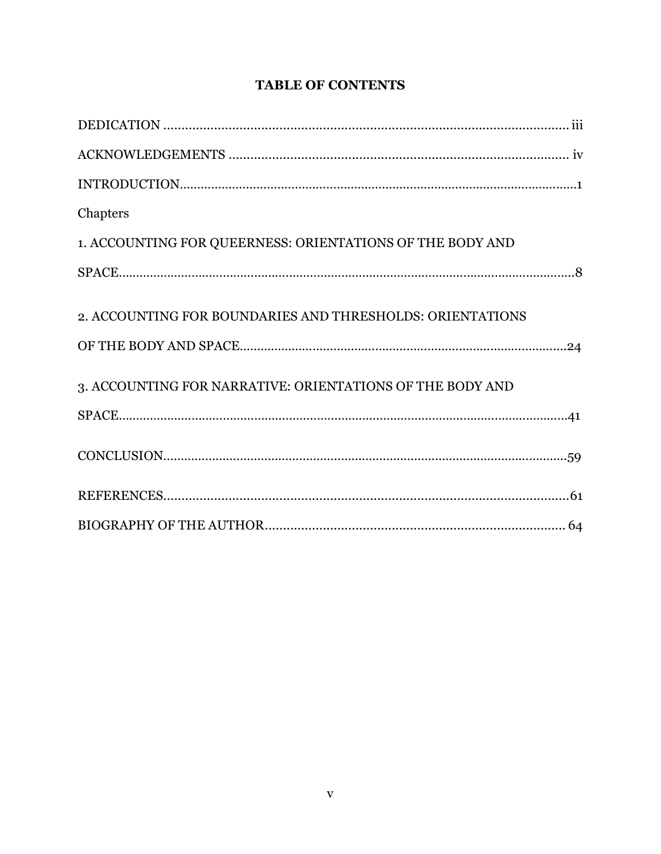| Chapters                                                  |
|-----------------------------------------------------------|
| 1. ACCOUNTING FOR QUEERNESS: ORIENTATIONS OF THE BODY AND |
|                                                           |
|                                                           |
| 2. ACCOUNTING FOR BOUNDARIES AND THRESHOLDS: ORIENTATIONS |
|                                                           |
| 3. ACCOUNTING FOR NARRATIVE: ORIENTATIONS OF THE BODY AND |
|                                                           |
|                                                           |
|                                                           |
|                                                           |

## **TABLE OF CONTENTS**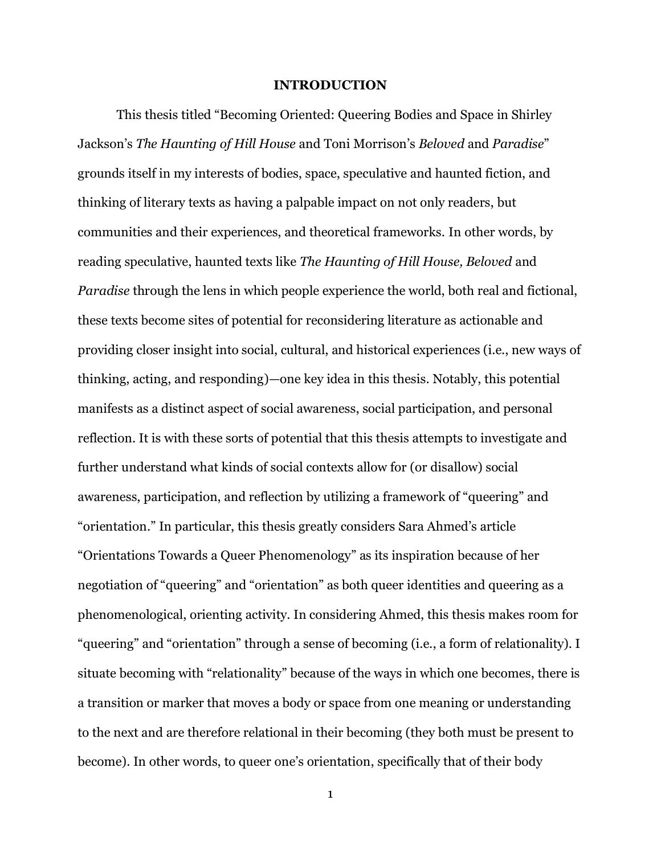### **INTRODUCTION**

This thesis titled "Becoming Oriented: Queering Bodies and Space in Shirley Jackson's *The Haunting of Hill House* and Toni Morrison's *Beloved* and *Paradise*" grounds itself in my interests of bodies, space, speculative and haunted fiction, and thinking of literary texts as having a palpable impact on not only readers, but communities and their experiences, and theoretical frameworks. In other words, by reading speculative, haunted texts like *The Haunting of Hill House, Beloved* and *Paradise* through the lens in which people experience the world, both real and fictional, these texts become sites of potential for reconsidering literature as actionable and providing closer insight into social, cultural, and historical experiences (i.e., new ways of thinking, acting, and responding)—one key idea in this thesis. Notably, this potential manifests as a distinct aspect of social awareness, social participation, and personal reflection. It is with these sorts of potential that this thesis attempts to investigate and further understand what kinds of social contexts allow for (or disallow) social awareness, participation, and reflection by utilizing a framework of "queering" and "orientation." In particular, this thesis greatly considers Sara Ahmed's article "Orientations Towards a Queer Phenomenology" as its inspiration because of her negotiation of "queering" and "orientation" as both queer identities and queering as a phenomenological, orienting activity. In considering Ahmed, this thesis makes room for "queering" and "orientation" through a sense of becoming (i.e., a form of relationality). I situate becoming with "relationality" because of the ways in which one becomes, there is a transition or marker that moves a body or space from one meaning or understanding to the next and are therefore relational in their becoming (they both must be present to become). In other words, to queer one's orientation, specifically that of their body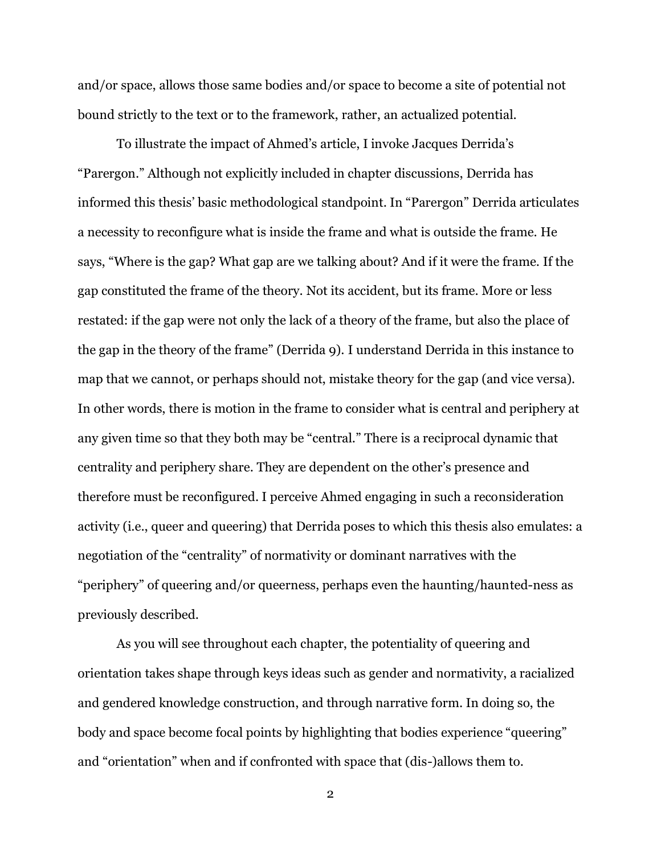and/or space, allows those same bodies and/or space to become a site of potential not bound strictly to the text or to the framework, rather, an actualized potential.

To illustrate the impact of Ahmed's article, I invoke Jacques Derrida's "Parergon." Although not explicitly included in chapter discussions, Derrida has informed this thesis' basic methodological standpoint. In "Parergon" Derrida articulates a necessity to reconfigure what is inside the frame and what is outside the frame. He says, "Where is the gap? What gap are we talking about? And if it were the frame. If the gap constituted the frame of the theory. Not its accident, but its frame. More or less restated: if the gap were not only the lack of a theory of the frame, but also the place of the gap in the theory of the frame" (Derrida 9). I understand Derrida in this instance to map that we cannot, or perhaps should not, mistake theory for the gap (and vice versa). In other words, there is motion in the frame to consider what is central and periphery at any given time so that they both may be "central." There is a reciprocal dynamic that centrality and periphery share. They are dependent on the other's presence and therefore must be reconfigured. I perceive Ahmed engaging in such a reconsideration activity (i.e., queer and queering) that Derrida poses to which this thesis also emulates: a negotiation of the "centrality" of normativity or dominant narratives with the "periphery" of queering and/or queerness, perhaps even the haunting/haunted-ness as previously described.

As you will see throughout each chapter, the potentiality of queering and orientation takes shape through keys ideas such as gender and normativity, a racialized and gendered knowledge construction, and through narrative form. In doing so, the body and space become focal points by highlighting that bodies experience "queering" and "orientation" when and if confronted with space that (dis-)allows them to.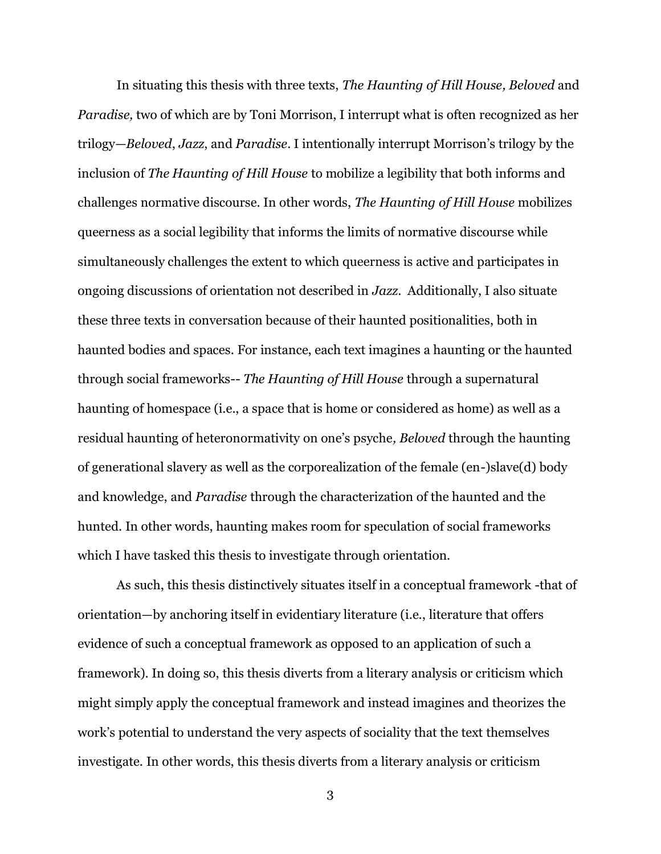In situating this thesis with three texts, *The Haunting of Hill House, Beloved* and *Paradise,* two of which are by Toni Morrison, I interrupt what is often recognized as her trilogy—*Beloved*, *Jazz*, and *Paradise*. I intentionally interrupt Morrison's trilogy by the inclusion of *The Haunting of Hill House* to mobilize a legibility that both informs and challenges normative discourse. In other words, *The Haunting of Hill House* mobilizes queerness as a social legibility that informs the limits of normative discourse while simultaneously challenges the extent to which queerness is active and participates in ongoing discussions of orientation not described in *Jazz*. Additionally, I also situate these three texts in conversation because of their haunted positionalities, both in haunted bodies and spaces. For instance, each text imagines a haunting or the haunted through social frameworks-- *The Haunting of Hill House* through a supernatural haunting of homespace (i.e., a space that is home or considered as home) as well as a residual haunting of heteronormativity on one's psyche*, Beloved* through the haunting of generational slavery as well as the corporealization of the female (en-)slave(d) body and knowledge, and *Paradise* through the characterization of the haunted and the hunted. In other words, haunting makes room for speculation of social frameworks which I have tasked this thesis to investigate through orientation.

As such, this thesis distinctively situates itself in a conceptual framework -that of orientation—by anchoring itself in evidentiary literature (i.e., literature that offers evidence of such a conceptual framework as opposed to an application of such a framework). In doing so, this thesis diverts from a literary analysis or criticism which might simply apply the conceptual framework and instead imagines and theorizes the work's potential to understand the very aspects of sociality that the text themselves investigate. In other words, this thesis diverts from a literary analysis or criticism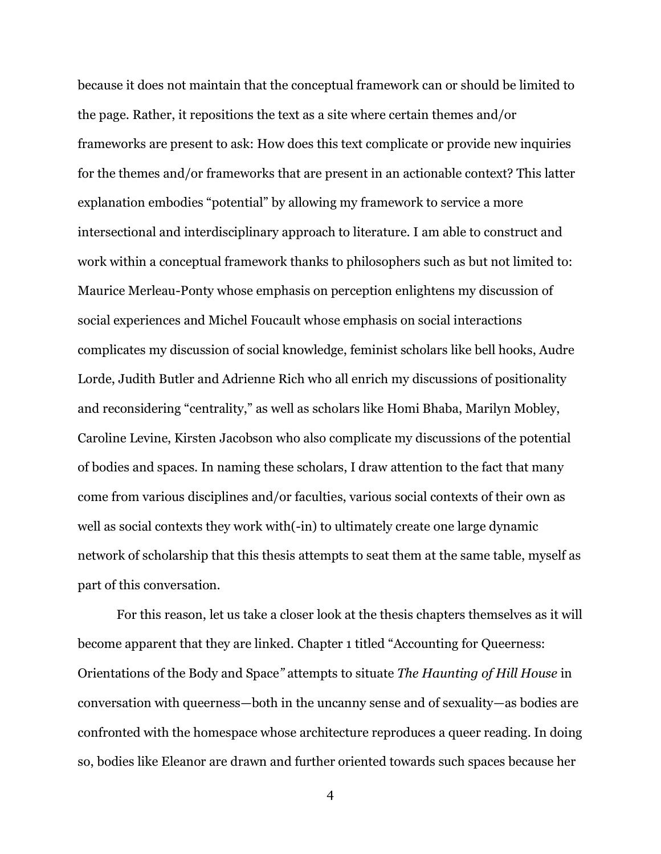because it does not maintain that the conceptual framework can or should be limited to the page. Rather, it repositions the text as a site where certain themes and/or frameworks are present to ask: How does this text complicate or provide new inquiries for the themes and/or frameworks that are present in an actionable context? This latter explanation embodies "potential" by allowing my framework to service a more intersectional and interdisciplinary approach to literature. I am able to construct and work within a conceptual framework thanks to philosophers such as but not limited to: Maurice Merleau-Ponty whose emphasis on perception enlightens my discussion of social experiences and Michel Foucault whose emphasis on social interactions complicates my discussion of social knowledge, feminist scholars like bell hooks, Audre Lorde, Judith Butler and Adrienne Rich who all enrich my discussions of positionality and reconsidering "centrality," as well as scholars like Homi Bhaba, Marilyn Mobley, Caroline Levine, Kirsten Jacobson who also complicate my discussions of the potential of bodies and spaces. In naming these scholars, I draw attention to the fact that many come from various disciplines and/or faculties, various social contexts of their own as well as social contexts they work with(-in) to ultimately create one large dynamic network of scholarship that this thesis attempts to seat them at the same table, myself as part of this conversation.

For this reason, let us take a closer look at the thesis chapters themselves as it will become apparent that they are linked. Chapter 1 titled "Accounting for Queerness: Orientations of the Body and Space*"* attempts to situate *The Haunting of Hill House* in conversation with queerness—both in the uncanny sense and of sexuality—as bodies are confronted with the homespace whose architecture reproduces a queer reading. In doing so, bodies like Eleanor are drawn and further oriented towards such spaces because her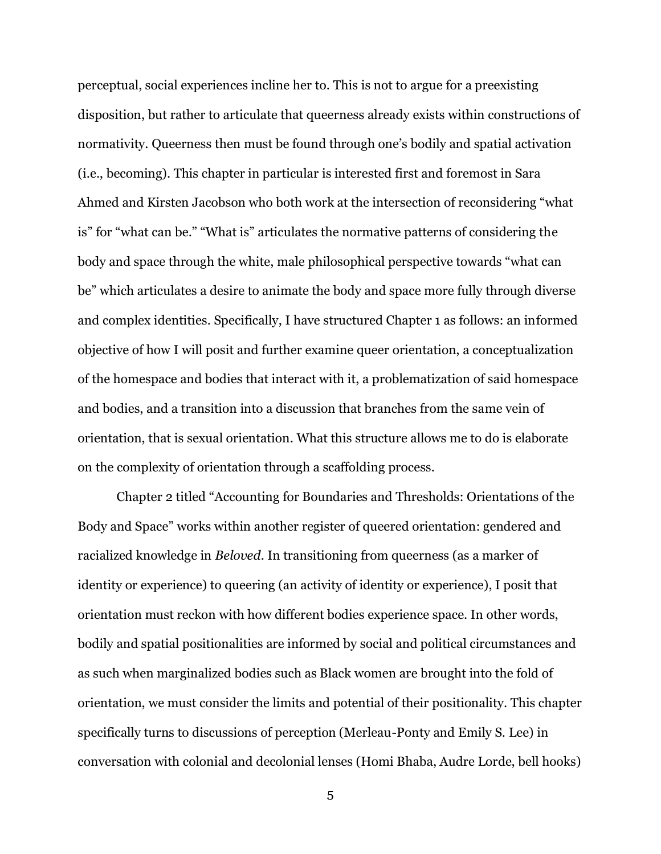perceptual, social experiences incline her to. This is not to argue for a preexisting disposition, but rather to articulate that queerness already exists within constructions of normativity. Queerness then must be found through one's bodily and spatial activation (i.e., becoming). This chapter in particular is interested first and foremost in Sara Ahmed and Kirsten Jacobson who both work at the intersection of reconsidering "what is" for "what can be." "What is" articulates the normative patterns of considering the body and space through the white, male philosophical perspective towards "what can be" which articulates a desire to animate the body and space more fully through diverse and complex identities. Specifically, I have structured Chapter 1 as follows: an informed objective of how I will posit and further examine queer orientation, a conceptualization of the homespace and bodies that interact with it, a problematization of said homespace and bodies, and a transition into a discussion that branches from the same vein of orientation, that is sexual orientation. What this structure allows me to do is elaborate on the complexity of orientation through a scaffolding process.

Chapter 2 titled "Accounting for Boundaries and Thresholds: Orientations of the Body and Space" works within another register of queered orientation: gendered and racialized knowledge in *Beloved*. In transitioning from queerness (as a marker of identity or experience) to queering (an activity of identity or experience), I posit that orientation must reckon with how different bodies experience space. In other words, bodily and spatial positionalities are informed by social and political circumstances and as such when marginalized bodies such as Black women are brought into the fold of orientation, we must consider the limits and potential of their positionality. This chapter specifically turns to discussions of perception (Merleau-Ponty and Emily S. Lee) in conversation with colonial and decolonial lenses (Homi Bhaba, Audre Lorde, bell hooks)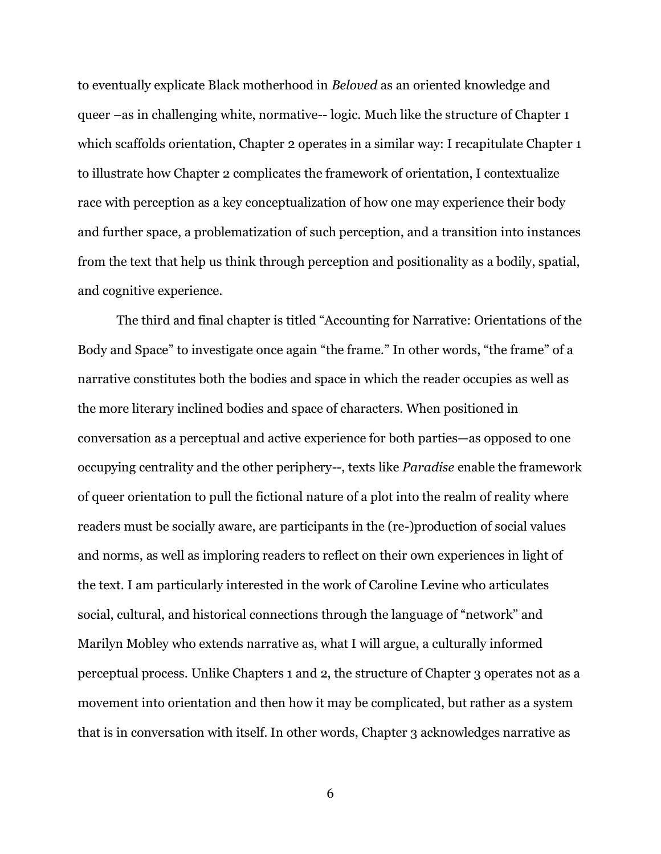to eventually explicate Black motherhood in *Beloved* as an oriented knowledge and queer –as in challenging white, normative-- logic. Much like the structure of Chapter 1 which scaffolds orientation, Chapter 2 operates in a similar way: I recapitulate Chapter 1 to illustrate how Chapter 2 complicates the framework of orientation, I contextualize race with perception as a key conceptualization of how one may experience their body and further space, a problematization of such perception, and a transition into instances from the text that help us think through perception and positionality as a bodily, spatial, and cognitive experience.

The third and final chapter is titled "Accounting for Narrative: Orientations of the Body and Space" to investigate once again "the frame." In other words, "the frame" of a narrative constitutes both the bodies and space in which the reader occupies as well as the more literary inclined bodies and space of characters. When positioned in conversation as a perceptual and active experience for both parties—as opposed to one occupying centrality and the other periphery--, texts like *Paradise* enable the framework of queer orientation to pull the fictional nature of a plot into the realm of reality where readers must be socially aware, are participants in the (re-)production of social values and norms, as well as imploring readers to reflect on their own experiences in light of the text. I am particularly interested in the work of Caroline Levine who articulates social, cultural, and historical connections through the language of "network" and Marilyn Mobley who extends narrative as, what I will argue, a culturally informed perceptual process. Unlike Chapters 1 and 2, the structure of Chapter 3 operates not as a movement into orientation and then how it may be complicated, but rather as a system that is in conversation with itself. In other words, Chapter 3 acknowledges narrative as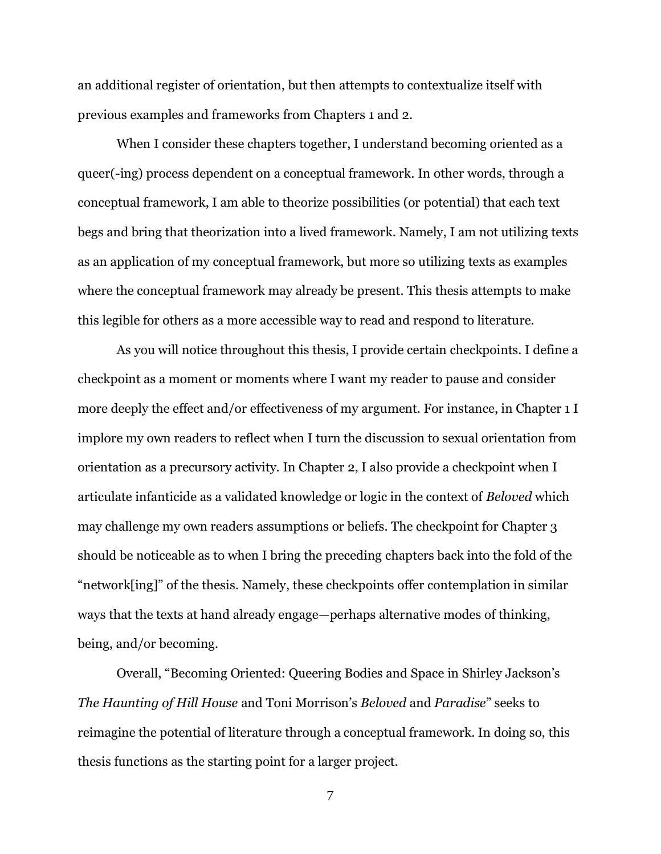an additional register of orientation, but then attempts to contextualize itself with previous examples and frameworks from Chapters 1 and 2.

When I consider these chapters together, I understand becoming oriented as a queer(-ing) process dependent on a conceptual framework. In other words, through a conceptual framework, I am able to theorize possibilities (or potential) that each text begs and bring that theorization into a lived framework. Namely, I am not utilizing texts as an application of my conceptual framework, but more so utilizing texts as examples where the conceptual framework may already be present. This thesis attempts to make this legible for others as a more accessible way to read and respond to literature.

As you will notice throughout this thesis, I provide certain checkpoints. I define a checkpoint as a moment or moments where I want my reader to pause and consider more deeply the effect and/or effectiveness of my argument. For instance, in Chapter 1 I implore my own readers to reflect when I turn the discussion to sexual orientation from orientation as a precursory activity. In Chapter 2, I also provide a checkpoint when I articulate infanticide as a validated knowledge or logic in the context of *Beloved* which may challenge my own readers assumptions or beliefs. The checkpoint for Chapter 3 should be noticeable as to when I bring the preceding chapters back into the fold of the "network[ing]" of the thesis. Namely, these checkpoints offer contemplation in similar ways that the texts at hand already engage—perhaps alternative modes of thinking, being, and/or becoming.

Overall, "Becoming Oriented: Queering Bodies and Space in Shirley Jackson's *The Haunting of Hill House* and Toni Morrison's *Beloved* and *Paradise*" seeks to reimagine the potential of literature through a conceptual framework. In doing so, this thesis functions as the starting point for a larger project.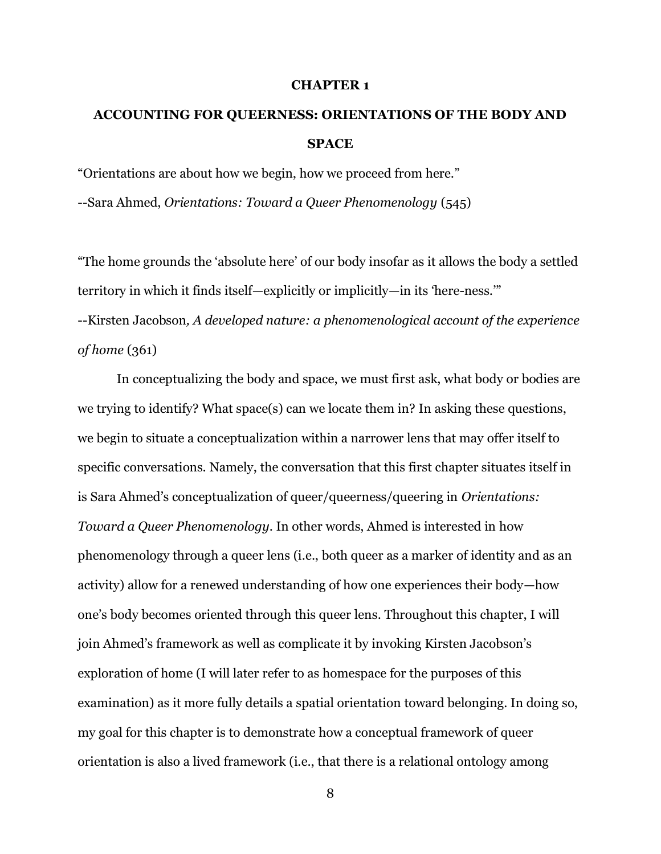### **CHAPTER 1**

# **ACCOUNTING FOR QUEERNESS: ORIENTATIONS OF THE BODY AND SPACE**

"Orientations are about how we begin, how we proceed from here."

--Sara Ahmed, *Orientations: Toward a Queer Phenomenology* (545)

"The home grounds the 'absolute here' of our body insofar as it allows the body a settled territory in which it finds itself—explicitly or implicitly—in its 'here-ness.'"

--Kirsten Jacobson*, A developed nature: a phenomenological account of the experience of home* (361)

In conceptualizing the body and space, we must first ask, what body or bodies are we trying to identify? What space(s) can we locate them in? In asking these questions, we begin to situate a conceptualization within a narrower lens that may offer itself to specific conversations. Namely, the conversation that this first chapter situates itself in is Sara Ahmed's conceptualization of queer/queerness/queering in *Orientations: Toward a Queer Phenomenology*. In other words, Ahmed is interested in how phenomenology through a queer lens (i.e., both queer as a marker of identity and as an activity) allow for a renewed understanding of how one experiences their body—how one's body becomes oriented through this queer lens. Throughout this chapter, I will join Ahmed's framework as well as complicate it by invoking Kirsten Jacobson's exploration of home (I will later refer to as homespace for the purposes of this examination) as it more fully details a spatial orientation toward belonging. In doing so, my goal for this chapter is to demonstrate how a conceptual framework of queer orientation is also a lived framework (i.e., that there is a relational ontology among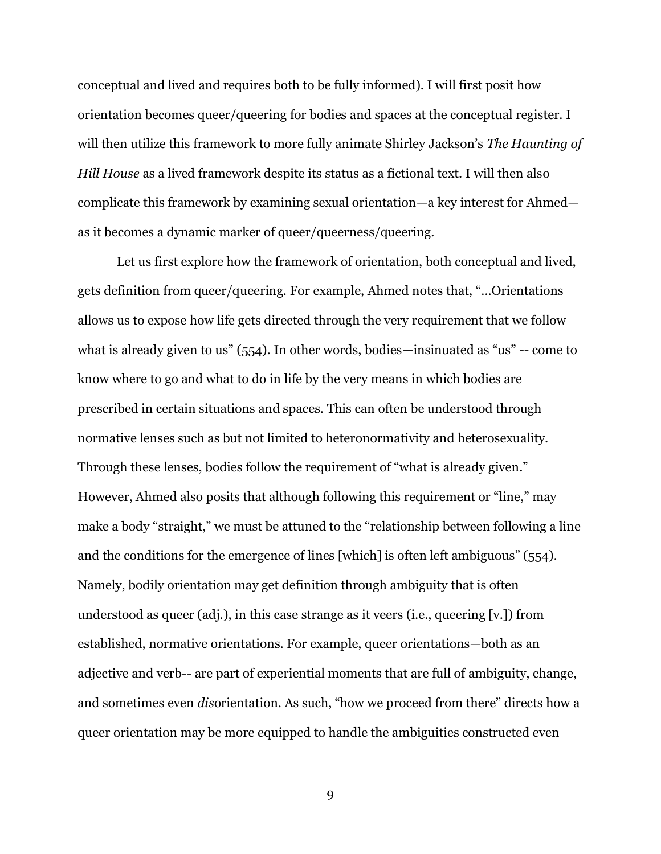conceptual and lived and requires both to be fully informed). I will first posit how orientation becomes queer/queering for bodies and spaces at the conceptual register. I will then utilize this framework to more fully animate Shirley Jackson's *The Haunting of Hill House* as a lived framework despite its status as a fictional text. I will then also complicate this framework by examining sexual orientation—a key interest for Ahmed as it becomes a dynamic marker of queer/queerness/queering.

Let us first explore how the framework of orientation, both conceptual and lived, gets definition from queer/queering. For example, Ahmed notes that, "…Orientations allows us to expose how life gets directed through the very requirement that we follow what is already given to us" (554). In other words, bodies—insinuated as "us" -- come to know where to go and what to do in life by the very means in which bodies are prescribed in certain situations and spaces. This can often be understood through normative lenses such as but not limited to heteronormativity and heterosexuality. Through these lenses, bodies follow the requirement of "what is already given." However, Ahmed also posits that although following this requirement or "line," may make a body "straight," we must be attuned to the "relationship between following a line and the conditions for the emergence of lines [which] is often left ambiguous" (554). Namely, bodily orientation may get definition through ambiguity that is often understood as queer (adj.), in this case strange as it veers (i.e., queering [v.]) from established, normative orientations. For example, queer orientations—both as an adjective and verb-- are part of experiential moments that are full of ambiguity, change, and sometimes even *dis*orientation. As such, "how we proceed from there" directs how a queer orientation may be more equipped to handle the ambiguities constructed even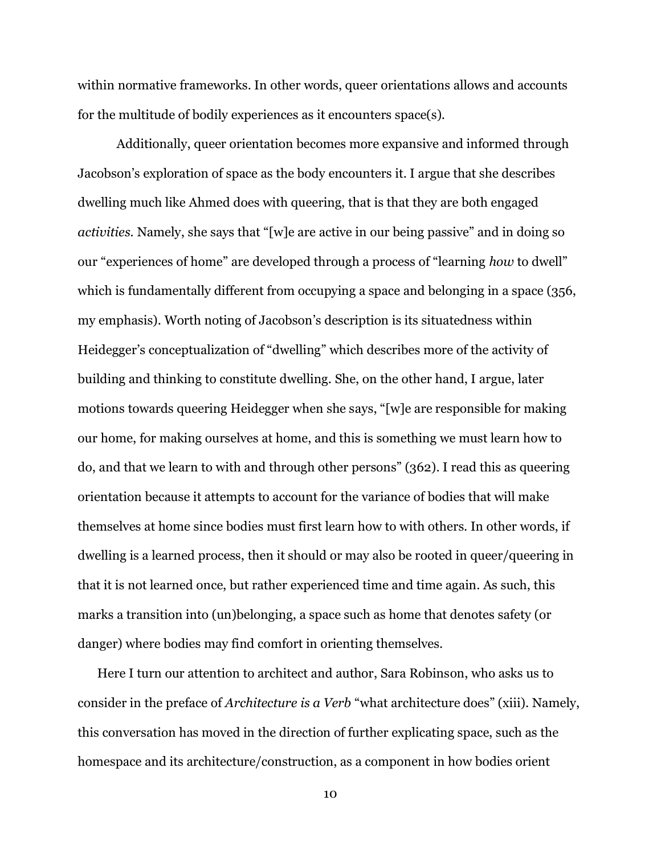within normative frameworks. In other words, queer orientations allows and accounts for the multitude of bodily experiences as it encounters space(s).

Additionally, queer orientation becomes more expansive and informed through Jacobson's exploration of space as the body encounters it. I argue that she describes dwelling much like Ahmed does with queering, that is that they are both engaged *activities.* Namely, she says that "[w]e are active in our being passive" and in doing so our "experiences of home" are developed through a process of "learning *how* to dwell" which is fundamentally different from occupying a space and belonging in a space (356, my emphasis). Worth noting of Jacobson's description is its situatedness within Heidegger's conceptualization of "dwelling" which describes more of the activity of building and thinking to constitute dwelling. She, on the other hand, I argue, later motions towards queering Heidegger when she says, "[w]e are responsible for making our home, for making ourselves at home, and this is something we must learn how to do, and that we learn to with and through other persons" (362). I read this as queering orientation because it attempts to account for the variance of bodies that will make themselves at home since bodies must first learn how to with others. In other words, if dwelling is a learned process, then it should or may also be rooted in queer/queering in that it is not learned once, but rather experienced time and time again. As such, this marks a transition into (un)belonging, a space such as home that denotes safety (or danger) where bodies may find comfort in orienting themselves.

Here I turn our attention to architect and author, Sara Robinson, who asks us to consider in the preface of *Architecture is a Verb* "what architecture does" (xiii). Namely, this conversation has moved in the direction of further explicating space, such as the homespace and its architecture/construction, as a component in how bodies orient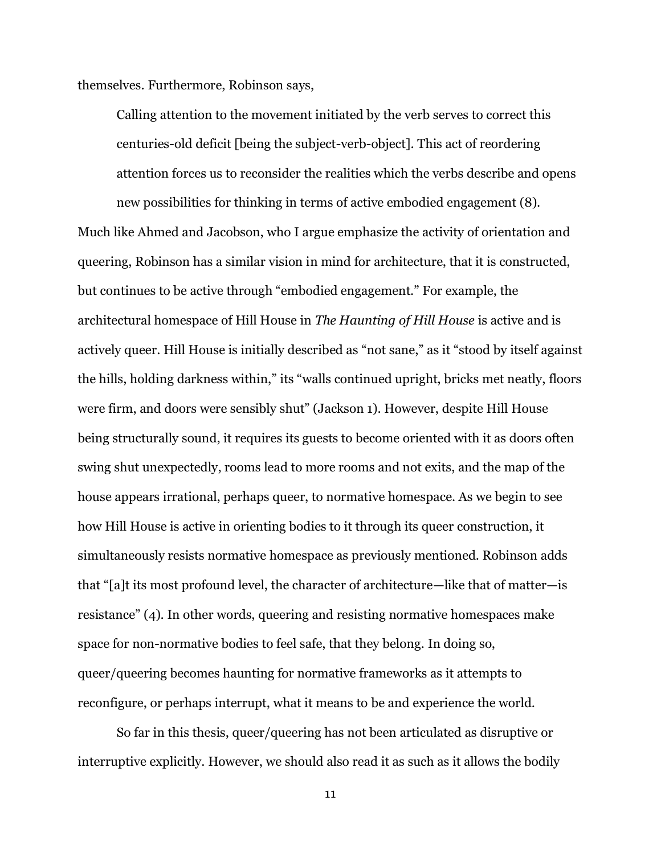themselves. Furthermore, Robinson says,

Calling attention to the movement initiated by the verb serves to correct this centuries-old deficit [being the subject-verb-object]. This act of reordering attention forces us to reconsider the realities which the verbs describe and opens new possibilities for thinking in terms of active embodied engagement (8).

Much like Ahmed and Jacobson, who I argue emphasize the activity of orientation and queering, Robinson has a similar vision in mind for architecture, that it is constructed, but continues to be active through "embodied engagement." For example, the architectural homespace of Hill House in *The Haunting of Hill House* is active and is actively queer. Hill House is initially described as "not sane," as it "stood by itself against the hills, holding darkness within," its "walls continued upright, bricks met neatly, floors were firm, and doors were sensibly shut" (Jackson 1). However, despite Hill House being structurally sound, it requires its guests to become oriented with it as doors often swing shut unexpectedly, rooms lead to more rooms and not exits, and the map of the house appears irrational, perhaps queer, to normative homespace. As we begin to see how Hill House is active in orienting bodies to it through its queer construction, it simultaneously resists normative homespace as previously mentioned. Robinson adds that "[a]t its most profound level, the character of architecture—like that of matter—is resistance" (4). In other words, queering and resisting normative homespaces make space for non-normative bodies to feel safe, that they belong. In doing so, queer/queering becomes haunting for normative frameworks as it attempts to reconfigure, or perhaps interrupt, what it means to be and experience the world.

So far in this thesis, queer/queering has not been articulated as disruptive or interruptive explicitly. However, we should also read it as such as it allows the bodily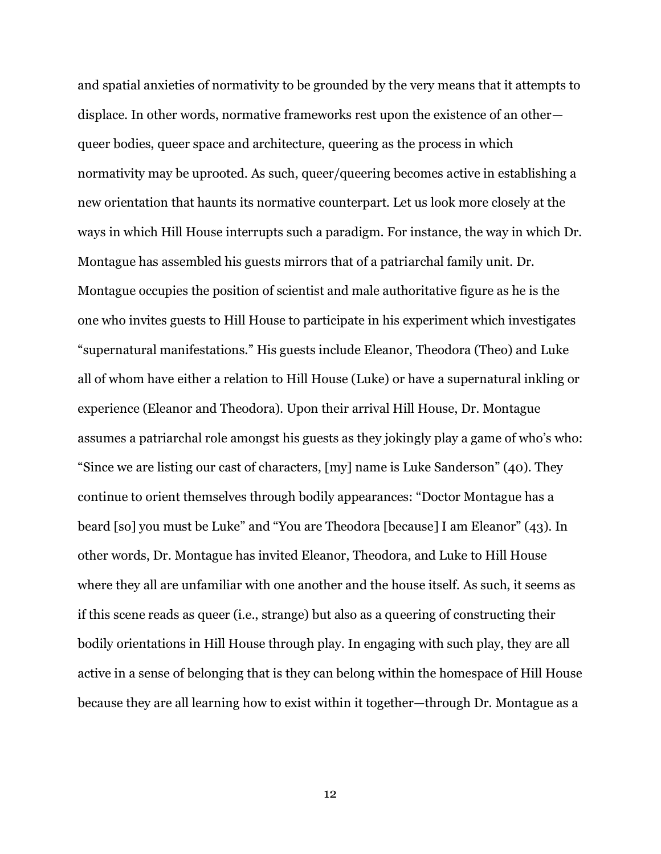and spatial anxieties of normativity to be grounded by the very means that it attempts to displace. In other words, normative frameworks rest upon the existence of an other queer bodies, queer space and architecture, queering as the process in which normativity may be uprooted. As such, queer/queering becomes active in establishing a new orientation that haunts its normative counterpart. Let us look more closely at the ways in which Hill House interrupts such a paradigm. For instance, the way in which Dr. Montague has assembled his guests mirrors that of a patriarchal family unit. Dr. Montague occupies the position of scientist and male authoritative figure as he is the one who invites guests to Hill House to participate in his experiment which investigates "supernatural manifestations." His guests include Eleanor, Theodora (Theo) and Luke all of whom have either a relation to Hill House (Luke) or have a supernatural inkling or experience (Eleanor and Theodora). Upon their arrival Hill House, Dr. Montague assumes a patriarchal role amongst his guests as they jokingly play a game of who's who: "Since we are listing our cast of characters, [my] name is Luke Sanderson" (40). They continue to orient themselves through bodily appearances: "Doctor Montague has a beard [so] you must be Luke" and "You are Theodora [because] I am Eleanor" (43). In other words, Dr. Montague has invited Eleanor, Theodora, and Luke to Hill House where they all are unfamiliar with one another and the house itself. As such, it seems as if this scene reads as queer (i.e., strange) but also as a queering of constructing their bodily orientations in Hill House through play. In engaging with such play, they are all active in a sense of belonging that is they can belong within the homespace of Hill House because they are all learning how to exist within it together—through Dr. Montague as a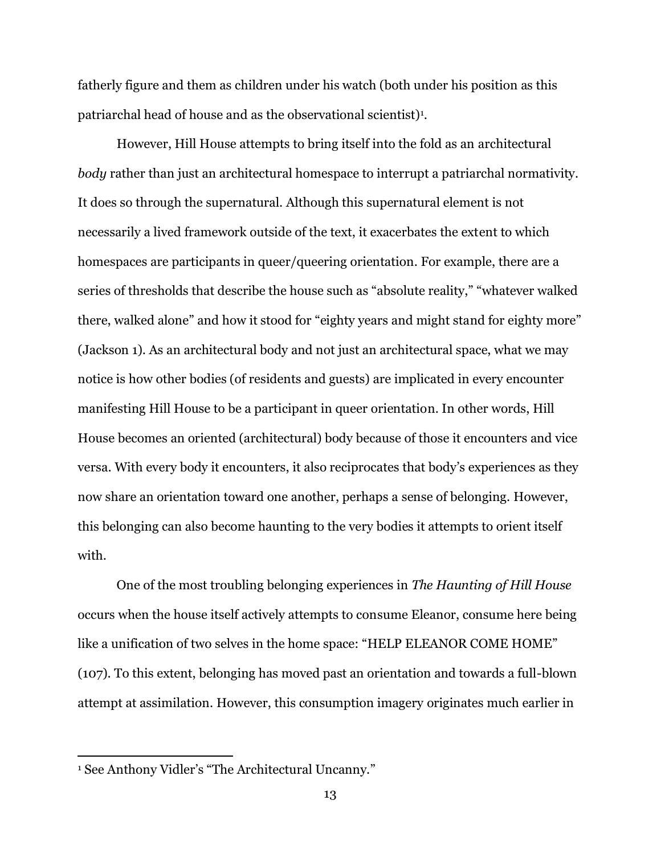fatherly figure and them as children under his watch (both under his position as this patriarchal head of house and as the observational scientist)<sup>1</sup>.

However, Hill House attempts to bring itself into the fold as an architectural *body* rather than just an architectural homespace to interrupt a patriarchal normativity. It does so through the supernatural. Although this supernatural element is not necessarily a lived framework outside of the text, it exacerbates the extent to which homespaces are participants in queer/queering orientation. For example, there are a series of thresholds that describe the house such as "absolute reality," "whatever walked there, walked alone" and how it stood for "eighty years and might stand for eighty more" (Jackson 1). As an architectural body and not just an architectural space, what we may notice is how other bodies (of residents and guests) are implicated in every encounter manifesting Hill House to be a participant in queer orientation. In other words, Hill House becomes an oriented (architectural) body because of those it encounters and vice versa. With every body it encounters, it also reciprocates that body's experiences as they now share an orientation toward one another, perhaps a sense of belonging. However, this belonging can also become haunting to the very bodies it attempts to orient itself with.

One of the most troubling belonging experiences in *The Haunting of Hill House* occurs when the house itself actively attempts to consume Eleanor, consume here being like a unification of two selves in the home space: "HELP ELEANOR COME HOME" (107). To this extent, belonging has moved past an orientation and towards a full-blown attempt at assimilation. However, this consumption imagery originates much earlier in

<sup>1</sup> See Anthony Vidler's "The Architectural Uncanny."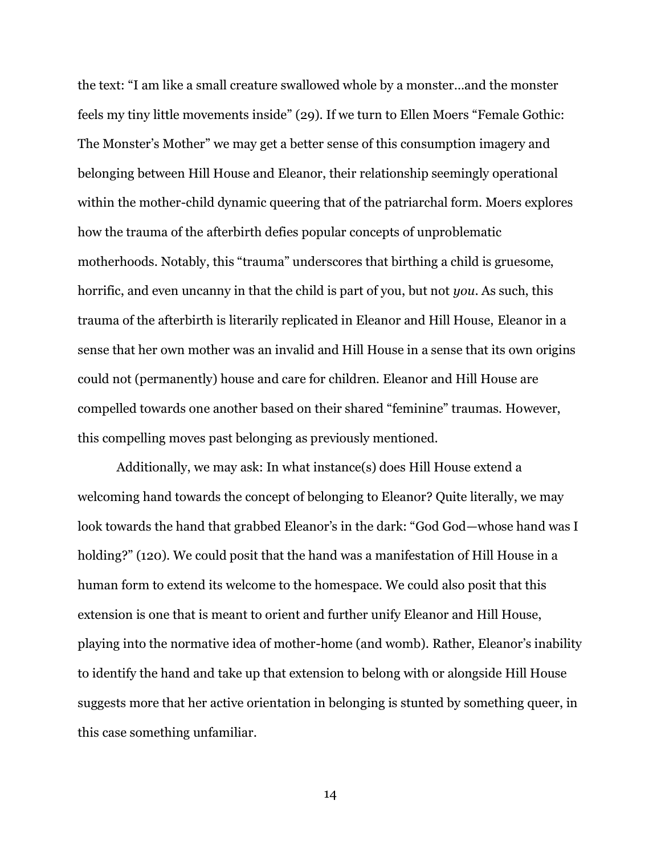the text: "I am like a small creature swallowed whole by a monster…and the monster feels my tiny little movements inside" (29). If we turn to Ellen Moers "Female Gothic: The Monster's Mother" we may get a better sense of this consumption imagery and belonging between Hill House and Eleanor, their relationship seemingly operational within the mother-child dynamic queering that of the patriarchal form. Moers explores how the trauma of the afterbirth defies popular concepts of unproblematic motherhoods. Notably, this "trauma" underscores that birthing a child is gruesome, horrific, and even uncanny in that the child is part of you, but not *you*. As such, this trauma of the afterbirth is literarily replicated in Eleanor and Hill House, Eleanor in a sense that her own mother was an invalid and Hill House in a sense that its own origins could not (permanently) house and care for children. Eleanor and Hill House are compelled towards one another based on their shared "feminine" traumas. However, this compelling moves past belonging as previously mentioned.

Additionally, we may ask: In what instance(s) does Hill House extend a welcoming hand towards the concept of belonging to Eleanor? Quite literally, we may look towards the hand that grabbed Eleanor's in the dark: "God God—whose hand was I holding?" (120). We could posit that the hand was a manifestation of Hill House in a human form to extend its welcome to the homespace. We could also posit that this extension is one that is meant to orient and further unify Eleanor and Hill House, playing into the normative idea of mother-home (and womb). Rather, Eleanor's inability to identify the hand and take up that extension to belong with or alongside Hill House suggests more that her active orientation in belonging is stunted by something queer, in this case something unfamiliar.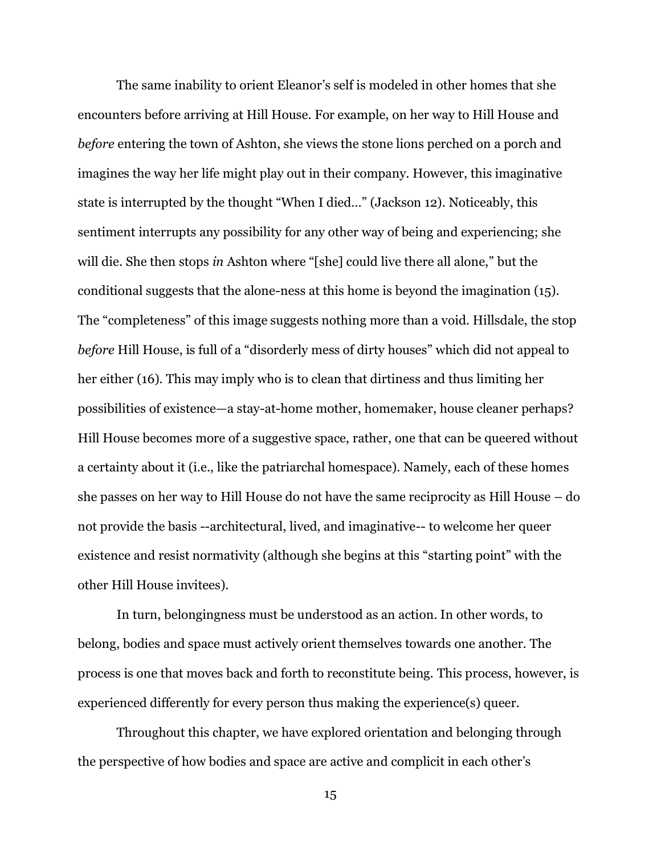The same inability to orient Eleanor's self is modeled in other homes that she encounters before arriving at Hill House. For example, on her way to Hill House and *before* entering the town of Ashton, she views the stone lions perched on a porch and imagines the way her life might play out in their company. However, this imaginative state is interrupted by the thought "When I died…" (Jackson 12). Noticeably, this sentiment interrupts any possibility for any other way of being and experiencing; she will die. She then stops *in* Ashton where "[she] could live there all alone," but the conditional suggests that the alone-ness at this home is beyond the imagination (15). The "completeness" of this image suggests nothing more than a void. Hillsdale, the stop *before* Hill House, is full of a "disorderly mess of dirty houses" which did not appeal to her either (16). This may imply who is to clean that dirtiness and thus limiting her possibilities of existence—a stay-at-home mother, homemaker, house cleaner perhaps? Hill House becomes more of a suggestive space, rather, one that can be queered without a certainty about it (i.e., like the patriarchal homespace). Namely, each of these homes she passes on her way to Hill House do not have the same reciprocity as Hill House – do not provide the basis --architectural, lived, and imaginative-- to welcome her queer existence and resist normativity (although she begins at this "starting point" with the other Hill House invitees).

In turn, belongingness must be understood as an action. In other words, to belong, bodies and space must actively orient themselves towards one another. The process is one that moves back and forth to reconstitute being. This process, however, is experienced differently for every person thus making the experience(s) queer.

Throughout this chapter, we have explored orientation and belonging through the perspective of how bodies and space are active and complicit in each other's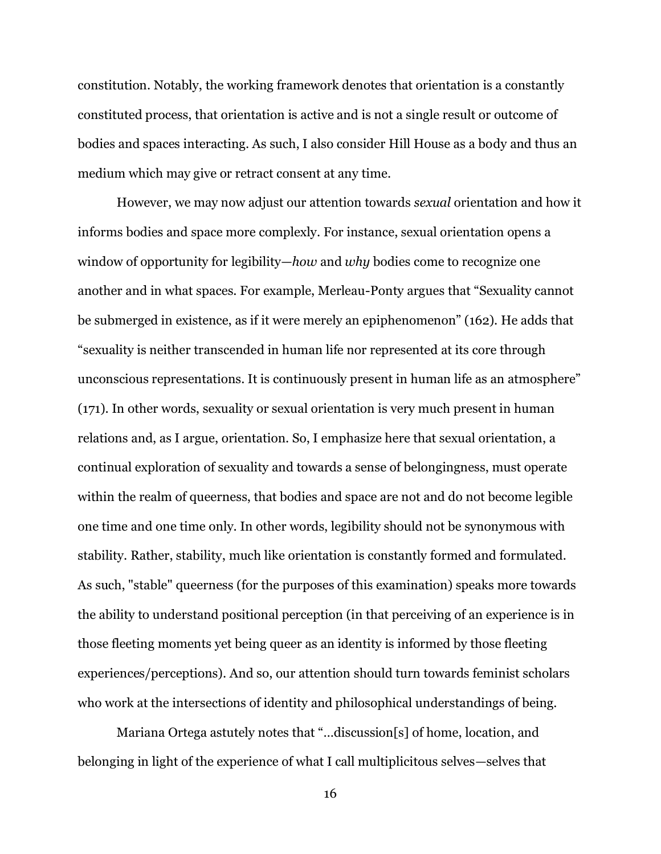constitution. Notably, the working framework denotes that orientation is a constantly constituted process, that orientation is active and is not a single result or outcome of bodies and spaces interacting. As such, I also consider Hill House as a body and thus an medium which may give or retract consent at any time.

However, we may now adjust our attention towards *sexual* orientation and how it informs bodies and space more complexly. For instance, sexual orientation opens a window of opportunity for legibility—*how* and *why* bodies come to recognize one another and in what spaces. For example, Merleau-Ponty argues that "Sexuality cannot be submerged in existence, as if it were merely an epiphenomenon" (162). He adds that "sexuality is neither transcended in human life nor represented at its core through unconscious representations. It is continuously present in human life as an atmosphere" (171). In other words, sexuality or sexual orientation is very much present in human relations and, as I argue, orientation. So, I emphasize here that sexual orientation, a continual exploration of sexuality and towards a sense of belongingness, must operate within the realm of queerness, that bodies and space are not and do not become legible one time and one time only. In other words, legibility should not be synonymous with stability. Rather, stability, much like orientation is constantly formed and formulated. As such, "stable" queerness (for the purposes of this examination) speaks more towards the ability to understand positional perception (in that perceiving of an experience is in those fleeting moments yet being queer as an identity is informed by those fleeting experiences/perceptions). And so, our attention should turn towards feminist scholars who work at the intersections of identity and philosophical understandings of being.

Mariana Ortega astutely notes that "…discussion[s] of home, location, and belonging in light of the experience of what I call multiplicitous selves—selves that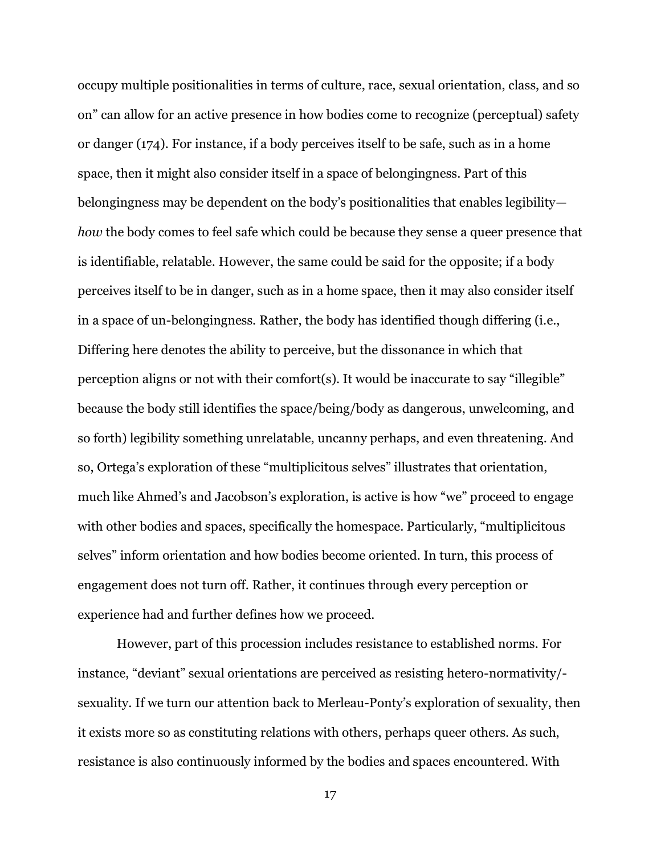occupy multiple positionalities in terms of culture, race, sexual orientation, class, and so on" can allow for an active presence in how bodies come to recognize (perceptual) safety or danger (174). For instance, if a body perceives itself to be safe, such as in a home space, then it might also consider itself in a space of belongingness. Part of this belongingness may be dependent on the body's positionalities that enables legibility *how* the body comes to feel safe which could be because they sense a queer presence that is identifiable, relatable. However, the same could be said for the opposite; if a body perceives itself to be in danger, such as in a home space, then it may also consider itself in a space of un-belongingness. Rather, the body has identified though differing (i.e., Differing here denotes the ability to perceive, but the dissonance in which that perception aligns or not with their comfort(s). It would be inaccurate to say "illegible" because the body still identifies the space/being/body as dangerous, unwelcoming, and so forth) legibility something unrelatable, uncanny perhaps, and even threatening. And so, Ortega's exploration of these "multiplicitous selves" illustrates that orientation, much like Ahmed's and Jacobson's exploration, is active is how "we" proceed to engage with other bodies and spaces, specifically the homespace. Particularly, "multiplicitous selves" inform orientation and how bodies become oriented. In turn, this process of engagement does not turn off. Rather, it continues through every perception or experience had and further defines how we proceed.

However, part of this procession includes resistance to established norms. For instance, "deviant" sexual orientations are perceived as resisting hetero-normativity/ sexuality. If we turn our attention back to Merleau-Ponty's exploration of sexuality, then it exists more so as constituting relations with others, perhaps queer others. As such, resistance is also continuously informed by the bodies and spaces encountered. With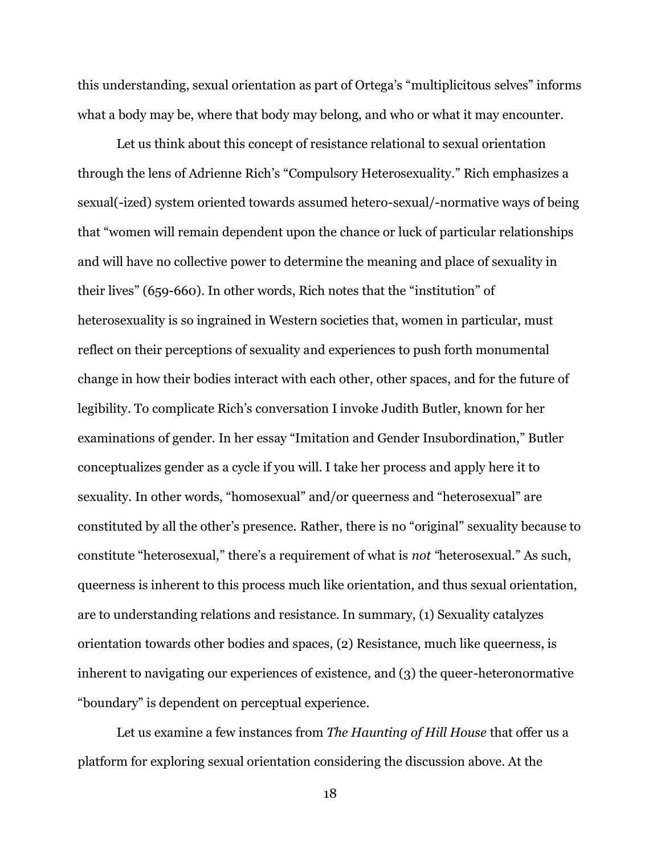this understanding, sexual orientation as part of Ortega's "multiplicitous selves" informs what a body may be, where that body may belong, and who or what it may encounter.

Let us think about this concept of resistance relational to sexual orientation through the lens of Adrienne Rich's "Compulsory Heterosexuality." Rich emphasizes a sexual(-ized) system oriented towards assumed hetero-sexual/-normative ways of being that "women will remain dependent upon the chance or luck of particular relationships and will have no collective power to determine the meaning and place of sexuality in their lives" (659-660). In other words, Rich notes that the "institution" of heterosexuality is so ingrained in Western societies that, women in particular, must reflect on their perceptions of sexuality and experiences to push forth monumental change in how their bodies interact with each other, other spaces, and for the future of legibility. To complicate Rich's conversation I invoke Judith Butler, known for her examinations of gender. In her essay "Imitation and Gender Insubordination," Butler conceptualizes gender as a cycle if you will. I take her process and apply here it to sexuality. In other words, "homosexual" and/or queerness and "heterosexual" are constituted by all the other's presence. Rather, there is no "original" sexuality because to constitute "heterosexual," there's a requirement of what is *not "*heterosexual." As such, queerness is inherent to this process much like orientation, and thus sexual orientation, are to understanding relations and resistance. In summary, (1) Sexuality catalyzes orientation towards other bodies and spaces, (2) Resistance, much like queerness, is inherent to navigating our experiences of existence, and (3) the queer-heteronormative "boundary" is dependent on perceptual experience.

Let us examine a few instances from *The Haunting of Hill House* that offer us a platform for exploring sexual orientation considering the discussion above. At the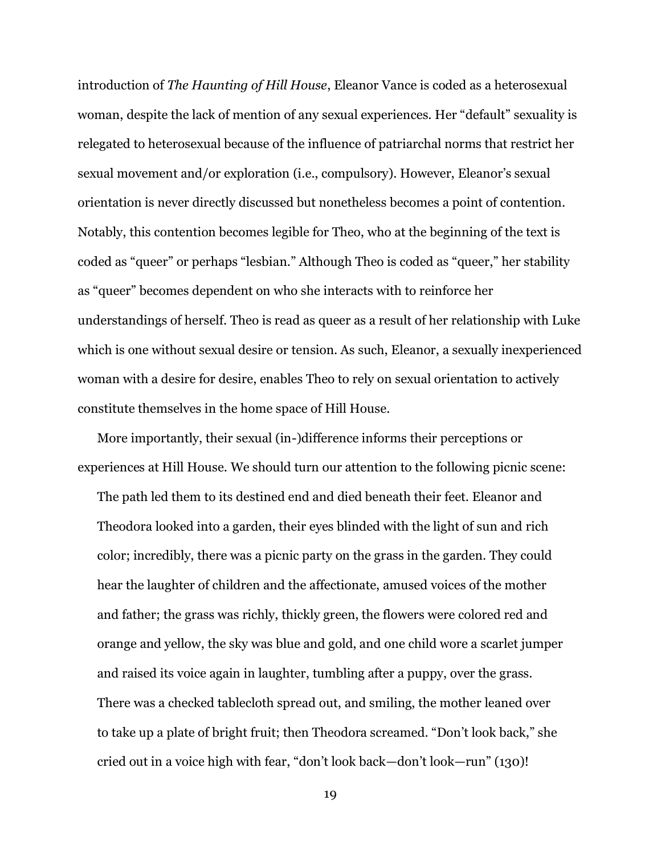introduction of *The Haunting of Hill House*, Eleanor Vance is coded as a heterosexual woman, despite the lack of mention of any sexual experiences. Her "default" sexuality is relegated to heterosexual because of the influence of patriarchal norms that restrict her sexual movement and/or exploration (i.e., compulsory). However, Eleanor's sexual orientation is never directly discussed but nonetheless becomes a point of contention. Notably, this contention becomes legible for Theo, who at the beginning of the text is coded as "queer" or perhaps "lesbian." Although Theo is coded as "queer," her stability as "queer" becomes dependent on who she interacts with to reinforce her understandings of herself. Theo is read as queer as a result of her relationship with Luke which is one without sexual desire or tension. As such, Eleanor, a sexually inexperienced woman with a desire for desire, enables Theo to rely on sexual orientation to actively constitute themselves in the home space of Hill House.

More importantly, their sexual (in-)difference informs their perceptions or experiences at Hill House. We should turn our attention to the following picnic scene: The path led them to its destined end and died beneath their feet. Eleanor and Theodora looked into a garden, their eyes blinded with the light of sun and rich color; incredibly, there was a picnic party on the grass in the garden. They could hear the laughter of children and the affectionate, amused voices of the mother and father; the grass was richly, thickly green, the flowers were colored red and orange and yellow, the sky was blue and gold, and one child wore a scarlet jumper and raised its voice again in laughter, tumbling after a puppy, over the grass. There was a checked tablecloth spread out, and smiling, the mother leaned over to take up a plate of bright fruit; then Theodora screamed. "Don't look back," she cried out in a voice high with fear, "don't look back—don't look—run" (130)!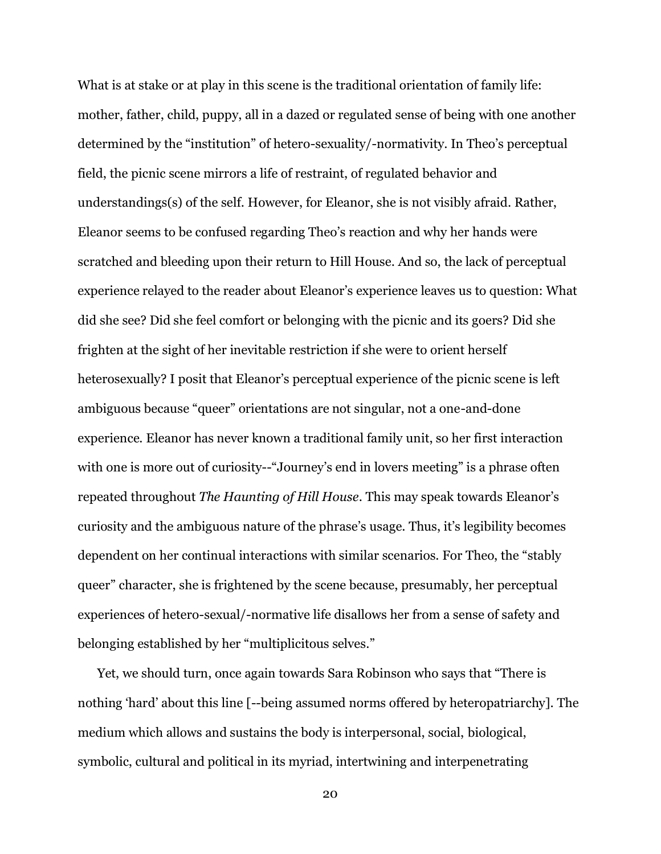What is at stake or at play in this scene is the traditional orientation of family life: mother, father, child, puppy, all in a dazed or regulated sense of being with one another determined by the "institution" of hetero-sexuality/-normativity. In Theo's perceptual field, the picnic scene mirrors a life of restraint, of regulated behavior and understandings(s) of the self. However, for Eleanor, she is not visibly afraid. Rather, Eleanor seems to be confused regarding Theo's reaction and why her hands were scratched and bleeding upon their return to Hill House. And so, the lack of perceptual experience relayed to the reader about Eleanor's experience leaves us to question: What did she see? Did she feel comfort or belonging with the picnic and its goers? Did she frighten at the sight of her inevitable restriction if she were to orient herself heterosexually? I posit that Eleanor's perceptual experience of the picnic scene is left ambiguous because "queer" orientations are not singular, not a one-and-done experience. Eleanor has never known a traditional family unit, so her first interaction with one is more out of curiosity--"Journey's end in lovers meeting" is a phrase often repeated throughout *The Haunting of Hill House*. This may speak towards Eleanor's curiosity and the ambiguous nature of the phrase's usage. Thus, it's legibility becomes dependent on her continual interactions with similar scenarios. For Theo, the "stably queer" character, she is frightened by the scene because, presumably, her perceptual experiences of hetero-sexual/-normative life disallows her from a sense of safety and belonging established by her "multiplicitous selves."

Yet, we should turn, once again towards Sara Robinson who says that "There is nothing 'hard' about this line [--being assumed norms offered by heteropatriarchy]. The medium which allows and sustains the body is interpersonal, social, biological, symbolic, cultural and political in its myriad, intertwining and interpenetrating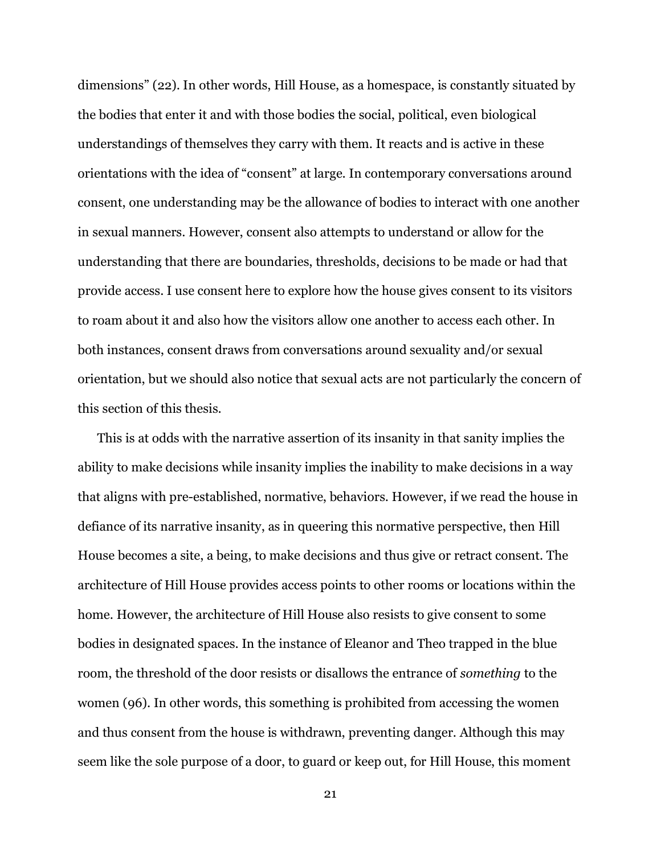dimensions" (22). In other words, Hill House, as a homespace, is constantly situated by the bodies that enter it and with those bodies the social, political, even biological understandings of themselves they carry with them. It reacts and is active in these orientations with the idea of "consent" at large. In contemporary conversations around consent, one understanding may be the allowance of bodies to interact with one another in sexual manners. However, consent also attempts to understand or allow for the understanding that there are boundaries, thresholds, decisions to be made or had that provide access. I use consent here to explore how the house gives consent to its visitors to roam about it and also how the visitors allow one another to access each other. In both instances, consent draws from conversations around sexuality and/or sexual orientation, but we should also notice that sexual acts are not particularly the concern of this section of this thesis.

This is at odds with the narrative assertion of its insanity in that sanity implies the ability to make decisions while insanity implies the inability to make decisions in a way that aligns with pre-established, normative, behaviors. However, if we read the house in defiance of its narrative insanity, as in queering this normative perspective, then Hill House becomes a site, a being, to make decisions and thus give or retract consent. The architecture of Hill House provides access points to other rooms or locations within the home. However, the architecture of Hill House also resists to give consent to some bodies in designated spaces. In the instance of Eleanor and Theo trapped in the blue room, the threshold of the door resists or disallows the entrance of *something* to the women (96). In other words, this something is prohibited from accessing the women and thus consent from the house is withdrawn, preventing danger. Although this may seem like the sole purpose of a door, to guard or keep out, for Hill House, this moment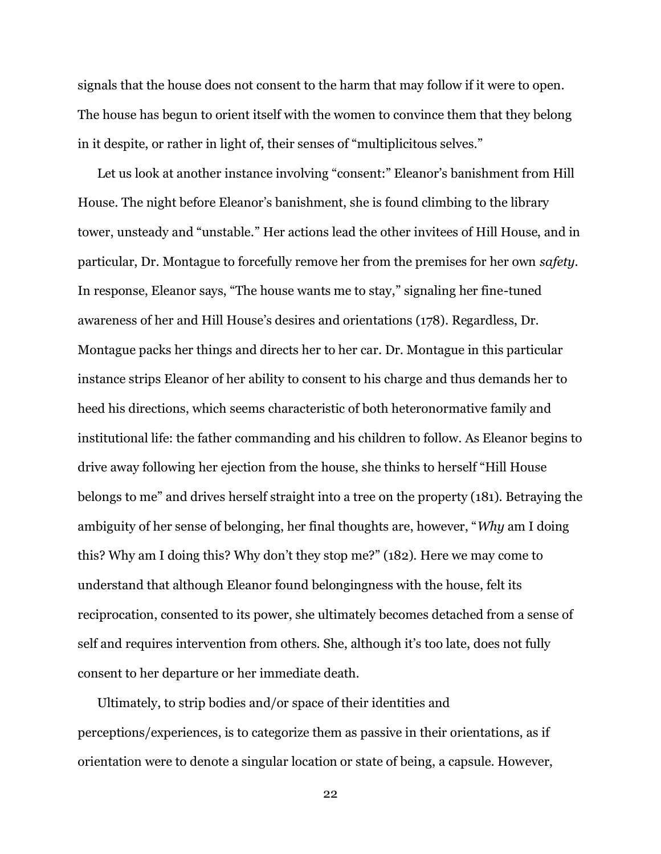signals that the house does not consent to the harm that may follow if it were to open. The house has begun to orient itself with the women to convince them that they belong in it despite, or rather in light of, their senses of "multiplicitous selves."

Let us look at another instance involving "consent:" Eleanor's banishment from Hill House. The night before Eleanor's banishment, she is found climbing to the library tower, unsteady and "unstable." Her actions lead the other invitees of Hill House, and in particular, Dr. Montague to forcefully remove her from the premises for her own *safety*. In response, Eleanor says, "The house wants me to stay," signaling her fine-tuned awareness of her and Hill House's desires and orientations (178). Regardless, Dr. Montague packs her things and directs her to her car. Dr. Montague in this particular instance strips Eleanor of her ability to consent to his charge and thus demands her to heed his directions, which seems characteristic of both heteronormative family and institutional life: the father commanding and his children to follow. As Eleanor begins to drive away following her ejection from the house, she thinks to herself "Hill House belongs to me" and drives herself straight into a tree on the property (181). Betraying the ambiguity of her sense of belonging, her final thoughts are, however, "*Why* am I doing this? Why am I doing this? Why don't they stop me?" (182). Here we may come to understand that although Eleanor found belongingness with the house, felt its reciprocation, consented to its power, she ultimately becomes detached from a sense of self and requires intervention from others. She, although it's too late, does not fully consent to her departure or her immediate death.

Ultimately, to strip bodies and/or space of their identities and perceptions/experiences, is to categorize them as passive in their orientations, as if orientation were to denote a singular location or state of being, a capsule. However,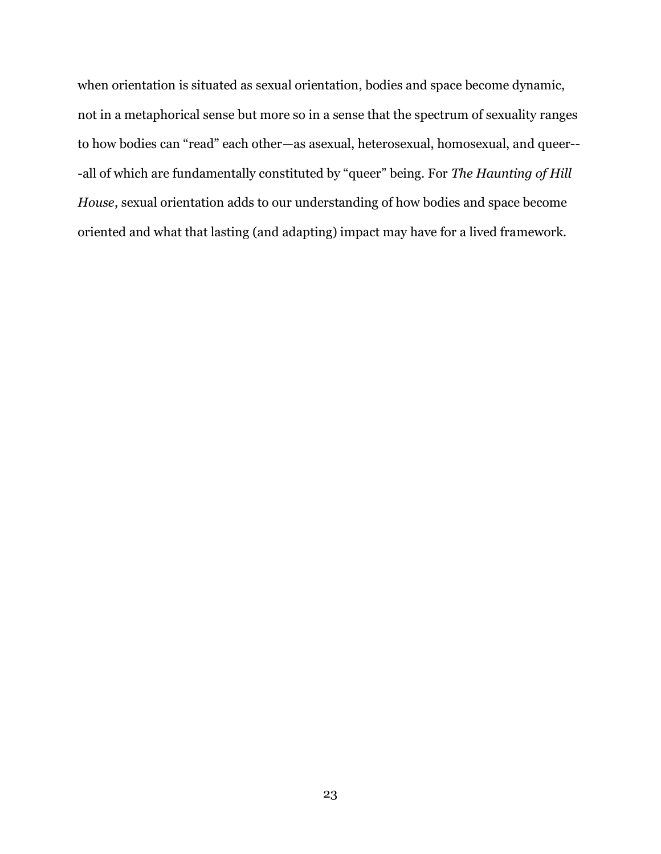when orientation is situated as sexual orientation, bodies and space become dynamic, not in a metaphorical sense but more so in a sense that the spectrum of sexuality ranges to how bodies can "read" each other—as asexual, heterosexual, homosexual, and queer-- -all of which are fundamentally constituted by "queer" being. For *The Haunting of Hill House*, sexual orientation adds to our understanding of how bodies and space become oriented and what that lasting (and adapting) impact may have for a lived framework.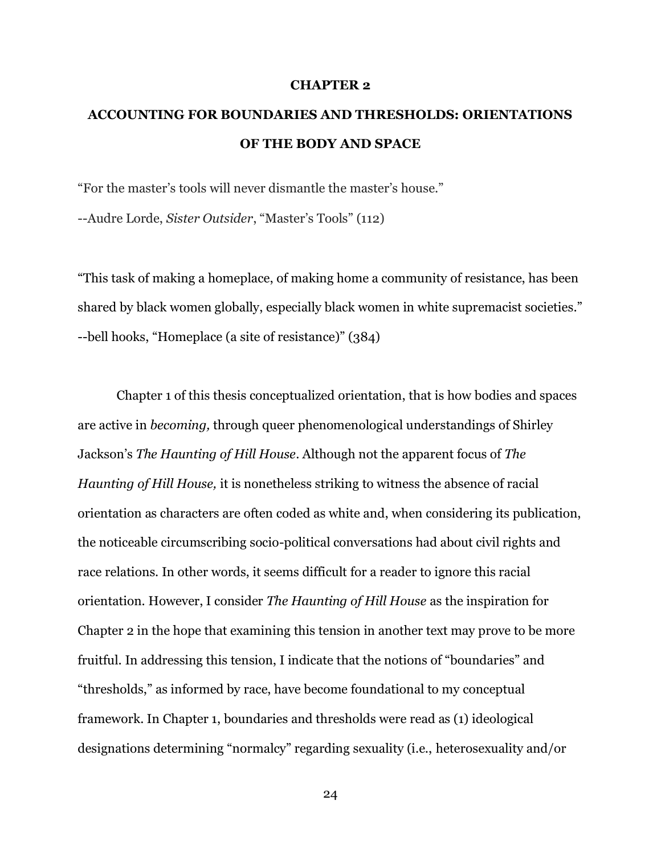#### **CHAPTER 2**

# **ACCOUNTING FOR BOUNDARIES AND THRESHOLDS: ORIENTATIONS OF THE BODY AND SPACE**

"For the master's tools will never dismantle the master's house." --Audre Lorde, *Sister Outsider*, "Master's Tools" (112)

"This task of making a homeplace, of making home a community of resistance, has been shared by black women globally, especially black women in white supremacist societies." --bell hooks, "Homeplace (a site of resistance)" (384)

Chapter 1 of this thesis conceptualized orientation, that is how bodies and spaces are active in *becoming,* through queer phenomenological understandings of Shirley Jackson's *The Haunting of Hill House*. Although not the apparent focus of *The Haunting of Hill House,* it is nonetheless striking to witness the absence of racial orientation as characters are often coded as white and, when considering its publication, the noticeable circumscribing socio-political conversations had about civil rights and race relations. In other words, it seems difficult for a reader to ignore this racial orientation. However, I consider *The Haunting of Hill House* as the inspiration for Chapter 2 in the hope that examining this tension in another text may prove to be more fruitful. In addressing this tension, I indicate that the notions of "boundaries" and "thresholds," as informed by race, have become foundational to my conceptual framework. In Chapter 1, boundaries and thresholds were read as (1) ideological designations determining "normalcy" regarding sexuality (i.e., heterosexuality and/or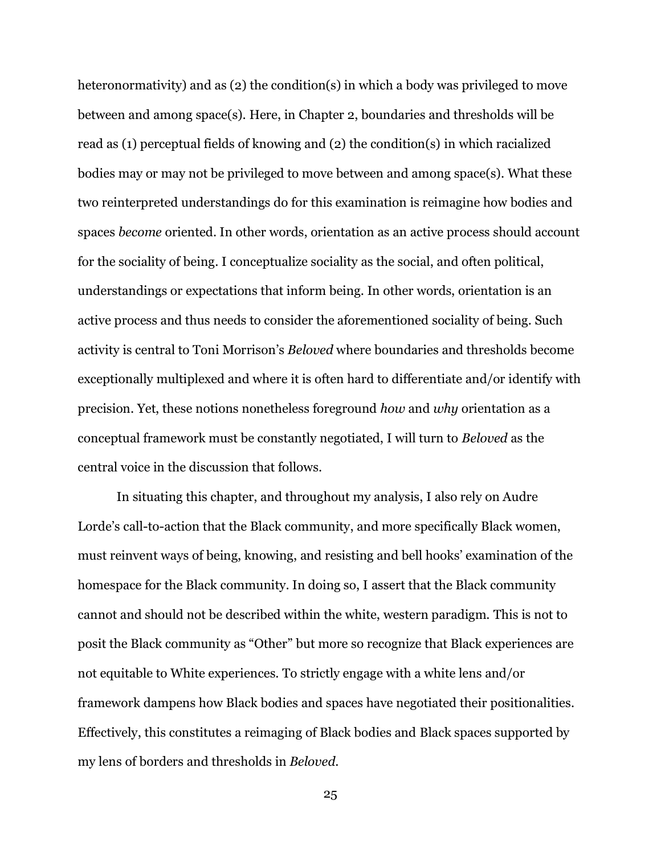heteronormativity) and as (2) the condition(s) in which a body was privileged to move between and among space(s). Here, in Chapter 2, boundaries and thresholds will be read as (1) perceptual fields of knowing and (2) the condition(s) in which racialized bodies may or may not be privileged to move between and among space(s). What these two reinterpreted understandings do for this examination is reimagine how bodies and spaces *become* oriented. In other words, orientation as an active process should account for the sociality of being. I conceptualize sociality as the social, and often political, understandings or expectations that inform being. In other words, orientation is an active process and thus needs to consider the aforementioned sociality of being. Such activity is central to Toni Morrison's *Beloved* where boundaries and thresholds become exceptionally multiplexed and where it is often hard to differentiate and/or identify with precision. Yet, these notions nonetheless foreground *how* and *why* orientation as a conceptual framework must be constantly negotiated, I will turn to *Beloved* as the central voice in the discussion that follows.

In situating this chapter, and throughout my analysis, I also rely on Audre Lorde's call-to-action that the Black community, and more specifically Black women, must reinvent ways of being, knowing, and resisting and bell hooks' examination of the homespace for the Black community. In doing so, I assert that the Black community cannot and should not be described within the white, western paradigm. This is not to posit the Black community as "Other" but more so recognize that Black experiences are not equitable to White experiences. To strictly engage with a white lens and/or framework dampens how Black bodies and spaces have negotiated their positionalities. Effectively, this constitutes a reimaging of Black bodies and Black spaces supported by my lens of borders and thresholds in *Beloved*.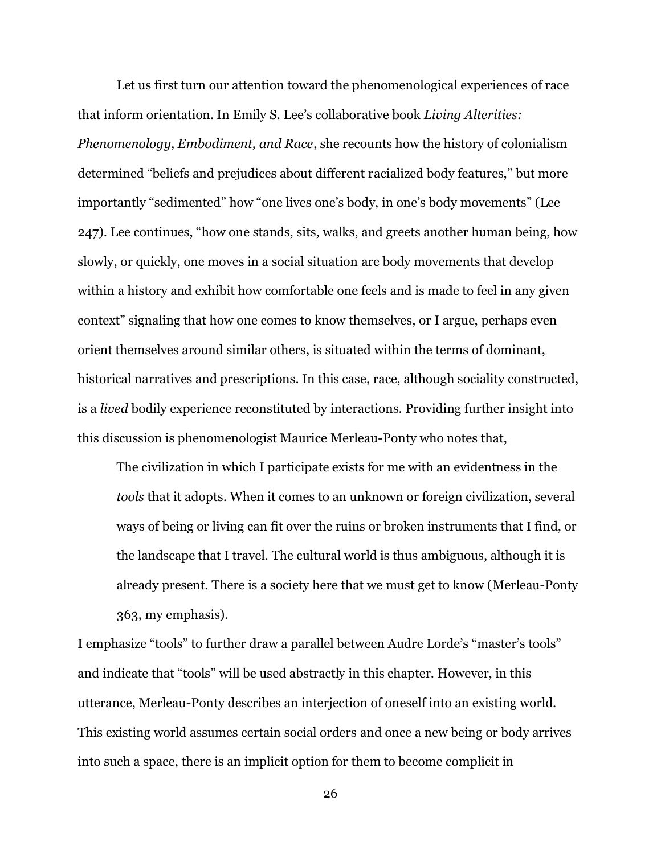Let us first turn our attention toward the phenomenological experiences of race that inform orientation. In Emily S. Lee's collaborative book *Living Alterities: Phenomenology, Embodiment, and Race*, she recounts how the history of colonialism determined "beliefs and prejudices about different racialized body features," but more importantly "sedimented" how "one lives one's body, in one's body movements" (Lee 247). Lee continues, "how one stands, sits, walks, and greets another human being, how slowly, or quickly, one moves in a social situation are body movements that develop within a history and exhibit how comfortable one feels and is made to feel in any given context" signaling that how one comes to know themselves, or I argue, perhaps even orient themselves around similar others, is situated within the terms of dominant, historical narratives and prescriptions. In this case, race, although sociality constructed, is a *lived* bodily experience reconstituted by interactions. Providing further insight into this discussion is phenomenologist Maurice Merleau-Ponty who notes that,

The civilization in which I participate exists for me with an evidentness in the *tools* that it adopts. When it comes to an unknown or foreign civilization, several ways of being or living can fit over the ruins or broken instruments that I find, or the landscape that I travel. The cultural world is thus ambiguous, although it is already present. There is a society here that we must get to know (Merleau-Ponty 363, my emphasis).

I emphasize "tools" to further draw a parallel between Audre Lorde's "master's tools" and indicate that "tools" will be used abstractly in this chapter. However, in this utterance, Merleau-Ponty describes an interjection of oneself into an existing world. This existing world assumes certain social orders and once a new being or body arrives into such a space, there is an implicit option for them to become complicit in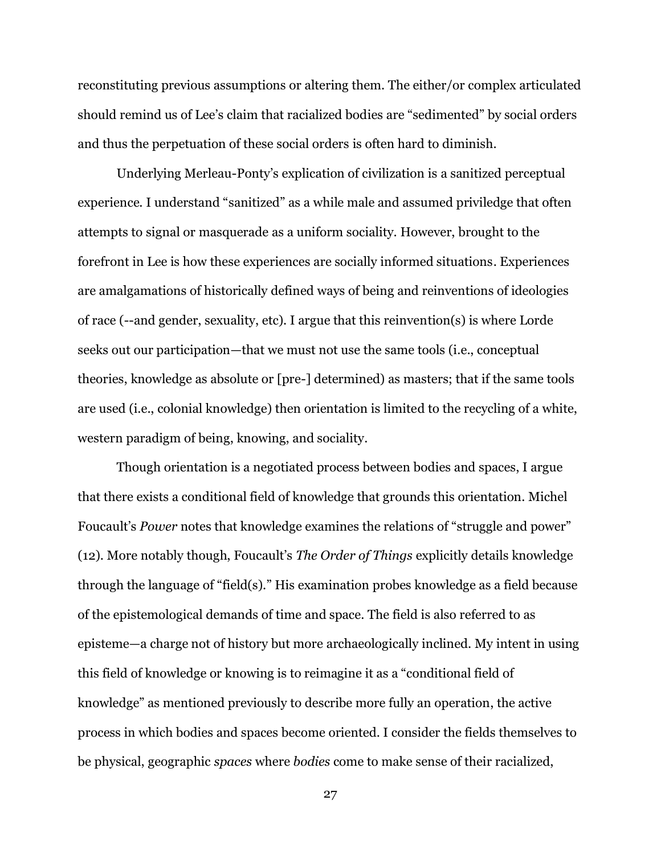reconstituting previous assumptions or altering them. The either/or complex articulated should remind us of Lee's claim that racialized bodies are "sedimented" by social orders and thus the perpetuation of these social orders is often hard to diminish.

Underlying Merleau-Ponty's explication of civilization is a sanitized perceptual experience. I understand "sanitized" as a while male and assumed priviledge that often attempts to signal or masquerade as a uniform sociality. However, brought to the forefront in Lee is how these experiences are socially informed situations. Experiences are amalgamations of historically defined ways of being and reinventions of ideologies of race (--and gender, sexuality, etc). I argue that this reinvention(s) is where Lorde seeks out our participation—that we must not use the same tools (i.e., conceptual theories, knowledge as absolute or [pre-] determined) as masters; that if the same tools are used (i.e., colonial knowledge) then orientation is limited to the recycling of a white, western paradigm of being, knowing, and sociality.

Though orientation is a negotiated process between bodies and spaces, I argue that there exists a conditional field of knowledge that grounds this orientation. Michel Foucault's *Power* notes that knowledge examines the relations of "struggle and power" (12). More notably though, Foucault's *The Order of Things* explicitly details knowledge through the language of "field(s)." His examination probes knowledge as a field because of the epistemological demands of time and space. The field is also referred to as episteme—a charge not of history but more archaeologically inclined. My intent in using this field of knowledge or knowing is to reimagine it as a "conditional field of knowledge" as mentioned previously to describe more fully an operation, the active process in which bodies and spaces become oriented. I consider the fields themselves to be physical, geographic *spaces* where *bodies* come to make sense of their racialized,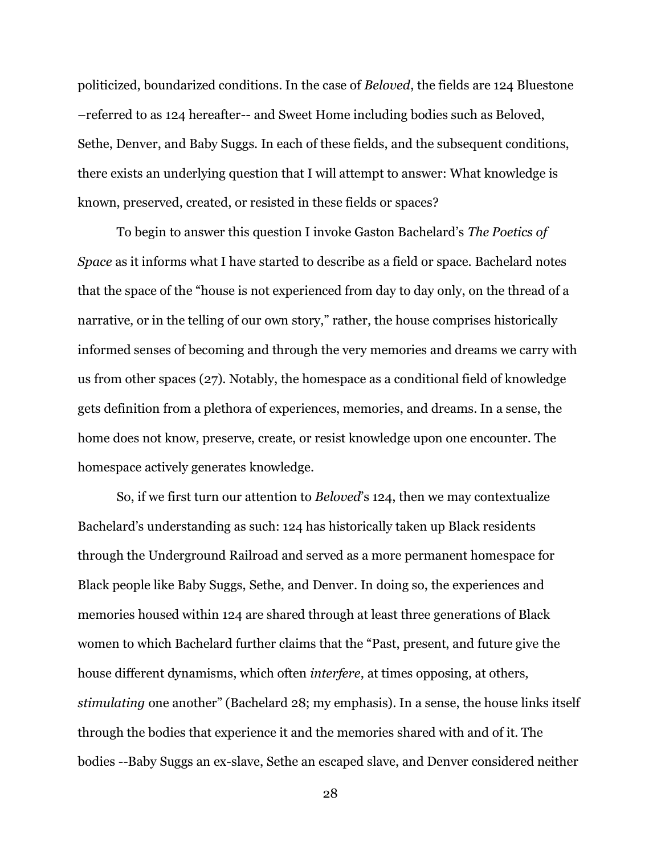politicized, boundarized conditions. In the case of *Beloved*, the fields are 124 Bluestone –referred to as 124 hereafter-- and Sweet Home including bodies such as Beloved, Sethe, Denver, and Baby Suggs. In each of these fields, and the subsequent conditions, there exists an underlying question that I will attempt to answer: What knowledge is known, preserved, created, or resisted in these fields or spaces?

To begin to answer this question I invoke Gaston Bachelard's *The Poetics of Space* as it informs what I have started to describe as a field or space. Bachelard notes that the space of the "house is not experienced from day to day only, on the thread of a narrative, or in the telling of our own story," rather, the house comprises historically informed senses of becoming and through the very memories and dreams we carry with us from other spaces (27). Notably, the homespace as a conditional field of knowledge gets definition from a plethora of experiences, memories, and dreams. In a sense, the home does not know, preserve, create, or resist knowledge upon one encounter. The homespace actively generates knowledge.

So, if we first turn our attention to *Beloved*'s 124, then we may contextualize Bachelard's understanding as such: 124 has historically taken up Black residents through the Underground Railroad and served as a more permanent homespace for Black people like Baby Suggs, Sethe, and Denver. In doing so, the experiences and memories housed within 124 are shared through at least three generations of Black women to which Bachelard further claims that the "Past, present, and future give the house different dynamisms, which often *interfere*, at times opposing, at others, *stimulating* one another" (Bachelard 28; my emphasis). In a sense, the house links itself through the bodies that experience it and the memories shared with and of it. The bodies --Baby Suggs an ex-slave, Sethe an escaped slave, and Denver considered neither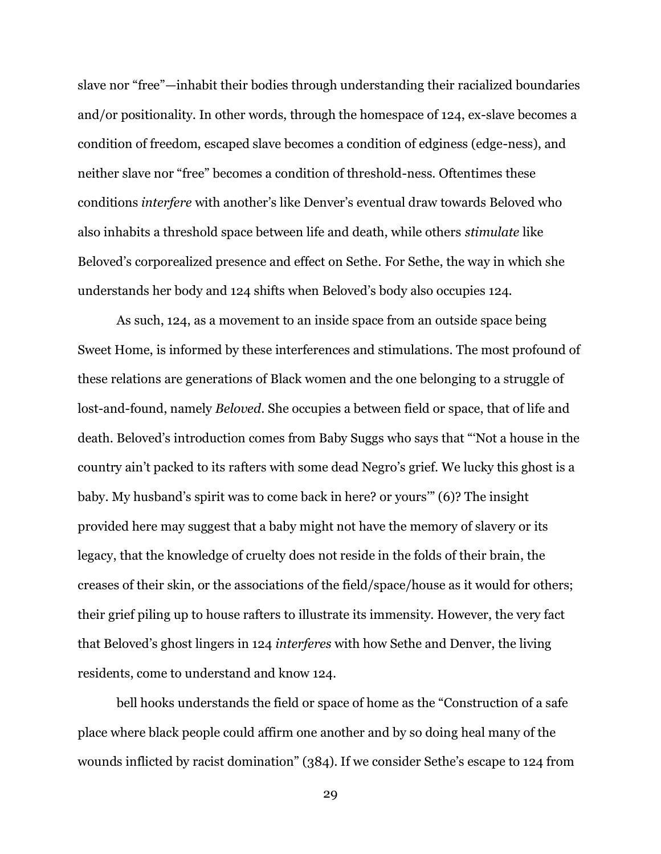slave nor "free"—inhabit their bodies through understanding their racialized boundaries and/or positionality. In other words, through the homespace of 124, ex-slave becomes a condition of freedom, escaped slave becomes a condition of edginess (edge-ness), and neither slave nor "free" becomes a condition of threshold-ness. Oftentimes these conditions *interfere* with another's like Denver's eventual draw towards Beloved who also inhabits a threshold space between life and death, while others *stimulate* like Beloved's corporealized presence and effect on Sethe. For Sethe, the way in which she understands her body and 124 shifts when Beloved's body also occupies 124.

As such, 124, as a movement to an inside space from an outside space being Sweet Home, is informed by these interferences and stimulations. The most profound of these relations are generations of Black women and the one belonging to a struggle of lost-and-found, namely *Beloved*. She occupies a between field or space, that of life and death. Beloved's introduction comes from Baby Suggs who says that "'Not a house in the country ain't packed to its rafters with some dead Negro's grief. We lucky this ghost is a baby. My husband's spirit was to come back in here? or yours'" (6)? The insight provided here may suggest that a baby might not have the memory of slavery or its legacy, that the knowledge of cruelty does not reside in the folds of their brain, the creases of their skin, or the associations of the field/space/house as it would for others; their grief piling up to house rafters to illustrate its immensity. However, the very fact that Beloved's ghost lingers in 124 *interferes* with how Sethe and Denver, the living residents, come to understand and know 124.

bell hooks understands the field or space of home as the "Construction of a safe place where black people could affirm one another and by so doing heal many of the wounds inflicted by racist domination" (384). If we consider Sethe's escape to 124 from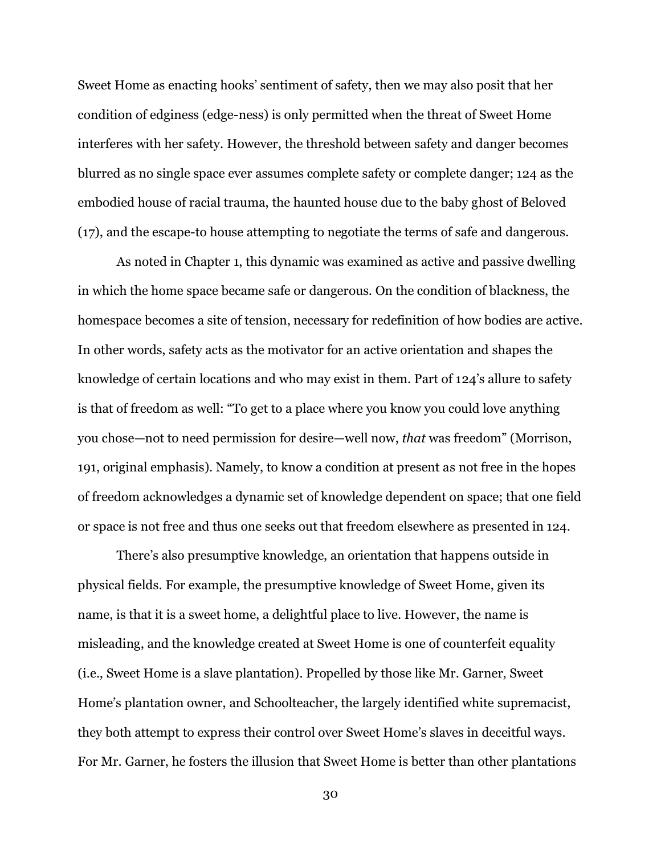Sweet Home as enacting hooks' sentiment of safety, then we may also posit that her condition of edginess (edge-ness) is only permitted when the threat of Sweet Home interferes with her safety. However, the threshold between safety and danger becomes blurred as no single space ever assumes complete safety or complete danger; 124 as the embodied house of racial trauma, the haunted house due to the baby ghost of Beloved (17), and the escape-to house attempting to negotiate the terms of safe and dangerous.

As noted in Chapter 1, this dynamic was examined as active and passive dwelling in which the home space became safe or dangerous. On the condition of blackness, the homespace becomes a site of tension, necessary for redefinition of how bodies are active. In other words, safety acts as the motivator for an active orientation and shapes the knowledge of certain locations and who may exist in them. Part of 124's allure to safety is that of freedom as well: "To get to a place where you know you could love anything you chose—not to need permission for desire—well now, *that* was freedom" (Morrison, 191, original emphasis). Namely, to know a condition at present as not free in the hopes of freedom acknowledges a dynamic set of knowledge dependent on space; that one field or space is not free and thus one seeks out that freedom elsewhere as presented in 124.

There's also presumptive knowledge, an orientation that happens outside in physical fields. For example, the presumptive knowledge of Sweet Home, given its name, is that it is a sweet home, a delightful place to live. However, the name is misleading, and the knowledge created at Sweet Home is one of counterfeit equality (i.e., Sweet Home is a slave plantation). Propelled by those like Mr. Garner, Sweet Home's plantation owner, and Schoolteacher, the largely identified white supremacist, they both attempt to express their control over Sweet Home's slaves in deceitful ways. For Mr. Garner, he fosters the illusion that Sweet Home is better than other plantations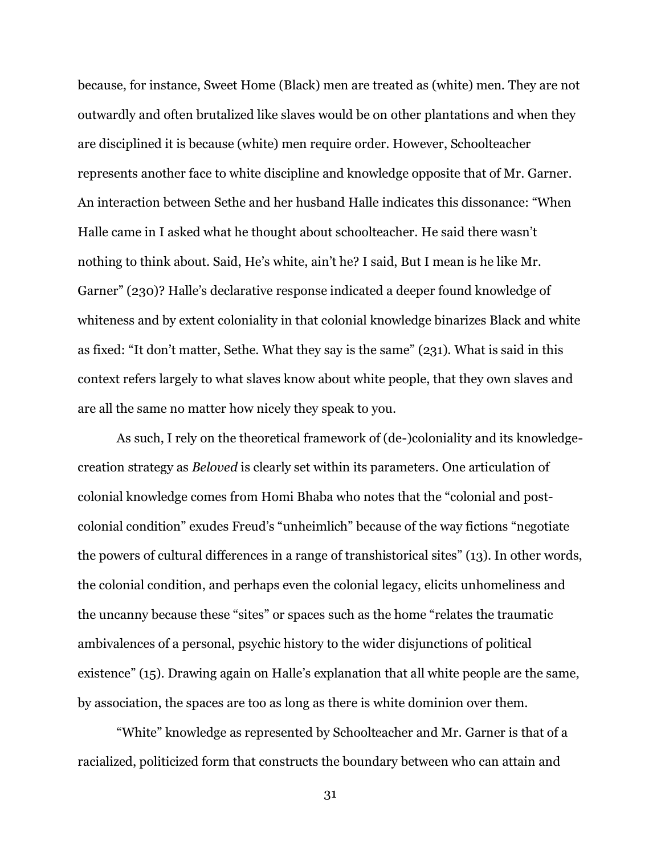because, for instance, Sweet Home (Black) men are treated as (white) men. They are not outwardly and often brutalized like slaves would be on other plantations and when they are disciplined it is because (white) men require order. However, Schoolteacher represents another face to white discipline and knowledge opposite that of Mr. Garner. An interaction between Sethe and her husband Halle indicates this dissonance: "When Halle came in I asked what he thought about schoolteacher. He said there wasn't nothing to think about. Said, He's white, ain't he? I said, But I mean is he like Mr. Garner" (230)? Halle's declarative response indicated a deeper found knowledge of whiteness and by extent coloniality in that colonial knowledge binarizes Black and white as fixed: "It don't matter, Sethe. What they say is the same" (231). What is said in this context refers largely to what slaves know about white people, that they own slaves and are all the same no matter how nicely they speak to you.

As such, I rely on the theoretical framework of (de-)coloniality and its knowledgecreation strategy as *Beloved* is clearly set within its parameters. One articulation of colonial knowledge comes from Homi Bhaba who notes that the "colonial and postcolonial condition" exudes Freud's "unheimlich" because of the way fictions "negotiate the powers of cultural differences in a range of transhistorical sites" (13). In other words, the colonial condition, and perhaps even the colonial legacy, elicits unhomeliness and the uncanny because these "sites" or spaces such as the home "relates the traumatic ambivalences of a personal, psychic history to the wider disjunctions of political existence" (15). Drawing again on Halle's explanation that all white people are the same, by association, the spaces are too as long as there is white dominion over them.

"White" knowledge as represented by Schoolteacher and Mr. Garner is that of a racialized, politicized form that constructs the boundary between who can attain and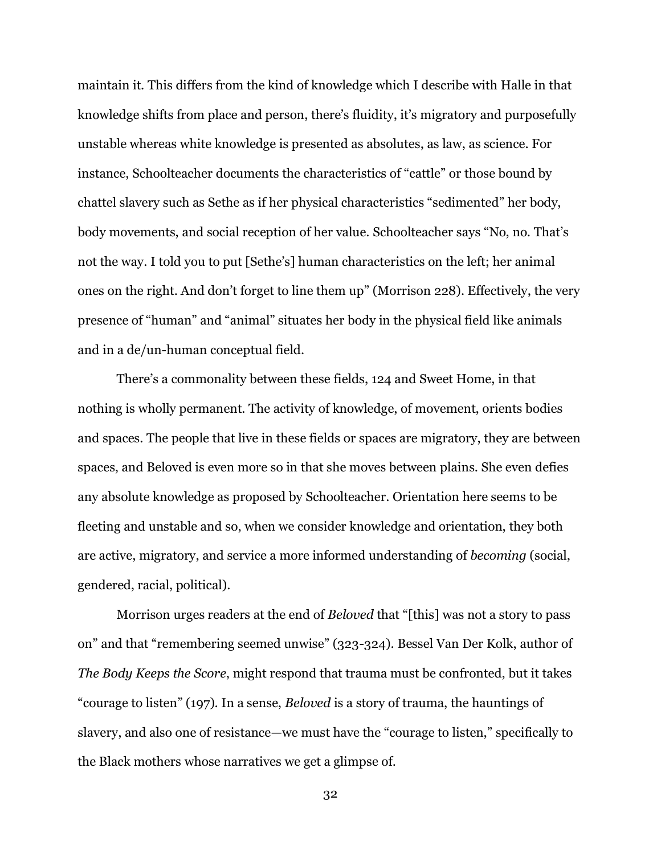maintain it. This differs from the kind of knowledge which I describe with Halle in that knowledge shifts from place and person, there's fluidity, it's migratory and purposefully unstable whereas white knowledge is presented as absolutes, as law, as science. For instance, Schoolteacher documents the characteristics of "cattle" or those bound by chattel slavery such as Sethe as if her physical characteristics "sedimented" her body, body movements, and social reception of her value. Schoolteacher says "No, no. That's not the way. I told you to put [Sethe's] human characteristics on the left; her animal ones on the right. And don't forget to line them up" (Morrison 228). Effectively, the very presence of "human" and "animal" situates her body in the physical field like animals and in a de/un-human conceptual field.

There's a commonality between these fields, 124 and Sweet Home, in that nothing is wholly permanent. The activity of knowledge, of movement, orients bodies and spaces. The people that live in these fields or spaces are migratory, they are between spaces, and Beloved is even more so in that she moves between plains. She even defies any absolute knowledge as proposed by Schoolteacher. Orientation here seems to be fleeting and unstable and so, when we consider knowledge and orientation, they both are active, migratory, and service a more informed understanding of *becoming* (social, gendered, racial, political).

Morrison urges readers at the end of *Beloved* that "[this] was not a story to pass on" and that "remembering seemed unwise" (323-324). Bessel Van Der Kolk, author of *The Body Keeps the Score*, might respond that trauma must be confronted, but it takes "courage to listen" (197). In a sense, *Beloved* is a story of trauma, the hauntings of slavery, and also one of resistance—we must have the "courage to listen," specifically to the Black mothers whose narratives we get a glimpse of.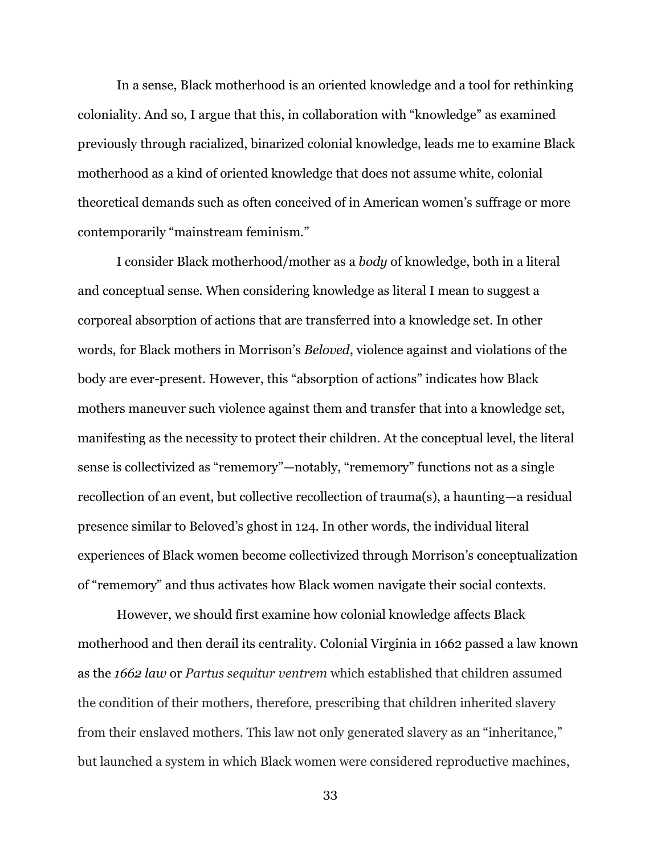In a sense, Black motherhood is an oriented knowledge and a tool for rethinking coloniality. And so, I argue that this, in collaboration with "knowledge" as examined previously through racialized, binarized colonial knowledge, leads me to examine Black motherhood as a kind of oriented knowledge that does not assume white, colonial theoretical demands such as often conceived of in American women's suffrage or more contemporarily "mainstream feminism."

I consider Black motherhood/mother as a *body* of knowledge, both in a literal and conceptual sense. When considering knowledge as literal I mean to suggest a corporeal absorption of actions that are transferred into a knowledge set. In other words, for Black mothers in Morrison's *Beloved*, violence against and violations of the body are ever-present. However, this "absorption of actions" indicates how Black mothers maneuver such violence against them and transfer that into a knowledge set, manifesting as the necessity to protect their children. At the conceptual level, the literal sense is collectivized as "rememory"—notably, "rememory" functions not as a single recollection of an event, but collective recollection of trauma(s), a haunting—a residual presence similar to Beloved's ghost in 124. In other words, the individual literal experiences of Black women become collectivized through Morrison's conceptualization of "rememory" and thus activates how Black women navigate their social contexts.

However, we should first examine how colonial knowledge affects Black motherhood and then derail its centrality. Colonial Virginia in 1662 passed a law known as the *1662 law* or *Partus sequitur ventrem* which established that children assumed the condition of their mothers, therefore, prescribing that children inherited slavery from their enslaved mothers. This law not only generated slavery as an "inheritance," but launched a system in which Black women were considered reproductive machines,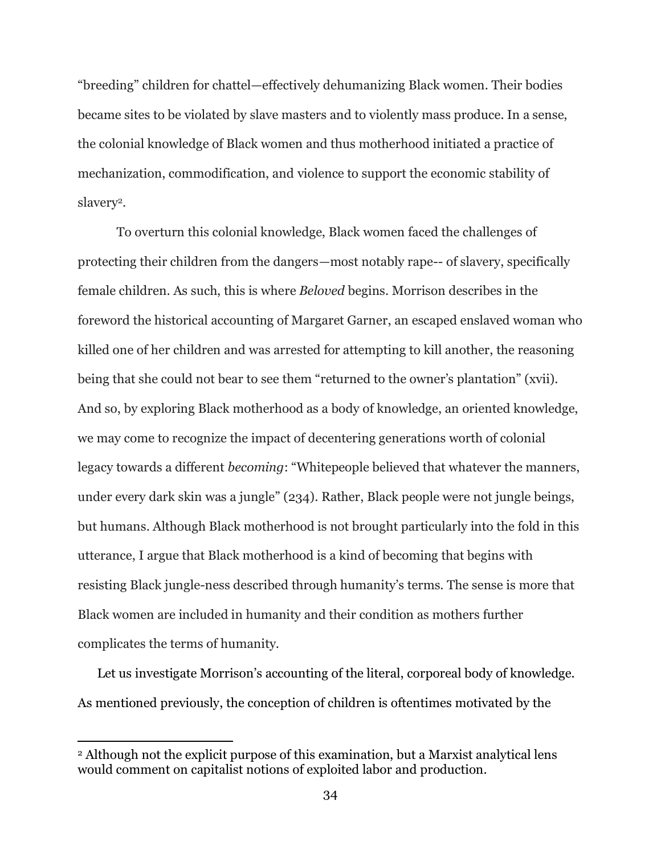"breeding" children for chattel—effectively dehumanizing Black women. Their bodies became sites to be violated by slave masters and to violently mass produce. In a sense, the colonial knowledge of Black women and thus motherhood initiated a practice of mechanization, commodification, and violence to support the economic stability of slavery<sup>2</sup>.

To overturn this colonial knowledge, Black women faced the challenges of protecting their children from the dangers—most notably rape-- of slavery, specifically female children. As such, this is where *Beloved* begins. Morrison describes in the foreword the historical accounting of Margaret Garner, an escaped enslaved woman who killed one of her children and was arrested for attempting to kill another, the reasoning being that she could not bear to see them "returned to the owner's plantation" (xvii). And so, by exploring Black motherhood as a body of knowledge, an oriented knowledge, we may come to recognize the impact of decentering generations worth of colonial legacy towards a different *becoming*: "Whitepeople believed that whatever the manners, under every dark skin was a jungle" (234). Rather, Black people were not jungle beings, but humans. Although Black motherhood is not brought particularly into the fold in this utterance, I argue that Black motherhood is a kind of becoming that begins with resisting Black jungle-ness described through humanity's terms. The sense is more that Black women are included in humanity and their condition as mothers further complicates the terms of humanity.

Let us investigate Morrison's accounting of the literal, corporeal body of knowledge. As mentioned previously, the conception of children is oftentimes motivated by the

<sup>2</sup> Although not the explicit purpose of this examination, but a Marxist analytical lens would comment on capitalist notions of exploited labor and production.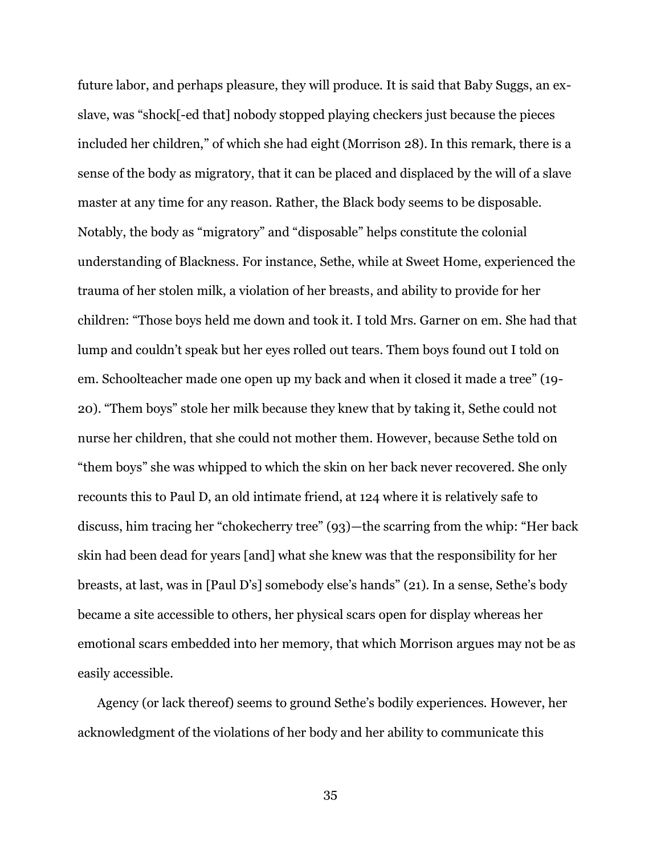future labor, and perhaps pleasure, they will produce. It is said that Baby Suggs, an exslave, was "shock[-ed that] nobody stopped playing checkers just because the pieces included her children," of which she had eight (Morrison 28). In this remark, there is a sense of the body as migratory, that it can be placed and displaced by the will of a slave master at any time for any reason. Rather, the Black body seems to be disposable. Notably, the body as "migratory" and "disposable" helps constitute the colonial understanding of Blackness. For instance, Sethe, while at Sweet Home, experienced the trauma of her stolen milk, a violation of her breasts, and ability to provide for her children: "Those boys held me down and took it. I told Mrs. Garner on em. She had that lump and couldn't speak but her eyes rolled out tears. Them boys found out I told on em. Schoolteacher made one open up my back and when it closed it made a tree" (19- 20). "Them boys" stole her milk because they knew that by taking it, Sethe could not nurse her children, that she could not mother them. However, because Sethe told on "them boys" she was whipped to which the skin on her back never recovered. She only recounts this to Paul D, an old intimate friend, at 124 where it is relatively safe to discuss, him tracing her "chokecherry tree" (93)—the scarring from the whip: "Her back skin had been dead for years [and] what she knew was that the responsibility for her breasts, at last, was in [Paul D's] somebody else's hands" (21). In a sense, Sethe's body became a site accessible to others, her physical scars open for display whereas her emotional scars embedded into her memory, that which Morrison argues may not be as easily accessible.

Agency (or lack thereof) seems to ground Sethe's bodily experiences. However, her acknowledgment of the violations of her body and her ability to communicate this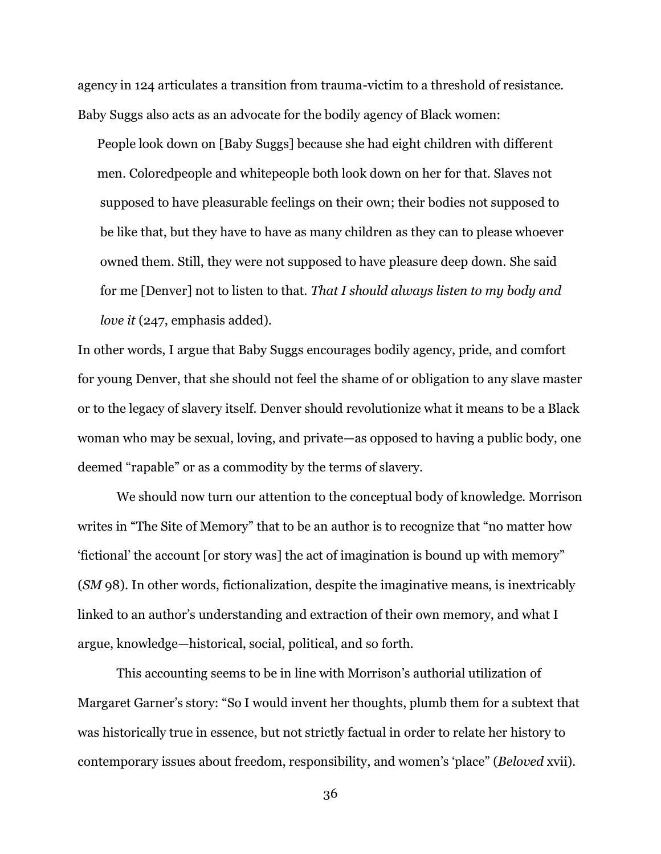agency in 124 articulates a transition from trauma-victim to a threshold of resistance. Baby Suggs also acts as an advocate for the bodily agency of Black women:

People look down on [Baby Suggs] because she had eight children with different men. Coloredpeople and whitepeople both look down on her for that. Slaves not supposed to have pleasurable feelings on their own; their bodies not supposed to be like that, but they have to have as many children as they can to please whoever owned them. Still, they were not supposed to have pleasure deep down. She said for me [Denver] not to listen to that. *That I should always listen to my body and love it* (247, emphasis added).

In other words, I argue that Baby Suggs encourages bodily agency, pride, and comfort for young Denver, that she should not feel the shame of or obligation to any slave master or to the legacy of slavery itself. Denver should revolutionize what it means to be a Black woman who may be sexual, loving, and private—as opposed to having a public body, one deemed "rapable" or as a commodity by the terms of slavery.

We should now turn our attention to the conceptual body of knowledge. Morrison writes in "The Site of Memory" that to be an author is to recognize that "no matter how 'fictional' the account [or story was] the act of imagination is bound up with memory" (*SM* 98). In other words, fictionalization, despite the imaginative means, is inextricably linked to an author's understanding and extraction of their own memory, and what I argue, knowledge—historical, social, political, and so forth.

This accounting seems to be in line with Morrison's authorial utilization of Margaret Garner's story: "So I would invent her thoughts, plumb them for a subtext that was historically true in essence, but not strictly factual in order to relate her history to contemporary issues about freedom, responsibility, and women's 'place" (*Beloved* xvii).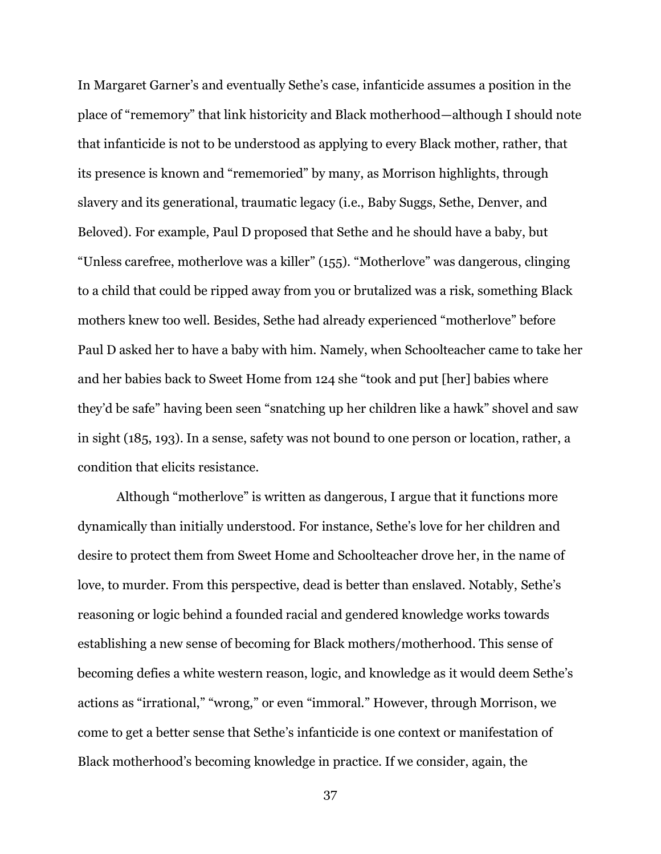In Margaret Garner's and eventually Sethe's case, infanticide assumes a position in the place of "rememory" that link historicity and Black motherhood—although I should note that infanticide is not to be understood as applying to every Black mother, rather, that its presence is known and "rememoried" by many, as Morrison highlights, through slavery and its generational, traumatic legacy (i.e., Baby Suggs, Sethe, Denver, and Beloved). For example, Paul D proposed that Sethe and he should have a baby, but "Unless carefree, motherlove was a killer" (155). "Motherlove" was dangerous, clinging to a child that could be ripped away from you or brutalized was a risk, something Black mothers knew too well. Besides, Sethe had already experienced "motherlove" before Paul D asked her to have a baby with him. Namely, when Schoolteacher came to take her and her babies back to Sweet Home from 124 she "took and put [her] babies where they'd be safe" having been seen "snatching up her children like a hawk" shovel and saw in sight (185, 193). In a sense, safety was not bound to one person or location, rather, a condition that elicits resistance.

Although "motherlove" is written as dangerous, I argue that it functions more dynamically than initially understood. For instance, Sethe's love for her children and desire to protect them from Sweet Home and Schoolteacher drove her, in the name of love, to murder. From this perspective, dead is better than enslaved. Notably, Sethe's reasoning or logic behind a founded racial and gendered knowledge works towards establishing a new sense of becoming for Black mothers/motherhood. This sense of becoming defies a white western reason, logic, and knowledge as it would deem Sethe's actions as "irrational," "wrong," or even "immoral." However, through Morrison, we come to get a better sense that Sethe's infanticide is one context or manifestation of Black motherhood's becoming knowledge in practice. If we consider, again, the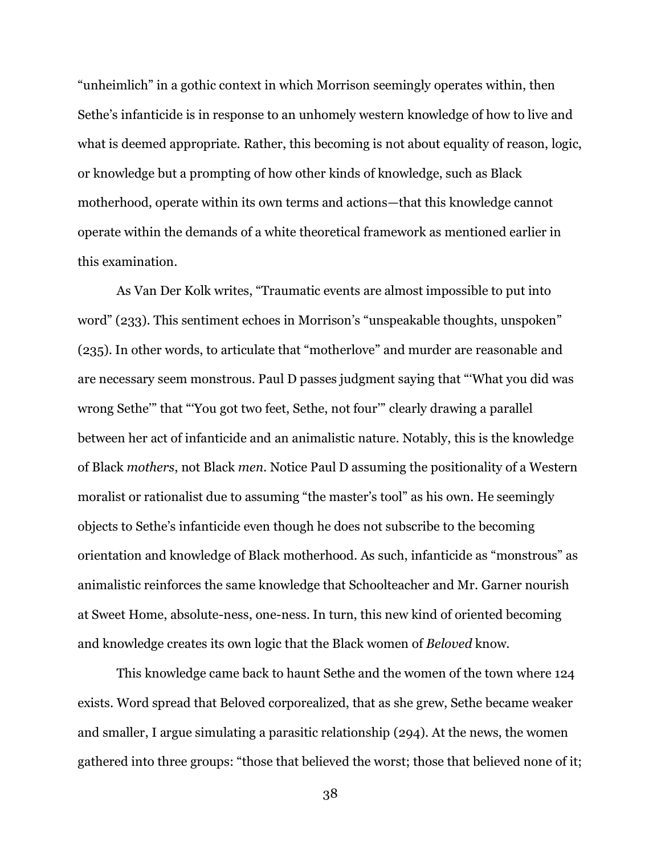"unheimlich" in a gothic context in which Morrison seemingly operates within, then Sethe's infanticide is in response to an unhomely western knowledge of how to live and what is deemed appropriate. Rather, this becoming is not about equality of reason, logic, or knowledge but a prompting of how other kinds of knowledge, such as Black motherhood, operate within its own terms and actions—that this knowledge cannot operate within the demands of a white theoretical framework as mentioned earlier in this examination.

As Van Der Kolk writes, "Traumatic events are almost impossible to put into word" (233). This sentiment echoes in Morrison's "unspeakable thoughts, unspoken" (235). In other words, to articulate that "motherlove" and murder are reasonable and are necessary seem monstrous. Paul D passes judgment saying that "'What you did was wrong Sethe'" that "'You got two feet, Sethe, not four'" clearly drawing a parallel between her act of infanticide and an animalistic nature. Notably, this is the knowledge of Black *mothers*, not Black *men*. Notice Paul D assuming the positionality of a Western moralist or rationalist due to assuming "the master's tool" as his own. He seemingly objects to Sethe's infanticide even though he does not subscribe to the becoming orientation and knowledge of Black motherhood. As such, infanticide as "monstrous" as animalistic reinforces the same knowledge that Schoolteacher and Mr. Garner nourish at Sweet Home, absolute-ness, one-ness. In turn, this new kind of oriented becoming and knowledge creates its own logic that the Black women of *Beloved* know.

This knowledge came back to haunt Sethe and the women of the town where 124 exists. Word spread that Beloved corporealized, that as she grew, Sethe became weaker and smaller, I argue simulating a parasitic relationship (294). At the news, the women gathered into three groups: "those that believed the worst; those that believed none of it;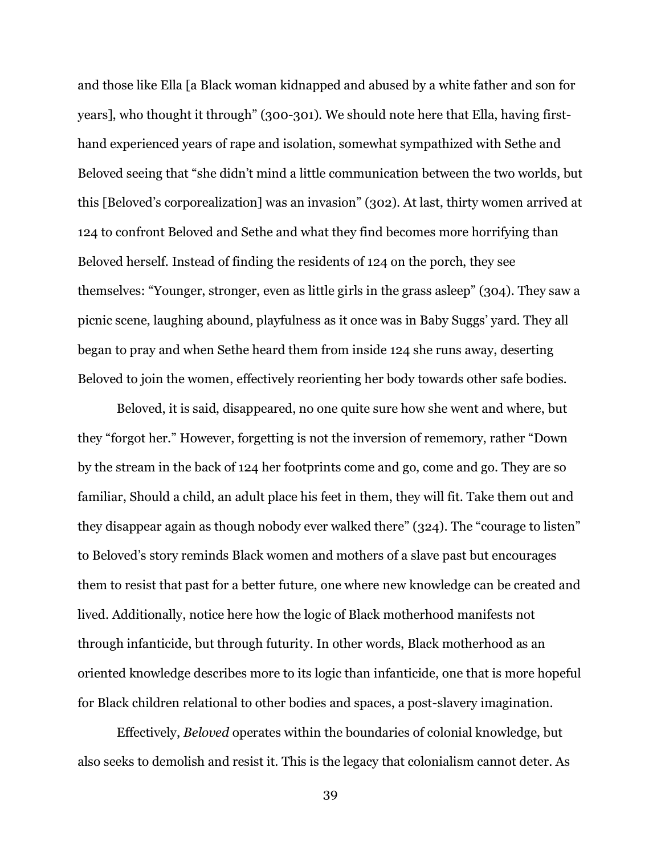and those like Ella [a Black woman kidnapped and abused by a white father and son for years], who thought it through" (300-301). We should note here that Ella, having firsthand experienced years of rape and isolation, somewhat sympathized with Sethe and Beloved seeing that "she didn't mind a little communication between the two worlds, but this [Beloved's corporealization] was an invasion" (302). At last, thirty women arrived at 124 to confront Beloved and Sethe and what they find becomes more horrifying than Beloved herself. Instead of finding the residents of 124 on the porch, they see themselves: "Younger, stronger, even as little girls in the grass asleep" (304). They saw a picnic scene, laughing abound, playfulness as it once was in Baby Suggs' yard. They all began to pray and when Sethe heard them from inside 124 she runs away, deserting Beloved to join the women, effectively reorienting her body towards other safe bodies.

Beloved, it is said, disappeared, no one quite sure how she went and where, but they "forgot her." However, forgetting is not the inversion of rememory, rather "Down by the stream in the back of 124 her footprints come and go, come and go. They are so familiar, Should a child, an adult place his feet in them, they will fit. Take them out and they disappear again as though nobody ever walked there" (324). The "courage to listen" to Beloved's story reminds Black women and mothers of a slave past but encourages them to resist that past for a better future, one where new knowledge can be created and lived. Additionally, notice here how the logic of Black motherhood manifests not through infanticide, but through futurity. In other words, Black motherhood as an oriented knowledge describes more to its logic than infanticide, one that is more hopeful for Black children relational to other bodies and spaces, a post-slavery imagination.

Effectively, *Beloved* operates within the boundaries of colonial knowledge, but also seeks to demolish and resist it. This is the legacy that colonialism cannot deter. As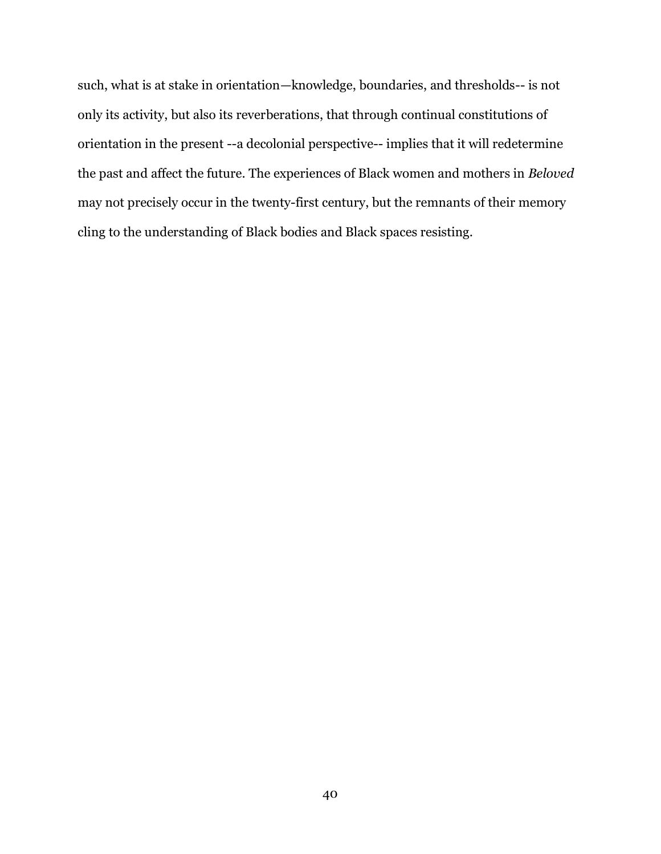such, what is at stake in orientation—knowledge, boundaries, and thresholds-- is not only its activity, but also its reverberations, that through continual constitutions of orientation in the present --a decolonial perspective-- implies that it will redetermine the past and affect the future. The experiences of Black women and mothers in *Beloved* may not precisely occur in the twenty-first century, but the remnants of their memory cling to the understanding of Black bodies and Black spaces resisting.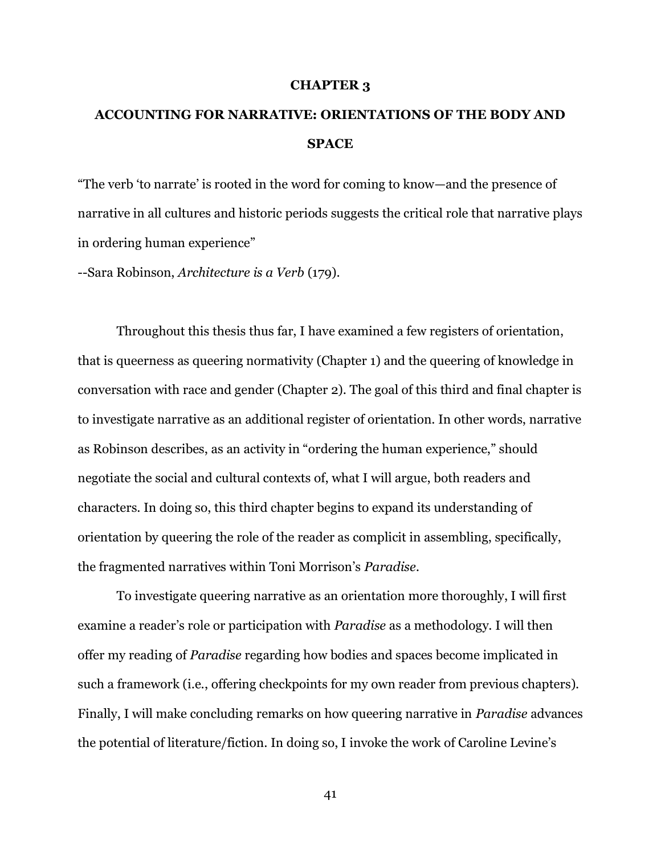#### **CHAPTER 3**

# **ACCOUNTING FOR NARRATIVE: ORIENTATIONS OF THE BODY AND SPACE**

"The verb 'to narrate' is rooted in the word for coming to know—and the presence of narrative in all cultures and historic periods suggests the critical role that narrative plays in ordering human experience"

--Sara Robinson, *Architecture is a Verb* (179).

Throughout this thesis thus far, I have examined a few registers of orientation, that is queerness as queering normativity (Chapter 1) and the queering of knowledge in conversation with race and gender (Chapter 2). The goal of this third and final chapter is to investigate narrative as an additional register of orientation. In other words, narrative as Robinson describes, as an activity in "ordering the human experience," should negotiate the social and cultural contexts of, what I will argue, both readers and characters. In doing so, this third chapter begins to expand its understanding of orientation by queering the role of the reader as complicit in assembling, specifically, the fragmented narratives within Toni Morrison's *Paradise.*

To investigate queering narrative as an orientation more thoroughly, I will first examine a reader's role or participation with *Paradise* as a methodology. I will then offer my reading of *Paradise* regarding how bodies and spaces become implicated in such a framework (i.e., offering checkpoints for my own reader from previous chapters). Finally, I will make concluding remarks on how queering narrative in *Paradise* advances the potential of literature/fiction. In doing so, I invoke the work of Caroline Levine's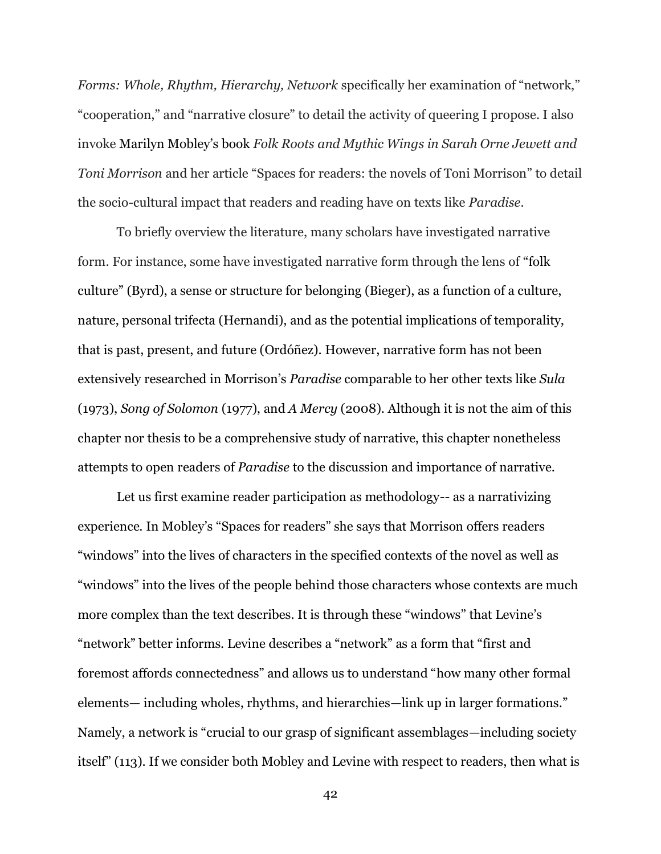*Forms: Whole, Rhythm, Hierarchy, Network* specifically her examination of "network," "cooperation," and "narrative closure" to detail the activity of queering I propose. I also invoke Marilyn Mobley's book *Folk Roots and Mythic Wings in Sarah Orne Jewett and Toni Morrison* and her article "Spaces for readers: the novels of Toni Morrison" to detail the socio-cultural impact that readers and reading have on texts like *Paradise*.

To briefly overview the literature, many scholars have investigated narrative form. For instance, some have investigated narrative form through the lens of "folk culture" (Byrd), a sense or structure for belonging (Bieger), as a function of a culture, nature, personal trifecta (Hernandi), and as the potential implications of temporality, that is past, present, and future (Ordóñez). However, narrative form has not been extensively researched in Morrison's *Paradise* comparable to her other texts like *Sula* (1973), *Song of Solomon* (1977), and *A Mercy* (2008). Although it is not the aim of this chapter nor thesis to be a comprehensive study of narrative, this chapter nonetheless attempts to open readers of *Paradise* to the discussion and importance of narrative.

Let us first examine reader participation as methodology-- as a narrativizing experience. In Mobley's "Spaces for readers" she says that Morrison offers readers "windows" into the lives of characters in the specified contexts of the novel as well as "windows" into the lives of the people behind those characters whose contexts are much more complex than the text describes. It is through these "windows" that Levine's "network" better informs. Levine describes a "network" as a form that "first and foremost affords connectedness" and allows us to understand "how many other formal elements— including wholes, rhythms, and hierarchies—link up in larger formations." Namely, a network is "crucial to our grasp of significant assemblages—including society itself" (113). If we consider both Mobley and Levine with respect to readers, then what is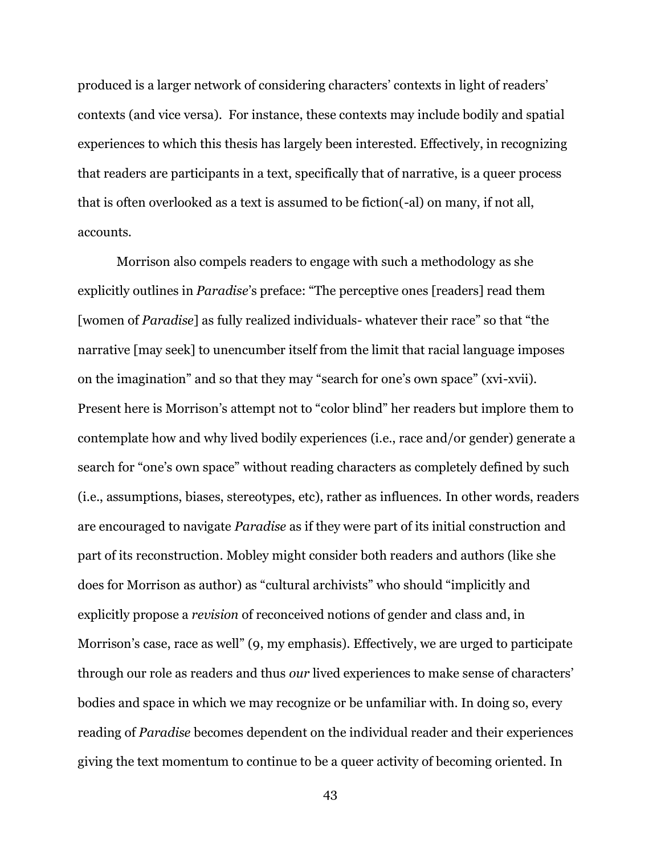produced is a larger network of considering characters' contexts in light of readers' contexts (and vice versa). For instance, these contexts may include bodily and spatial experiences to which this thesis has largely been interested. Effectively, in recognizing that readers are participants in a text, specifically that of narrative, is a queer process that is often overlooked as a text is assumed to be fiction(-al) on many, if not all, accounts.

Morrison also compels readers to engage with such a methodology as she explicitly outlines in *Paradise*'s preface: "The perceptive ones [readers] read them [women of *Paradise*] as fully realized individuals- whatever their race" so that "the narrative [may seek] to unencumber itself from the limit that racial language imposes on the imagination" and so that they may "search for one's own space" (xvi-xvii). Present here is Morrison's attempt not to "color blind" her readers but implore them to contemplate how and why lived bodily experiences (i.e., race and/or gender) generate a search for "one's own space" without reading characters as completely defined by such (i.e., assumptions, biases, stereotypes, etc), rather as influences. In other words, readers are encouraged to navigate *Paradise* as if they were part of its initial construction and part of its reconstruction. Mobley might consider both readers and authors (like she does for Morrison as author) as "cultural archivists" who should "implicitly and explicitly propose a *revision* of reconceived notions of gender and class and, in Morrison's case, race as well" (9, my emphasis). Effectively, we are urged to participate through our role as readers and thus *our* lived experiences to make sense of characters' bodies and space in which we may recognize or be unfamiliar with. In doing so, every reading of *Paradise* becomes dependent on the individual reader and their experiences giving the text momentum to continue to be a queer activity of becoming oriented. In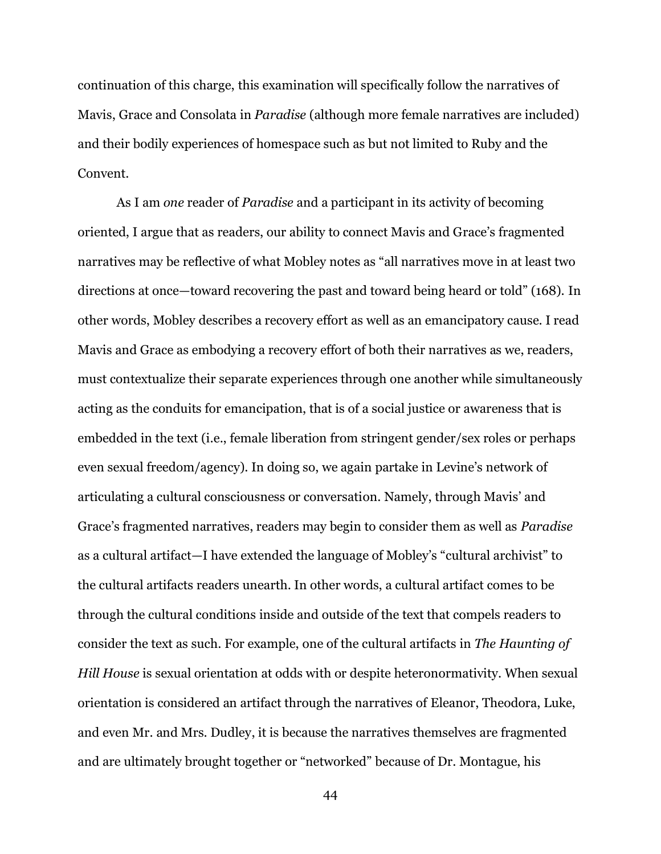continuation of this charge, this examination will specifically follow the narratives of Mavis, Grace and Consolata in *Paradise* (although more female narratives are included) and their bodily experiences of homespace such as but not limited to Ruby and the Convent.

As I am *one* reader of *Paradise* and a participant in its activity of becoming oriented, I argue that as readers, our ability to connect Mavis and Grace's fragmented narratives may be reflective of what Mobley notes as "all narratives move in at least two directions at once—toward recovering the past and toward being heard or told" (168). In other words, Mobley describes a recovery effort as well as an emancipatory cause. I read Mavis and Grace as embodying a recovery effort of both their narratives as we, readers, must contextualize their separate experiences through one another while simultaneously acting as the conduits for emancipation, that is of a social justice or awareness that is embedded in the text (i.e., female liberation from stringent gender/sex roles or perhaps even sexual freedom/agency). In doing so, we again partake in Levine's network of articulating a cultural consciousness or conversation. Namely, through Mavis' and Grace's fragmented narratives, readers may begin to consider them as well as *Paradise* as a cultural artifact—I have extended the language of Mobley's "cultural archivist" to the cultural artifacts readers unearth. In other words, a cultural artifact comes to be through the cultural conditions inside and outside of the text that compels readers to consider the text as such. For example, one of the cultural artifacts in *The Haunting of Hill House* is sexual orientation at odds with or despite heteronormativity. When sexual orientation is considered an artifact through the narratives of Eleanor, Theodora, Luke, and even Mr. and Mrs. Dudley, it is because the narratives themselves are fragmented and are ultimately brought together or "networked" because of Dr. Montague, his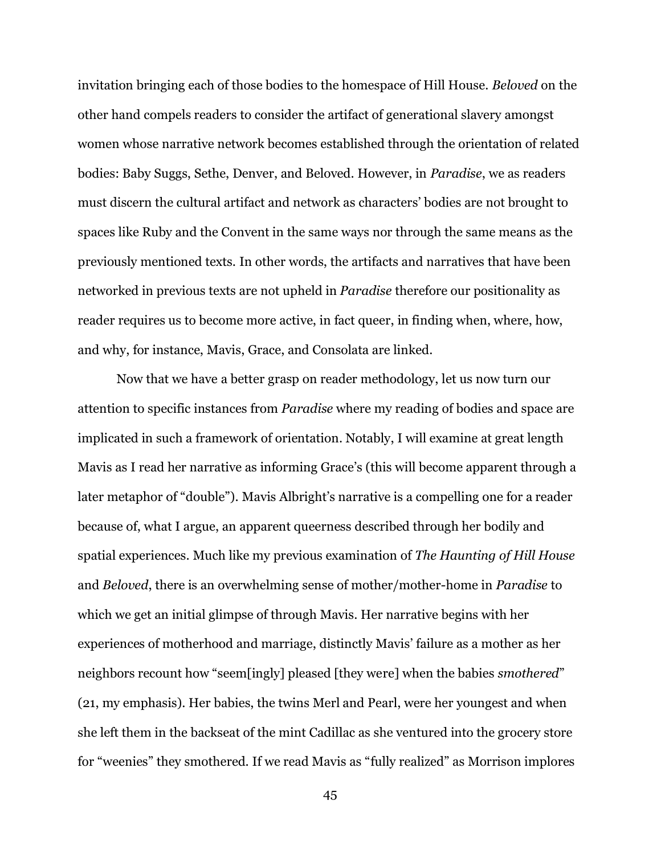invitation bringing each of those bodies to the homespace of Hill House. *Beloved* on the other hand compels readers to consider the artifact of generational slavery amongst women whose narrative network becomes established through the orientation of related bodies: Baby Suggs, Sethe, Denver, and Beloved. However, in *Paradise*, we as readers must discern the cultural artifact and network as characters' bodies are not brought to spaces like Ruby and the Convent in the same ways nor through the same means as the previously mentioned texts. In other words, the artifacts and narratives that have been networked in previous texts are not upheld in *Paradise* therefore our positionality as reader requires us to become more active, in fact queer, in finding when, where, how, and why, for instance, Mavis, Grace, and Consolata are linked.

Now that we have a better grasp on reader methodology, let us now turn our attention to specific instances from *Paradise* where my reading of bodies and space are implicated in such a framework of orientation. Notably, I will examine at great length Mavis as I read her narrative as informing Grace's (this will become apparent through a later metaphor of "double"). Mavis Albright's narrative is a compelling one for a reader because of, what I argue, an apparent queerness described through her bodily and spatial experiences. Much like my previous examination of *The Haunting of Hill House* and *Beloved*, there is an overwhelming sense of mother/mother-home in *Paradise* to which we get an initial glimpse of through Mavis. Her narrative begins with her experiences of motherhood and marriage, distinctly Mavis' failure as a mother as her neighbors recount how "seem[ingly] pleased [they were] when the babies *smothered*" (21, my emphasis). Her babies, the twins Merl and Pearl, were her youngest and when she left them in the backseat of the mint Cadillac as she ventured into the grocery store for "weenies" they smothered. If we read Mavis as "fully realized" as Morrison implores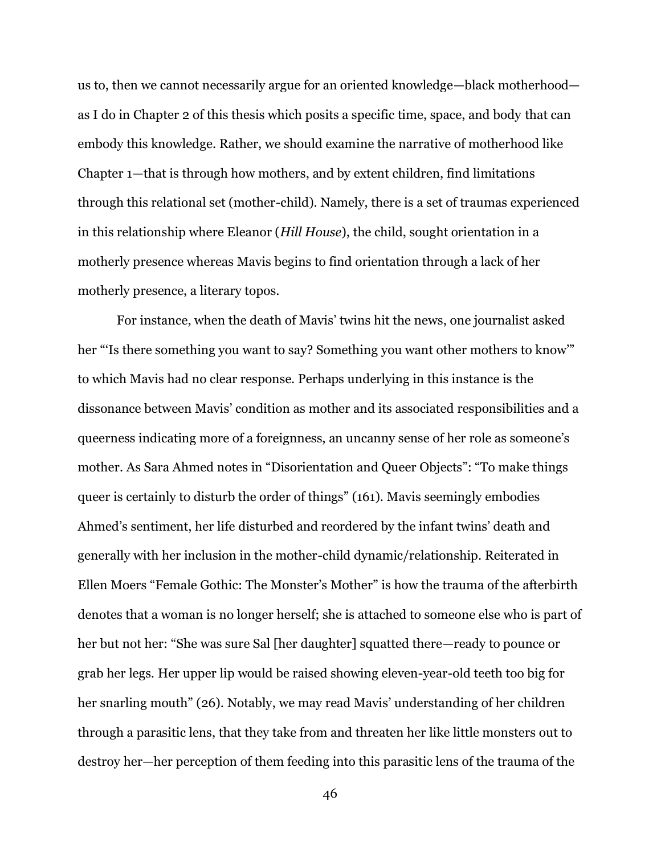us to, then we cannot necessarily argue for an oriented knowledge—black motherhood as I do in Chapter 2 of this thesis which posits a specific time, space, and body that can embody this knowledge. Rather, we should examine the narrative of motherhood like Chapter 1—that is through how mothers, and by extent children, find limitations through this relational set (mother-child). Namely, there is a set of traumas experienced in this relationship where Eleanor (*Hill House*), the child, sought orientation in a motherly presence whereas Mavis begins to find orientation through a lack of her motherly presence, a literary topos.

For instance, when the death of Mavis' twins hit the news, one journalist asked her "'Is there something you want to say? Something you want other mothers to know'" to which Mavis had no clear response. Perhaps underlying in this instance is the dissonance between Mavis' condition as mother and its associated responsibilities and a queerness indicating more of a foreignness, an uncanny sense of her role as someone's mother. As Sara Ahmed notes in "Disorientation and Queer Objects": "To make things queer is certainly to disturb the order of things" (161). Mavis seemingly embodies Ahmed's sentiment, her life disturbed and reordered by the infant twins' death and generally with her inclusion in the mother-child dynamic/relationship. Reiterated in Ellen Moers "Female Gothic: The Monster's Mother" is how the trauma of the afterbirth denotes that a woman is no longer herself; she is attached to someone else who is part of her but not her: "She was sure Sal [her daughter] squatted there—ready to pounce or grab her legs. Her upper lip would be raised showing eleven-year-old teeth too big for her snarling mouth" (26). Notably, we may read Mavis' understanding of her children through a parasitic lens, that they take from and threaten her like little monsters out to destroy her—her perception of them feeding into this parasitic lens of the trauma of the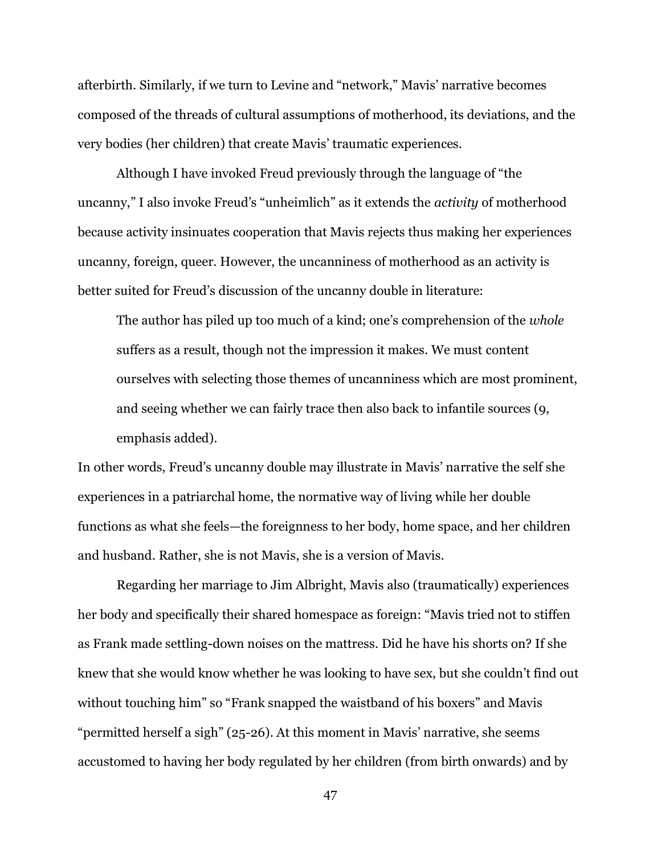afterbirth. Similarly, if we turn to Levine and "network," Mavis' narrative becomes composed of the threads of cultural assumptions of motherhood, its deviations, and the very bodies (her children) that create Mavis' traumatic experiences.

Although I have invoked Freud previously through the language of "the uncanny," I also invoke Freud's "unheimlich" as it extends the *activity* of motherhood because activity insinuates cooperation that Mavis rejects thus making her experiences uncanny, foreign, queer. However, the uncanniness of motherhood as an activity is better suited for Freud's discussion of the uncanny double in literature:

The author has piled up too much of a kind; one's comprehension of the *whole* suffers as a result, though not the impression it makes. We must content ourselves with selecting those themes of uncanniness which are most prominent, and seeing whether we can fairly trace then also back to infantile sources (9, emphasis added).

In other words, Freud's uncanny double may illustrate in Mavis' narrative the self she experiences in a patriarchal home, the normative way of living while her double functions as what she feels—the foreignness to her body, home space, and her children and husband. Rather, she is not Mavis, she is a version of Mavis.

Regarding her marriage to Jim Albright, Mavis also (traumatically) experiences her body and specifically their shared homespace as foreign: "Mavis tried not to stiffen as Frank made settling-down noises on the mattress. Did he have his shorts on? If she knew that she would know whether he was looking to have sex, but she couldn't find out without touching him" so "Frank snapped the waistband of his boxers" and Mavis "permitted herself a sigh" (25-26). At this moment in Mavis' narrative, she seems accustomed to having her body regulated by her children (from birth onwards) and by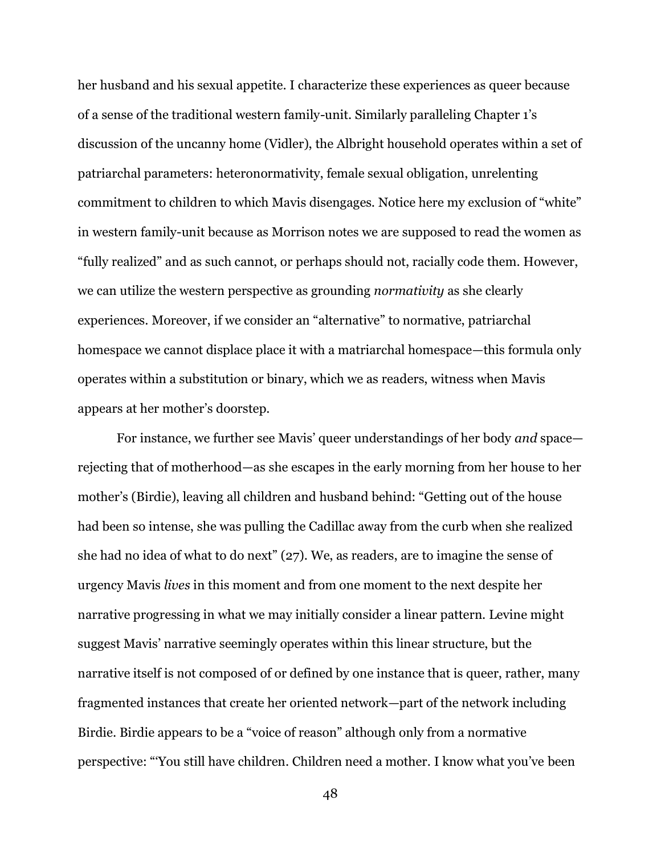her husband and his sexual appetite. I characterize these experiences as queer because of a sense of the traditional western family-unit. Similarly paralleling Chapter 1's discussion of the uncanny home (Vidler), the Albright household operates within a set of patriarchal parameters: heteronormativity, female sexual obligation, unrelenting commitment to children to which Mavis disengages. Notice here my exclusion of "white" in western family-unit because as Morrison notes we are supposed to read the women as "fully realized" and as such cannot, or perhaps should not, racially code them. However, we can utilize the western perspective as grounding *normativity* as she clearly experiences. Moreover, if we consider an "alternative" to normative, patriarchal homespace we cannot displace place it with a matriarchal homespace—this formula only operates within a substitution or binary, which we as readers, witness when Mavis appears at her mother's doorstep.

For instance, we further see Mavis' queer understandings of her body *and* space rejecting that of motherhood—as she escapes in the early morning from her house to her mother's (Birdie), leaving all children and husband behind: "Getting out of the house had been so intense, she was pulling the Cadillac away from the curb when she realized she had no idea of what to do next" (27). We, as readers, are to imagine the sense of urgency Mavis *lives* in this moment and from one moment to the next despite her narrative progressing in what we may initially consider a linear pattern. Levine might suggest Mavis' narrative seemingly operates within this linear structure, but the narrative itself is not composed of or defined by one instance that is queer, rather, many fragmented instances that create her oriented network—part of the network including Birdie. Birdie appears to be a "voice of reason" although only from a normative perspective: "'You still have children. Children need a mother. I know what you've been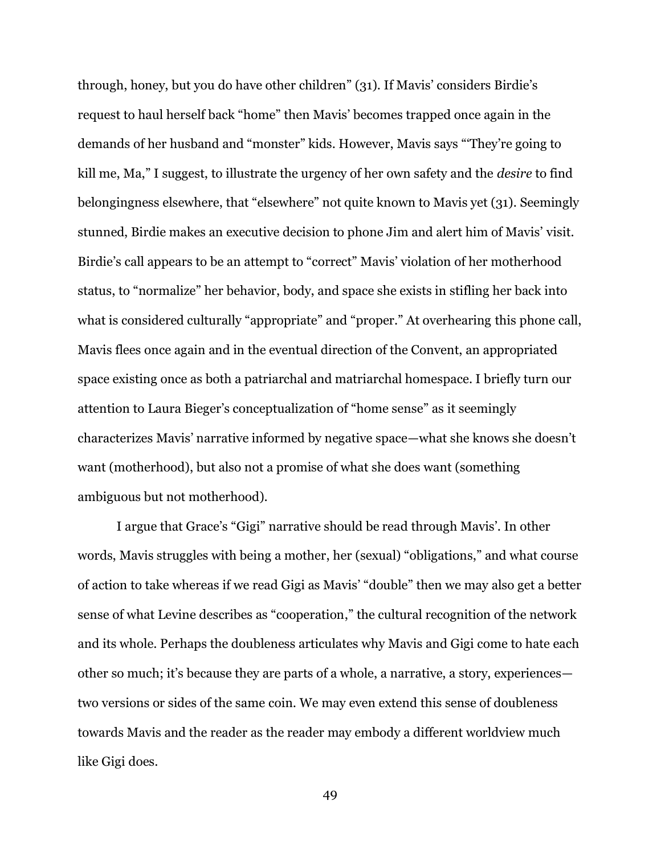through, honey, but you do have other children" (31). If Mavis' considers Birdie's request to haul herself back "home" then Mavis' becomes trapped once again in the demands of her husband and "monster" kids. However, Mavis says "'They're going to kill me, Ma," I suggest, to illustrate the urgency of her own safety and the *desire* to find belongingness elsewhere, that "elsewhere" not quite known to Mavis yet (31). Seemingly stunned, Birdie makes an executive decision to phone Jim and alert him of Mavis' visit. Birdie's call appears to be an attempt to "correct" Mavis' violation of her motherhood status, to "normalize" her behavior, body, and space she exists in stifling her back into what is considered culturally "appropriate" and "proper." At overhearing this phone call, Mavis flees once again and in the eventual direction of the Convent, an appropriated space existing once as both a patriarchal and matriarchal homespace. I briefly turn our attention to Laura Bieger's conceptualization of "home sense" as it seemingly characterizes Mavis' narrative informed by negative space—what she knows she doesn't want (motherhood), but also not a promise of what she does want (something ambiguous but not motherhood).

I argue that Grace's "Gigi" narrative should be read through Mavis'. In other words, Mavis struggles with being a mother, her (sexual) "obligations," and what course of action to take whereas if we read Gigi as Mavis' "double" then we may also get a better sense of what Levine describes as "cooperation," the cultural recognition of the network and its whole. Perhaps the doubleness articulates why Mavis and Gigi come to hate each other so much; it's because they are parts of a whole, a narrative, a story, experiences two versions or sides of the same coin. We may even extend this sense of doubleness towards Mavis and the reader as the reader may embody a different worldview much like Gigi does.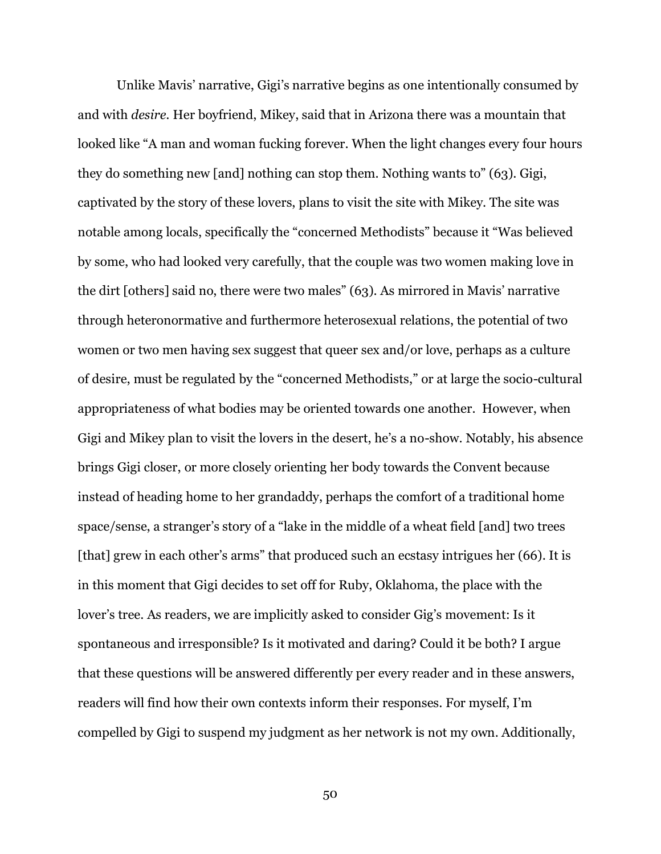Unlike Mavis' narrative, Gigi's narrative begins as one intentionally consumed by and with *desire*. Her boyfriend, Mikey, said that in Arizona there was a mountain that looked like "A man and woman fucking forever. When the light changes every four hours they do something new [and] nothing can stop them. Nothing wants to" (63). Gigi, captivated by the story of these lovers, plans to visit the site with Mikey. The site was notable among locals, specifically the "concerned Methodists" because it "Was believed by some, who had looked very carefully, that the couple was two women making love in the dirt [others] said no, there were two males" (63). As mirrored in Mavis' narrative through heteronormative and furthermore heterosexual relations, the potential of two women or two men having sex suggest that queer sex and/or love, perhaps as a culture of desire, must be regulated by the "concerned Methodists," or at large the socio-cultural appropriateness of what bodies may be oriented towards one another. However, when Gigi and Mikey plan to visit the lovers in the desert, he's a no-show. Notably, his absence brings Gigi closer, or more closely orienting her body towards the Convent because instead of heading home to her grandaddy, perhaps the comfort of a traditional home space/sense, a stranger's story of a "lake in the middle of a wheat field [and] two trees [that] grew in each other's arms" that produced such an ecstasy intrigues her (66). It is in this moment that Gigi decides to set off for Ruby, Oklahoma, the place with the lover's tree. As readers, we are implicitly asked to consider Gig's movement: Is it spontaneous and irresponsible? Is it motivated and daring? Could it be both? I argue that these questions will be answered differently per every reader and in these answers, readers will find how their own contexts inform their responses. For myself, I'm compelled by Gigi to suspend my judgment as her network is not my own. Additionally,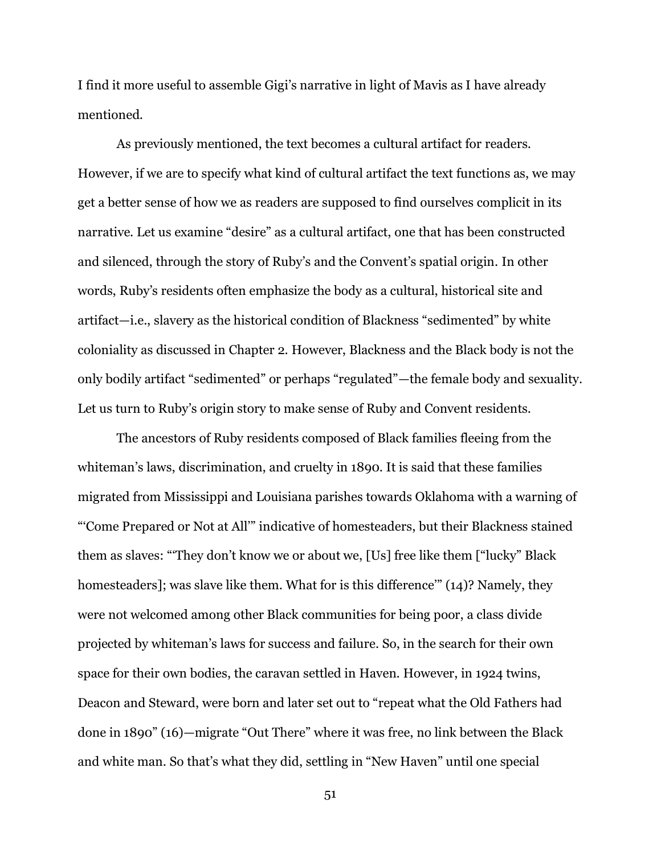I find it more useful to assemble Gigi's narrative in light of Mavis as I have already mentioned.

As previously mentioned, the text becomes a cultural artifact for readers. However, if we are to specify what kind of cultural artifact the text functions as, we may get a better sense of how we as readers are supposed to find ourselves complicit in its narrative. Let us examine "desire" as a cultural artifact, one that has been constructed and silenced, through the story of Ruby's and the Convent's spatial origin. In other words, Ruby's residents often emphasize the body as a cultural, historical site and artifact—i.e., slavery as the historical condition of Blackness "sedimented" by white coloniality as discussed in Chapter 2. However, Blackness and the Black body is not the only bodily artifact "sedimented" or perhaps "regulated"—the female body and sexuality. Let us turn to Ruby's origin story to make sense of Ruby and Convent residents.

The ancestors of Ruby residents composed of Black families fleeing from the whiteman's laws, discrimination, and cruelty in 1890. It is said that these families migrated from Mississippi and Louisiana parishes towards Oklahoma with a warning of "'Come Prepared or Not at All'" indicative of homesteaders, but their Blackness stained them as slaves: "'They don't know we or about we, [Us] free like them ["lucky" Black homesteaders]; was slave like them. What for is this difference'" (14)? Namely, they were not welcomed among other Black communities for being poor, a class divide projected by whiteman's laws for success and failure. So, in the search for their own space for their own bodies, the caravan settled in Haven. However, in 1924 twins, Deacon and Steward, were born and later set out to "repeat what the Old Fathers had done in 1890" (16)—migrate "Out There" where it was free, no link between the Black and white man. So that's what they did, settling in "New Haven" until one special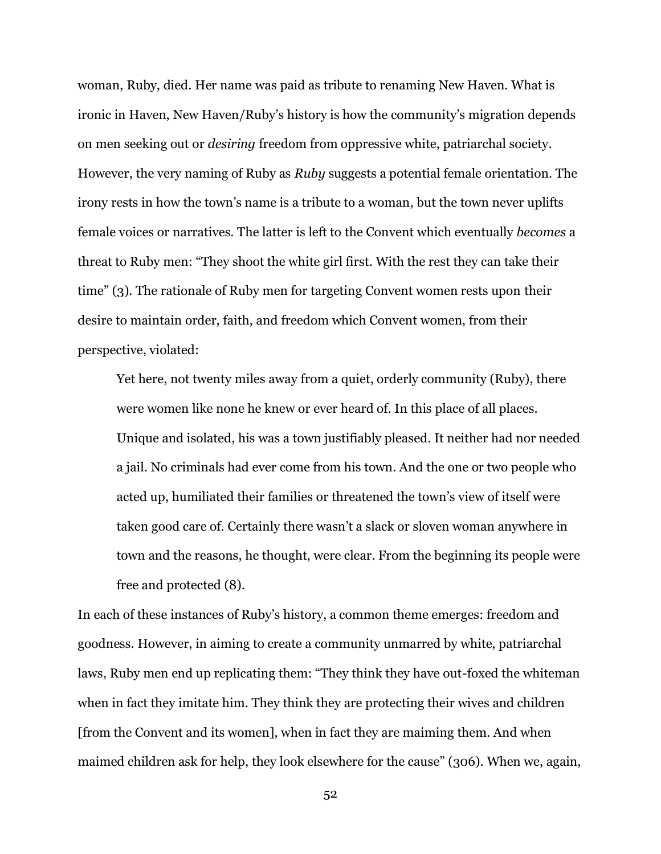woman, Ruby, died. Her name was paid as tribute to renaming New Haven. What is ironic in Haven, New Haven/Ruby's history is how the community's migration depends on men seeking out or *desiring* freedom from oppressive white, patriarchal society. However, the very naming of Ruby as *Ruby* suggests a potential female orientation. The irony rests in how the town's name is a tribute to a woman, but the town never uplifts female voices or narratives. The latter is left to the Convent which eventually *becomes* a threat to Ruby men: "They shoot the white girl first. With the rest they can take their time" (3). The rationale of Ruby men for targeting Convent women rests upon their desire to maintain order, faith, and freedom which Convent women, from their perspective, violated:

Yet here, not twenty miles away from a quiet, orderly community (Ruby), there were women like none he knew or ever heard of. In this place of all places. Unique and isolated, his was a town justifiably pleased. It neither had nor needed a jail. No criminals had ever come from his town. And the one or two people who acted up, humiliated their families or threatened the town's view of itself were taken good care of. Certainly there wasn't a slack or sloven woman anywhere in town and the reasons, he thought, were clear. From the beginning its people were free and protected (8).

In each of these instances of Ruby's history, a common theme emerges: freedom and goodness. However, in aiming to create a community unmarred by white, patriarchal laws, Ruby men end up replicating them: "They think they have out-foxed the whiteman when in fact they imitate him. They think they are protecting their wives and children [from the Convent and its women], when in fact they are maiming them. And when maimed children ask for help, they look elsewhere for the cause" (306). When we, again,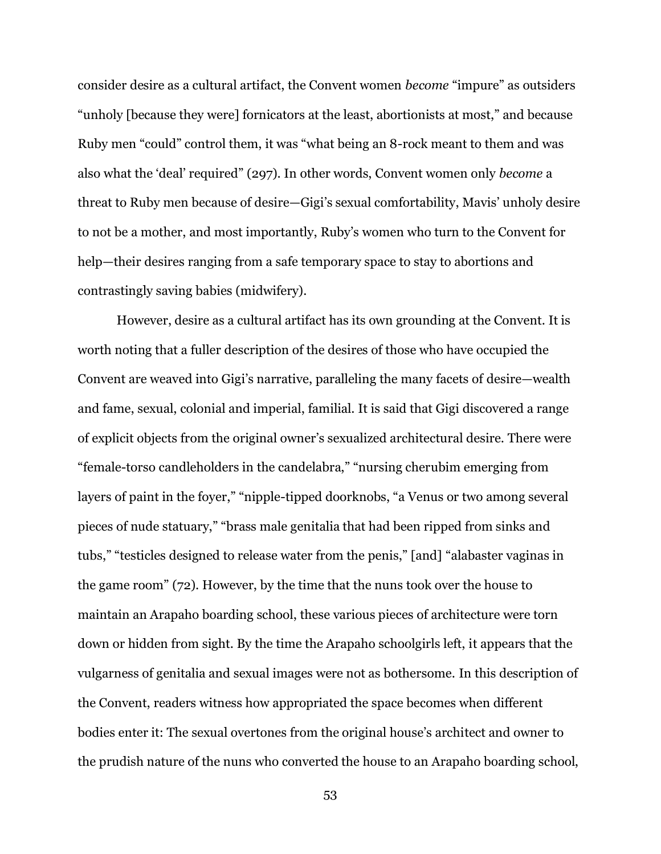consider desire as a cultural artifact, the Convent women *become* "impure" as outsiders "unholy [because they were] fornicators at the least, abortionists at most," and because Ruby men "could" control them, it was "what being an 8-rock meant to them and was also what the 'deal' required" (297). In other words, Convent women only *become* a threat to Ruby men because of desire—Gigi's sexual comfortability, Mavis' unholy desire to not be a mother, and most importantly, Ruby's women who turn to the Convent for help—their desires ranging from a safe temporary space to stay to abortions and contrastingly saving babies (midwifery).

However, desire as a cultural artifact has its own grounding at the Convent. It is worth noting that a fuller description of the desires of those who have occupied the Convent are weaved into Gigi's narrative, paralleling the many facets of desire—wealth and fame, sexual, colonial and imperial, familial. It is said that Gigi discovered a range of explicit objects from the original owner's sexualized architectural desire. There were "female-torso candleholders in the candelabra," "nursing cherubim emerging from layers of paint in the foyer," "nipple-tipped doorknobs, "a Venus or two among several pieces of nude statuary," "brass male genitalia that had been ripped from sinks and tubs," "testicles designed to release water from the penis," [and] "alabaster vaginas in the game room" (72). However, by the time that the nuns took over the house to maintain an Arapaho boarding school, these various pieces of architecture were torn down or hidden from sight. By the time the Arapaho schoolgirls left, it appears that the vulgarness of genitalia and sexual images were not as bothersome. In this description of the Convent, readers witness how appropriated the space becomes when different bodies enter it: The sexual overtones from the original house's architect and owner to the prudish nature of the nuns who converted the house to an Arapaho boarding school,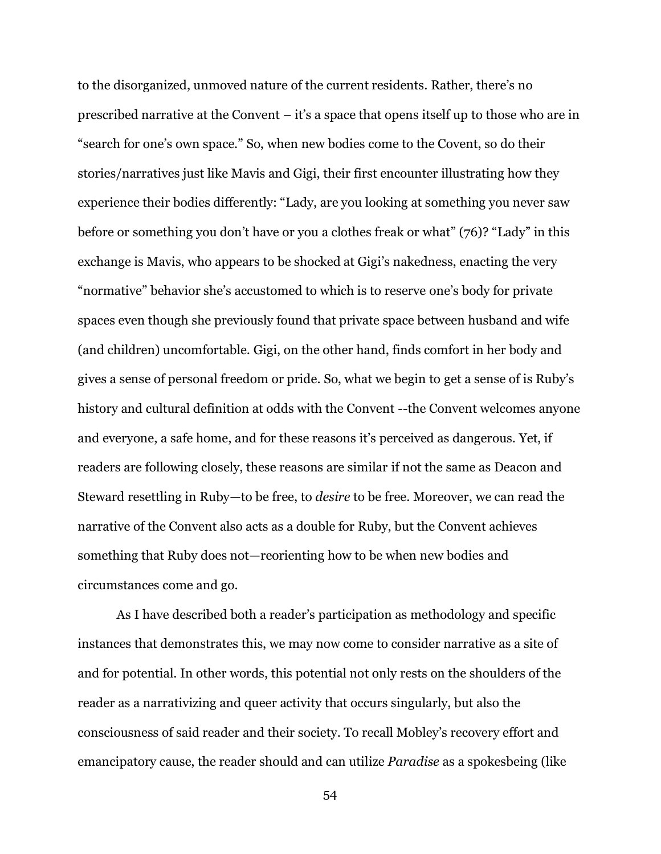to the disorganized, unmoved nature of the current residents. Rather, there's no prescribed narrative at the Convent – it's a space that opens itself up to those who are in "search for one's own space." So, when new bodies come to the Covent, so do their stories/narratives just like Mavis and Gigi, their first encounter illustrating how they experience their bodies differently: "Lady, are you looking at something you never saw before or something you don't have or you a clothes freak or what" (76)? "Lady" in this exchange is Mavis, who appears to be shocked at Gigi's nakedness, enacting the very "normative" behavior she's accustomed to which is to reserve one's body for private spaces even though she previously found that private space between husband and wife (and children) uncomfortable. Gigi, on the other hand, finds comfort in her body and gives a sense of personal freedom or pride. So, what we begin to get a sense of is Ruby's history and cultural definition at odds with the Convent --the Convent welcomes anyone and everyone, a safe home, and for these reasons it's perceived as dangerous. Yet, if readers are following closely, these reasons are similar if not the same as Deacon and Steward resettling in Ruby—to be free, to *desire* to be free. Moreover, we can read the narrative of the Convent also acts as a double for Ruby, but the Convent achieves something that Ruby does not—reorienting how to be when new bodies and circumstances come and go.

As I have described both a reader's participation as methodology and specific instances that demonstrates this, we may now come to consider narrative as a site of and for potential. In other words, this potential not only rests on the shoulders of the reader as a narrativizing and queer activity that occurs singularly, but also the consciousness of said reader and their society. To recall Mobley's recovery effort and emancipatory cause, the reader should and can utilize *Paradise* as a spokesbeing (like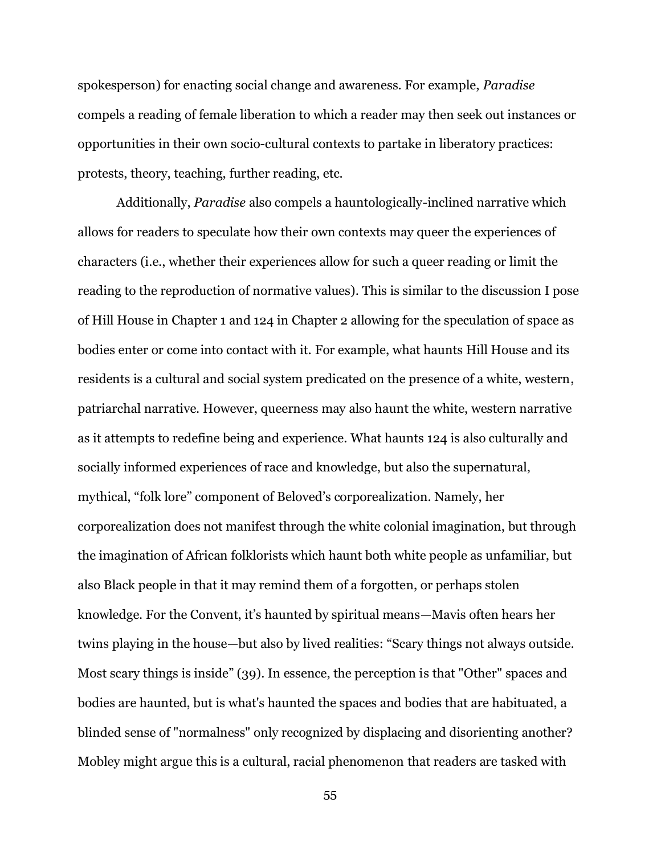spokesperson) for enacting social change and awareness. For example, *Paradise*  compels a reading of female liberation to which a reader may then seek out instances or opportunities in their own socio-cultural contexts to partake in liberatory practices: protests, theory, teaching, further reading, etc.

Additionally, *Paradise* also compels a hauntologically-inclined narrative which allows for readers to speculate how their own contexts may queer the experiences of characters (i.e., whether their experiences allow for such a queer reading or limit the reading to the reproduction of normative values). This is similar to the discussion I pose of Hill House in Chapter 1 and 124 in Chapter 2 allowing for the speculation of space as bodies enter or come into contact with it. For example, what haunts Hill House and its residents is a cultural and social system predicated on the presence of a white, western, patriarchal narrative. However, queerness may also haunt the white, western narrative as it attempts to redefine being and experience. What haunts 124 is also culturally and socially informed experiences of race and knowledge, but also the supernatural, mythical, "folk lore" component of Beloved's corporealization. Namely, her corporealization does not manifest through the white colonial imagination, but through the imagination of African folklorists which haunt both white people as unfamiliar, but also Black people in that it may remind them of a forgotten, or perhaps stolen knowledge. For the Convent, it's haunted by spiritual means—Mavis often hears her twins playing in the house—but also by lived realities: "Scary things not always outside. Most scary things is inside" (39). In essence, the perception is that "Other" spaces and bodies are haunted, but is what's haunted the spaces and bodies that are habituated, a blinded sense of "normalness" only recognized by displacing and disorienting another? Mobley might argue this is a cultural, racial phenomenon that readers are tasked with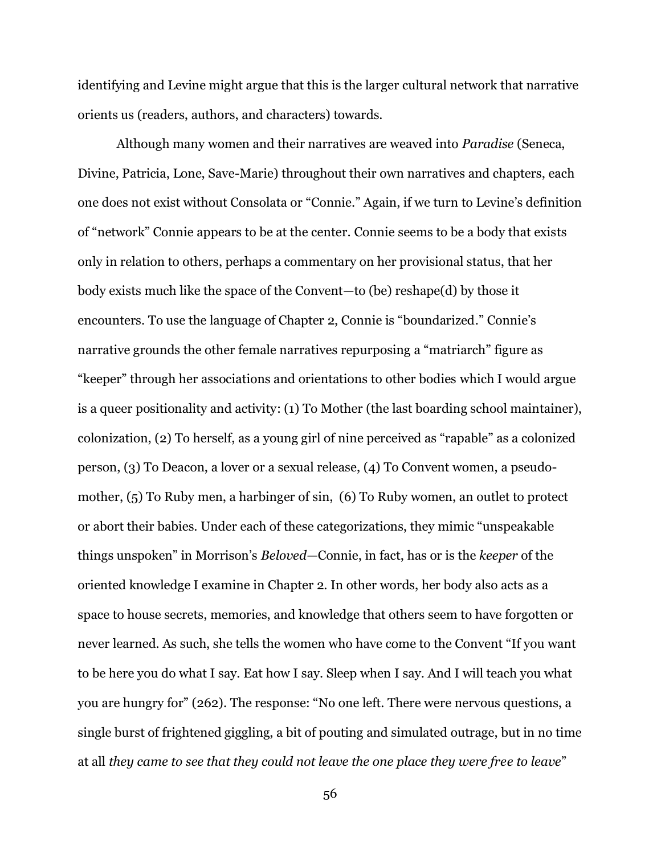identifying and Levine might argue that this is the larger cultural network that narrative orients us (readers, authors, and characters) towards.

Although many women and their narratives are weaved into *Paradise* (Seneca, Divine, Patricia, Lone, Save-Marie) throughout their own narratives and chapters, each one does not exist without Consolata or "Connie." Again, if we turn to Levine's definition of "network" Connie appears to be at the center. Connie seems to be a body that exists only in relation to others, perhaps a commentary on her provisional status, that her body exists much like the space of the Convent—to (be) reshape(d) by those it encounters. To use the language of Chapter 2, Connie is "boundarized." Connie's narrative grounds the other female narratives repurposing a "matriarch" figure as "keeper" through her associations and orientations to other bodies which I would argue is a queer positionality and activity: (1) To Mother (the last boarding school maintainer), colonization, (2) To herself, as a young girl of nine perceived as "rapable" as a colonized person, (3) To Deacon, a lover or a sexual release, (4) To Convent women, a pseudomother, (5) To Ruby men, a harbinger of sin, (6) To Ruby women, an outlet to protect or abort their babies. Under each of these categorizations, they mimic "unspeakable things unspoken" in Morrison's *Beloved—*Connie, in fact, has or is the *keeper* of the oriented knowledge I examine in Chapter 2. In other words, her body also acts as a space to house secrets, memories, and knowledge that others seem to have forgotten or never learned. As such, she tells the women who have come to the Convent "If you want to be here you do what I say. Eat how I say. Sleep when I say. And I will teach you what you are hungry for" (262). The response: "No one left. There were nervous questions, a single burst of frightened giggling, a bit of pouting and simulated outrage, but in no time at all *they came to see that they could not leave the one place they were free to leave*"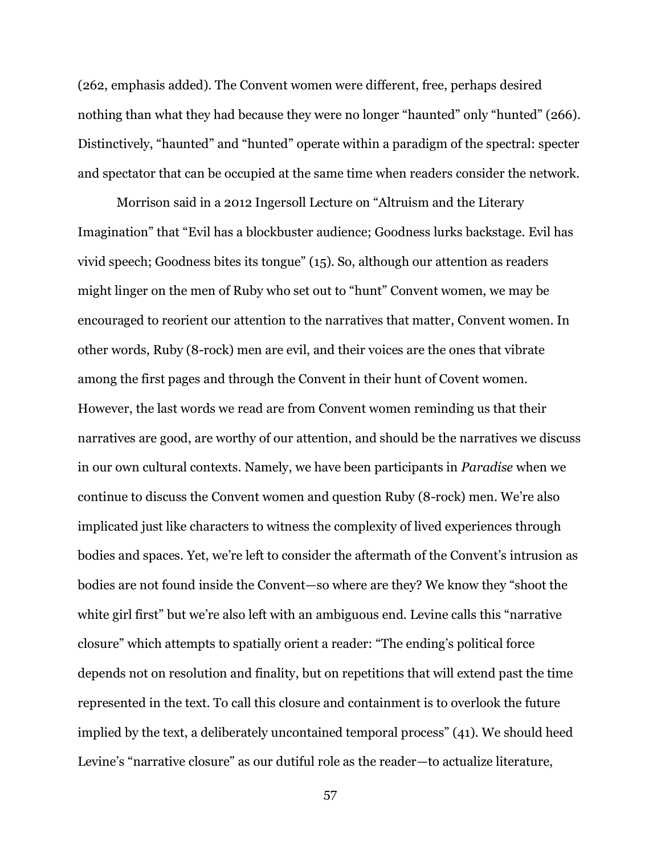(262, emphasis added). The Convent women were different, free, perhaps desired nothing than what they had because they were no longer "haunted" only "hunted" (266). Distinctively, "haunted" and "hunted" operate within a paradigm of the spectral: specter and spectator that can be occupied at the same time when readers consider the network.

Morrison said in a 2012 Ingersoll Lecture on "Altruism and the Literary Imagination" that "Evil has a blockbuster audience; Goodness lurks backstage. Evil has vivid speech; Goodness bites its tongue" (15). So, although our attention as readers might linger on the men of Ruby who set out to "hunt" Convent women, we may be encouraged to reorient our attention to the narratives that matter, Convent women. In other words, Ruby (8-rock) men are evil, and their voices are the ones that vibrate among the first pages and through the Convent in their hunt of Covent women. However, the last words we read are from Convent women reminding us that their narratives are good, are worthy of our attention, and should be the narratives we discuss in our own cultural contexts. Namely, we have been participants in *Paradise* when we continue to discuss the Convent women and question Ruby (8-rock) men. We're also implicated just like characters to witness the complexity of lived experiences through bodies and spaces. Yet, we're left to consider the aftermath of the Convent's intrusion as bodies are not found inside the Convent—so where are they? We know they "shoot the white girl first" but we're also left with an ambiguous end. Levine calls this "narrative" closure" which attempts to spatially orient a reader: "The ending's political force depends not on resolution and finality, but on repetitions that will extend past the time represented in the text. To call this closure and containment is to overlook the future implied by the text, a deliberately uncontained temporal process" (41). We should heed Levine's "narrative closure" as our dutiful role as the reader—to actualize literature,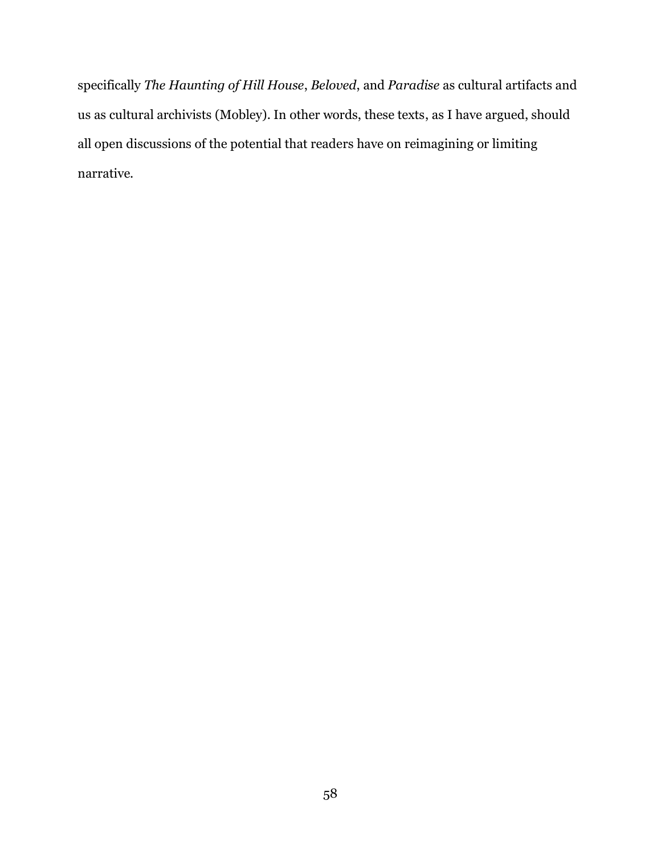specifically *The Haunting of Hill House*, *Beloved*, and *Paradise* as cultural artifacts and us as cultural archivists (Mobley). In other words, these texts, as I have argued, should all open discussions of the potential that readers have on reimagining or limiting narrative.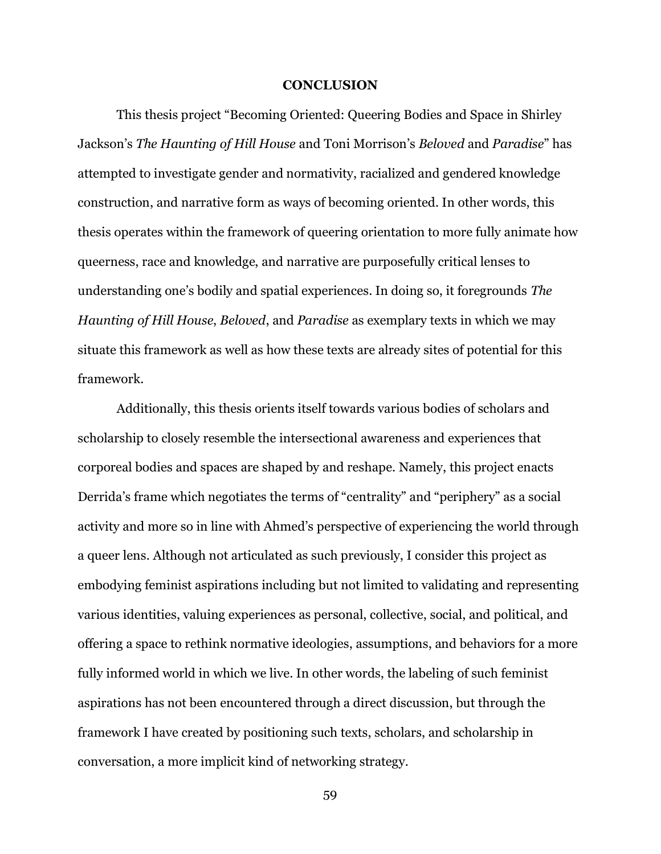#### **CONCLUSION**

This thesis project "Becoming Oriented: Queering Bodies and Space in Shirley Jackson's *The Haunting of Hill House* and Toni Morrison's *Beloved* and *Paradise*" has attempted to investigate gender and normativity, racialized and gendered knowledge construction, and narrative form as ways of becoming oriented. In other words, this thesis operates within the framework of queering orientation to more fully animate how queerness, race and knowledge, and narrative are purposefully critical lenses to understanding one's bodily and spatial experiences. In doing so, it foregrounds *The Haunting of Hill House*, *Beloved*, and *Paradise* as exemplary texts in which we may situate this framework as well as how these texts are already sites of potential for this framework.

Additionally, this thesis orients itself towards various bodies of scholars and scholarship to closely resemble the intersectional awareness and experiences that corporeal bodies and spaces are shaped by and reshape. Namely, this project enacts Derrida's frame which negotiates the terms of "centrality" and "periphery" as a social activity and more so in line with Ahmed's perspective of experiencing the world through a queer lens. Although not articulated as such previously, I consider this project as embodying feminist aspirations including but not limited to validating and representing various identities, valuing experiences as personal, collective, social, and political, and offering a space to rethink normative ideologies, assumptions, and behaviors for a more fully informed world in which we live. In other words, the labeling of such feminist aspirations has not been encountered through a direct discussion, but through the framework I have created by positioning such texts, scholars, and scholarship in conversation, a more implicit kind of networking strategy.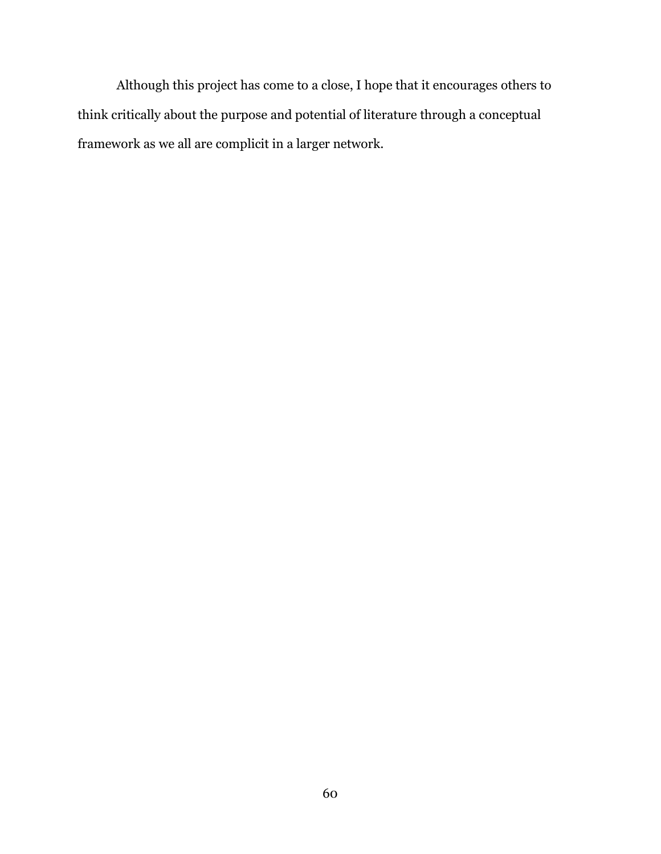Although this project has come to a close, I hope that it encourages others to think critically about the purpose and potential of literature through a conceptual framework as we all are complicit in a larger network.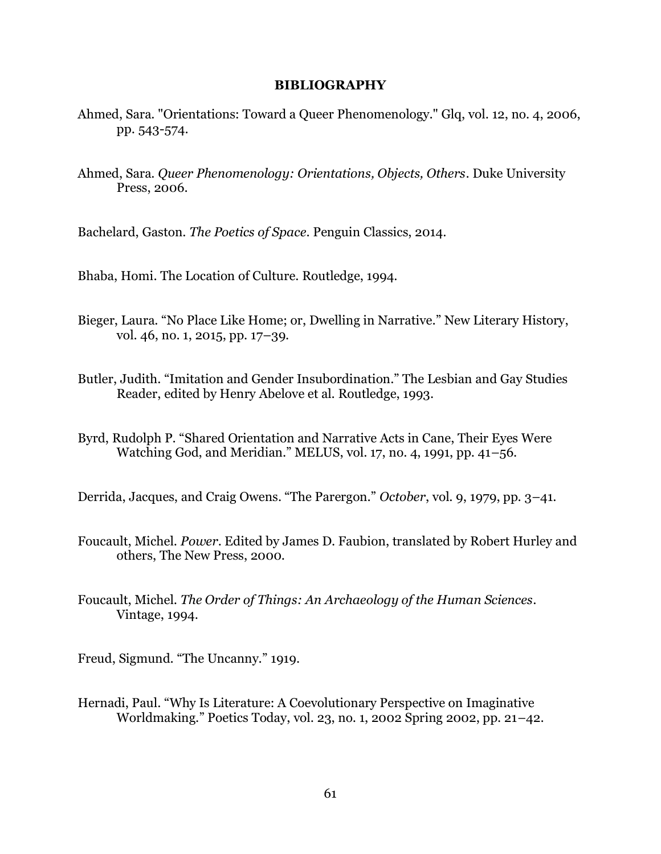### **BIBLIOGRAPHY**

- Ahmed, Sara. "Orientations: Toward a Queer Phenomenology." Glq, vol. 12, no. 4, 2006, pp. 543-574.
- Ahmed, Sara. *Queer Phenomenology: Orientations, Objects, Others*. Duke University Press, 2006.

Bachelard, Gaston. *The Poetics of Space*. Penguin Classics, 2014.

- Bhaba, Homi. The Location of Culture. Routledge, 1994.
- Bieger, Laura. "No Place Like Home; or, Dwelling in Narrative." New Literary History, vol. 46, no. 1, 2015, pp. 17–39.
- Butler, Judith. "Imitation and Gender Insubordination." The Lesbian and Gay Studies Reader, edited by Henry Abelove et al. Routledge, 1993.
- Byrd, Rudolph P. "Shared Orientation and Narrative Acts in Cane, Their Eyes Were Watching God, and Meridian." MELUS, vol. 17, no. 4, 1991, pp. 41–56.

Derrida, Jacques, and Craig Owens. "The Parergon." *October*, vol. 9, 1979, pp. 3–41.

- Foucault, Michel. *Power*. Edited by James D. Faubion, translated by Robert Hurley and others, The New Press, 2000.
- Foucault, Michel. *The Order of Things: An Archaeology of the Human Sciences*. Vintage, 1994.
- Freud, Sigmund. "The Uncanny." 1919.
- Hernadi, Paul. "Why Is Literature: A Coevolutionary Perspective on Imaginative Worldmaking." Poetics Today, vol. 23, no. 1, 2002 Spring 2002, pp. 21–42.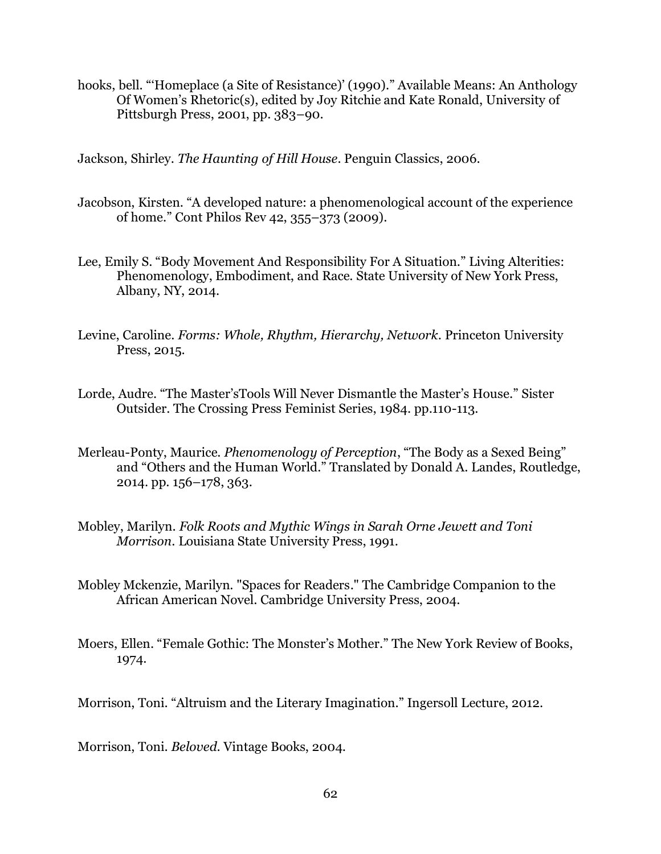hooks, bell. "'Homeplace (a Site of Resistance)' (1990)." Available Means: An Anthology Of Women's Rhetoric(s), edited by Joy Ritchie and Kate Ronald, University of Pittsburgh Press, 2001, pp. 383–90.

Jackson, Shirley. *The Haunting of Hill House*. Penguin Classics, 2006.

- Jacobson, Kirsten. "A developed nature: a phenomenological account of the experience of home." Cont Philos Rev 42, 355–373 (2009).
- Lee, Emily S. "Body Movement And Responsibility For A Situation." Living Alterities: Phenomenology, Embodiment, and Race. State University of New York Press, Albany, NY, 2014.
- Levine, Caroline. *Forms: Whole, Rhythm, Hierarchy, Network*. Princeton University Press, 2015.
- Lorde, Audre. "The Master'sTools Will Never Dismantle the Master's House." Sister Outsider. The Crossing Press Feminist Series, 1984. pp.110-113.
- Merleau-Ponty, Maurice. *Phenomenology of Perception*, "The Body as a Sexed Being" and "Others and the Human World." Translated by Donald A. Landes, Routledge, 2014. pp. 156–178, 363.
- Mobley, Marilyn. *Folk Roots and Mythic Wings in Sarah Orne Jewett and Toni Morrison*. Louisiana State University Press, 1991.
- Mobley Mckenzie, Marilyn. "Spaces for Readers." The Cambridge Companion to the African American Novel. Cambridge University Press, 2004.
- Moers, Ellen. "Female Gothic: The Monster's Mother." The New York Review of Books, 1974.

Morrison, Toni. "Altruism and the Literary Imagination." Ingersoll Lecture, 2012.

Morrison, Toni. *Beloved*. Vintage Books, 2004.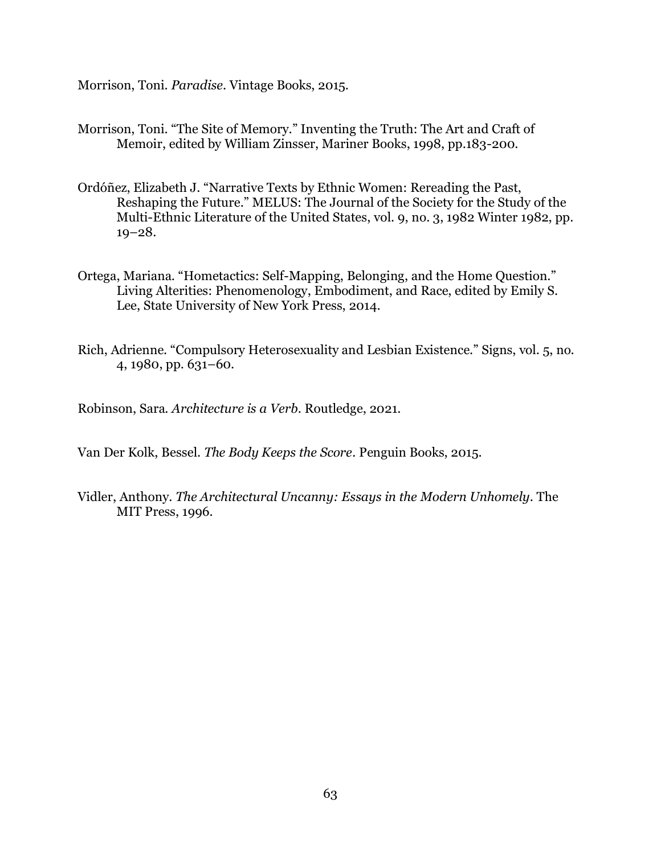Morrison, Toni. *Paradise*. Vintage Books, 2015.

- Morrison, Toni. "The Site of Memory." Inventing the Truth: The Art and Craft of Memoir, edited by William Zinsser, Mariner Books, 1998, pp.183-200.
- Ordóñez, Elizabeth J. "Narrative Texts by Ethnic Women: Rereading the Past, Reshaping the Future." MELUS: The Journal of the Society for the Study of the Multi-Ethnic Literature of the United States, vol. 9, no. 3, 1982 Winter 1982, pp. 19–28.
- Ortega, Mariana. "Hometactics: Self-Mapping, Belonging, and the Home Question." Living Alterities: Phenomenology, Embodiment, and Race, edited by Emily S. Lee, State University of New York Press, 2014.
- Rich, Adrienne. "Compulsory Heterosexuality and Lesbian Existence." Signs, vol. 5, no. 4, 1980, pp. 631–60.

Robinson, Sara. *Architecture is a Verb*. Routledge, 2021.

Van Der Kolk, Bessel. *The Body Keeps the Score*. Penguin Books, 2015.

Vidler, Anthony. *The Architectural Uncanny: Essays in the Modern Unhomely*. The MIT Press, 1996.